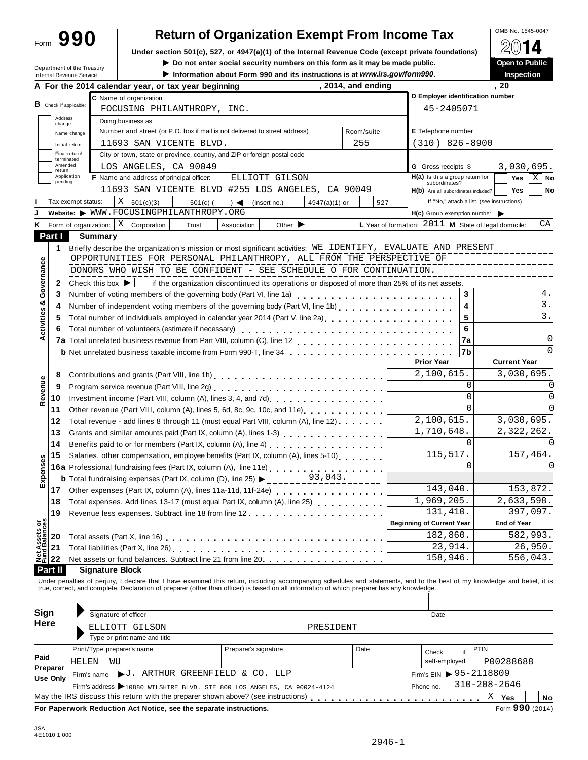Form **990**

# **Return of Organization Exempt From Income Tax**<br>section 501(c), 527, or 4947(a)(1) of the Internal Revenue Code (except private foundations)  $\bigotimes_{\mathbb{Q}} \mathbf{14}$

Under section 501(c), 527, or 4947(a)(1) of the Internal Revenue Code (except private foundations)  $\Box$  △**∪**  $\Box$ <br>
→ Do not enter social security numbers on this form as it may be made public. **△** ● **○ ○ ○ ○ ○**

**In the Treasury Do not enter social security numbers on this form as it may be made public.**<br> **Do not enter social security numbers on this form as it may be made public.** 

| Internal Revenue Service                         | Department of the Treasury                                                                                                                                                 |                                                                            |                                                    | Information about Form 990 and its instructions is at www.irs.gov/form990. | Do not enter social security numbers on this form as it may be made public. |     |                                                        |                    | Open to Fublic<br>Inspection |
|--------------------------------------------------|----------------------------------------------------------------------------------------------------------------------------------------------------------------------------|----------------------------------------------------------------------------|----------------------------------------------------|----------------------------------------------------------------------------|-----------------------------------------------------------------------------|-----|--------------------------------------------------------|--------------------|------------------------------|
|                                                  | A For the 2014 calendar year, or tax year beginning                                                                                                                        |                                                                            |                                                    |                                                                            | , 2014, and ending                                                          |     |                                                        | .20                |                              |
|                                                  | C Name of organization                                                                                                                                                     |                                                                            |                                                    |                                                                            |                                                                             |     | D Employer identification number                       |                    |                              |
| <b>B</b> Check if applicable:                    |                                                                                                                                                                            | FOCUSING PHILANTHROPY, INC.                                                |                                                    |                                                                            |                                                                             |     | 45-2405071                                             |                    |                              |
| Address<br>change                                | Doing business as                                                                                                                                                          |                                                                            |                                                    |                                                                            |                                                                             |     |                                                        |                    |                              |
| Name change                                      |                                                                                                                                                                            | Number and street (or P.O. box if mail is not delivered to street address) |                                                    |                                                                            | Room/suite                                                                  |     | E Telephone number                                     |                    |                              |
| Initial return                                   |                                                                                                                                                                            | 11693 SAN VICENTE BLVD.                                                    |                                                    |                                                                            | 255                                                                         |     | $(310)$ 826-8900                                       |                    |                              |
| Final return/                                    |                                                                                                                                                                            | City or town, state or province, country, and ZIP or foreign postal code   |                                                    |                                                                            |                                                                             |     |                                                        |                    |                              |
| terminated<br>Amended                            |                                                                                                                                                                            | LOS ANGELES, CA 90049                                                      |                                                    |                                                                            |                                                                             |     | G Gross receipts \$                                    |                    | 3,030,695.                   |
| return<br>Application                            | F Name and address of principal officer:                                                                                                                                   |                                                                            | ELLIOTT GILSON                                     |                                                                            |                                                                             |     | $H(a)$ is this a group return for                      |                    | $X \mid$ No<br>Yes           |
| pending                                          |                                                                                                                                                                            | 11693 SAN VICENTE BLVD #255 LOS ANGELES, CA 90049                          |                                                    |                                                                            |                                                                             |     | subordinates?                                          |                    |                              |
|                                                  |                                                                                                                                                                            |                                                                            |                                                    |                                                                            |                                                                             |     | H(b) Are all subordinates included?                    |                    | Yes<br>No                    |
|                                                  | ΧI<br>Tax-exempt status:<br>501(c)(3)                                                                                                                                      | $501(c)$ (                                                                 | $\rightarrow$ $\blacktriangleleft$<br>(insert no.) |                                                                            | 4947(a)(1) or                                                               | 527 | If "No," attach a list. (see instructions)             |                    |                              |
|                                                  | Website: $\blacktriangleright$ WWW.FOCUSINGPHILANTHROPY.ORG                                                                                                                |                                                                            |                                                    |                                                                            |                                                                             |     | $H(c)$ Group exemption number                          |                    |                              |
|                                                  | X   Corporation<br>Form of organization:                                                                                                                                   | Trust                                                                      | Association                                        | Other $\blacktriangleright$                                                |                                                                             |     | L Year of formation: $2011$ M State of legal domicile: |                    | CA                           |
| Part I                                           | Summary                                                                                                                                                                    |                                                                            |                                                    |                                                                            |                                                                             |     |                                                        |                    |                              |
| 1                                                | Briefly describe the organization's mission or most significant activities: WE IDENTIFY, EVALUATE AND PRESENT                                                              |                                                                            |                                                    |                                                                            |                                                                             |     |                                                        |                    |                              |
|                                                  | OPPORTUNITIES FOR PERSONAL PHILANTHROPY, ALL FROM THE PERSPECTIVE OF                                                                                                       |                                                                            |                                                    |                                                                            |                                                                             |     |                                                        |                    |                              |
|                                                  | DONORS WHO WISH TO BE CONFIDENT - SEE SCHEDULE O FOR CONTINUATION.                                                                                                         |                                                                            |                                                    |                                                                            |                                                                             |     |                                                        |                    |                              |
| 2                                                | Check this box $\blacktriangleright$   if the organization discontinued its operations or disposed of more than 25% of its net assets.                                     |                                                                            |                                                    |                                                                            |                                                                             |     |                                                        |                    |                              |
| Governance<br>3                                  |                                                                                                                                                                            |                                                                            |                                                    |                                                                            |                                                                             |     | 3                                                      |                    | 4.                           |
| Activities &<br>4                                | Number of independent voting members of the governing body (Part VI, line 1b)                                                                                              |                                                                            |                                                    |                                                                            |                                                                             |     | 4                                                      |                    | $\overline{3}$ .             |
| 5                                                | Total number of individuals employed in calendar year 2014 (Part V, line 2a)<br>The 2a)                                                                                    |                                                                            |                                                    |                                                                            |                                                                             |     | 5                                                      |                    | $\overline{3}$ .             |
| 6                                                | Total number of volunteers (estimate if necessary)                                                                                                                         |                                                                            |                                                    |                                                                            |                                                                             |     | 6                                                      |                    |                              |
|                                                  |                                                                                                                                                                            |                                                                            |                                                    |                                                                            |                                                                             |     | <b>7a</b>                                              |                    |                              |
|                                                  | b Net unrelated business taxable income from Form 990-T, line 34                                                                                                           |                                                                            |                                                    |                                                                            |                                                                             |     | 7b                                                     |                    |                              |
|                                                  |                                                                                                                                                                            |                                                                            |                                                    |                                                                            |                                                                             |     | <b>Prior Year</b>                                      |                    | <b>Current Year</b>          |
| 8                                                |                                                                                                                                                                            |                                                                            |                                                    |                                                                            |                                                                             |     | 2,100,615.                                             |                    | 3,030,695.                   |
| 9                                                | Contributions and grants (Part VIII, line 1h) [14] [2010] [2010] [2010] [2010] [2010] [2010] [2010] [2010] [20                                                             |                                                                            |                                                    |                                                                            | $\Omega$                                                                    |     |                                                        |                    |                              |
|                                                  | Program service revenue (Part VIII, line 2g)<br>1                                                                                                                          |                                                                            |                                                    |                                                                            |                                                                             |     | $\Omega$                                               |                    |                              |
| Revenue<br>10                                    |                                                                                                                                                                            |                                                                            |                                                    | $\Omega$                                                                   |                                                                             |     |                                                        |                    |                              |
| 11                                               | Other revenue (Part VIII, column (A), lines 5, 6d, 8c, 9c, 10c, and 11e)                                                                                                   |                                                                            |                                                    |                                                                            |                                                                             |     | 2,100,615.                                             |                    | 3,030,695.                   |
| 12                                               | Total revenue - add lines 8 through 11 (must equal Part VIII, column (A), line 12)                                                                                         |                                                                            |                                                    |                                                                            |                                                                             |     |                                                        |                    |                              |
| 13                                               | Grants and similar amounts paid (Part IX, column (A), lines 1-3)                                                                                                           |                                                                            |                                                    |                                                                            |                                                                             |     | 1,710,648.                                             |                    | 2,322,262.                   |
| 14                                               | Benefits paid to or for members (Part IX, column (A), line 4)                                                                                                              |                                                                            |                                                    |                                                                            |                                                                             |     | $\Omega$                                               |                    |                              |
| 15                                               | Salaries, other compensation, employee benefits (Part IX, column (A), lines 5-10)                                                                                          |                                                                            |                                                    |                                                                            |                                                                             |     | 115, 517.                                              |                    | 157,464.                     |
|                                                  |                                                                                                                                                                            |                                                                            |                                                    |                                                                            |                                                                             |     | $\Omega$                                               |                    |                              |
| Expenses                                         | <b>b</b> Total fundraising expenses (Part IX, column (D), line 25) $\blacktriangleright$ ___                                                                               |                                                                            |                                                    |                                                                            | 93,043.                                                                     |     |                                                        |                    |                              |
| 17                                               |                                                                                                                                                                            |                                                                            |                                                    |                                                                            |                                                                             |     | 143,040.                                               |                    | 153,872.                     |
| 18                                               | Total expenses. Add lines 13-17 (must equal Part IX, column (A), line 25)                                                                                                  |                                                                            |                                                    |                                                                            |                                                                             |     | 1,969,205.                                             |                    | 2,633,598.                   |
| 19                                               |                                                                                                                                                                            |                                                                            |                                                    |                                                                            |                                                                             |     | 131,410.                                               |                    | 397,097.                     |
|                                                  |                                                                                                                                                                            |                                                                            |                                                    |                                                                            |                                                                             |     | <b>Beginning of Current Year</b>                       |                    | <b>End of Year</b>           |
| Put Assets of<br>Fund Balances<br>22<br>22<br>22 |                                                                                                                                                                            |                                                                            |                                                    |                                                                            |                                                                             |     | 182,860.                                               |                    | 582,993.                     |
|                                                  |                                                                                                                                                                            |                                                                            |                                                    |                                                                            |                                                                             |     | 23,914.                                                |                    | 26,950.                      |
|                                                  |                                                                                                                                                                            |                                                                            |                                                    |                                                                            |                                                                             |     | 158,946.                                               |                    | 556,043.                     |
| Part II                                          | <b>Signature Block</b>                                                                                                                                                     |                                                                            |                                                    |                                                                            |                                                                             |     |                                                        |                    |                              |
|                                                  | Under penalties of perjury, I declare that I have examined this return, including accompanying schedules and statements, and to the best of my knowledge and belief, it is |                                                                            |                                                    |                                                                            |                                                                             |     |                                                        |                    |                              |
|                                                  | true, correct, and complete. Declaration of preparer (other than officer) is based on all information of which preparer has any knowledge.                                 |                                                                            |                                                    |                                                                            |                                                                             |     |                                                        |                    |                              |
|                                                  |                                                                                                                                                                            |                                                                            |                                                    |                                                                            |                                                                             |     |                                                        |                    |                              |
| Sign                                             | Signature of officer                                                                                                                                                       |                                                                            |                                                    |                                                                            |                                                                             |     | Date                                                   |                    |                              |
| <b>Here</b>                                      |                                                                                                                                                                            |                                                                            |                                                    |                                                                            |                                                                             |     |                                                        |                    |                              |
|                                                  | ELLIOTT GILSON                                                                                                                                                             |                                                                            |                                                    |                                                                            | PRESIDENT                                                                   |     |                                                        |                    |                              |
|                                                  | Type or print name and title                                                                                                                                               |                                                                            |                                                    |                                                                            |                                                                             |     |                                                        |                    |                              |
| Paid                                             | Print/Type preparer's name                                                                                                                                                 |                                                                            | Preparer's signature                               |                                                                            | Date                                                                        |     | if<br>Check                                            | <b>PTIN</b>        |                              |
| Preparer                                         | HELEN<br>WU                                                                                                                                                                |                                                                            |                                                    |                                                                            |                                                                             |     | self-employed                                          | P00288688          |                              |
| <b>Use Only</b>                                  | Firm's name                                                                                                                                                                | $\blacktriangleright$ J. ARTHUR GREENFIELD & CO. LLP                       |                                                    |                                                                            |                                                                             |     | Firm's EIN ▶ 95-2118809                                |                    |                              |
|                                                  | Firm's address >10880 WILSHIRE BLVD. STE 800 LOS ANGELES, CA 90024-4124                                                                                                    |                                                                            |                                                    |                                                                            |                                                                             |     | Phone no.                                              | $310 - 208 - 2646$ |                              |
|                                                  |                                                                                                                                                                            |                                                                            |                                                    |                                                                            |                                                                             |     |                                                        |                    |                              |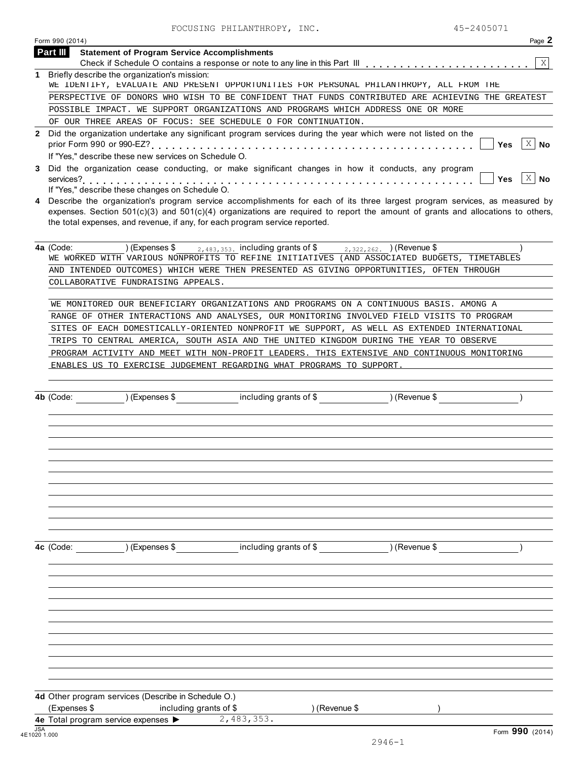|   |                                                                                                                                                                                                                                                                                                                                                 | FOCUSING PHILANTHROPY, INC.                         |                                                                      |               | 45-2405071          |              |
|---|-------------------------------------------------------------------------------------------------------------------------------------------------------------------------------------------------------------------------------------------------------------------------------------------------------------------------------------------------|-----------------------------------------------------|----------------------------------------------------------------------|---------------|---------------------|--------------|
|   | Form 990 (2014)                                                                                                                                                                                                                                                                                                                                 |                                                     |                                                                      |               |                     | Page 2       |
|   | Part III                                                                                                                                                                                                                                                                                                                                        | <b>Statement of Program Service Accomplishments</b> |                                                                      |               |                     |              |
|   |                                                                                                                                                                                                                                                                                                                                                 |                                                     |                                                                      |               |                     |              |
|   | Briefly describe the organization's mission:<br>WE IDENTIFY, EVALUATE AND PRESENT OPPORTUNITIES FOR PERSONAL PHILANTHROPY, ALL FROM THE                                                                                                                                                                                                         |                                                     |                                                                      |               |                     |              |
|   | PERSPECTIVE OF DONORS WHO WISH TO BE CONFIDENT THAT FUNDS CONTRIBUTED ARE ACHIEVING THE GREATEST                                                                                                                                                                                                                                                |                                                     |                                                                      |               |                     |              |
|   | POSSIBLE IMPACT. WE SUPPORT ORGANIZATIONS AND PROGRAMS WHICH ADDRESS ONE OR MORE                                                                                                                                                                                                                                                                |                                                     |                                                                      |               |                     |              |
|   |                                                                                                                                                                                                                                                                                                                                                 |                                                     |                                                                      |               |                     |              |
|   | OF OUR THREE AREAS OF FOCUS: SEE SCHEDULE O FOR CONTINUATION.                                                                                                                                                                                                                                                                                   |                                                     |                                                                      |               |                     |              |
|   | 2 Did the organization undertake any significant program services during the year which were not listed on the                                                                                                                                                                                                                                  |                                                     |                                                                      |               | $\mathbf{X}$<br>Yes | <b>No</b>    |
| 3 | If "Yes," describe these new services on Schedule O.<br>Did the organization cease conducting, or make significant changes in how it conducts, any program                                                                                                                                                                                      |                                                     |                                                                      |               | <b>Yes</b>          | $X \mid N$ o |
|   | services?<br>If "Yes," describe these changes on Schedule O.                                                                                                                                                                                                                                                                                    |                                                     |                                                                      |               |                     |              |
|   | Describe the organization's program service accomplishments for each of its three largest program services, as measured by<br>expenses. Section $501(c)(3)$ and $501(c)(4)$ organizations are required to report the amount of grants and allocations to others,<br>the total expenses, and revenue, if any, for each program service reported. |                                                     |                                                                      |               |                     |              |
|   | 4a (Code:<br>) (Expenses \$<br>WE WORKED WITH VARIOUS NONPROFITS TO REFINE INITIATIVES (AND ASSOCIATED BUDGETS, TIMETABLES                                                                                                                                                                                                                      |                                                     | $_{2,483,353}$ . including grants of \$ $_{2,322,262}$ . (Revenue \$ |               |                     |              |
|   | AND INTENDED OUTCOMES) WHICH WERE THEN PRESENTED AS GIVING OPPORTUNITIES, OFTEN THROUGH                                                                                                                                                                                                                                                         |                                                     |                                                                      |               |                     |              |
|   | COLLABORATIVE FUNDRAISING APPEALS.                                                                                                                                                                                                                                                                                                              |                                                     |                                                                      |               |                     |              |
|   |                                                                                                                                                                                                                                                                                                                                                 |                                                     |                                                                      |               |                     |              |
|   | WE MONITORED OUR BENEFICIARY ORGANIZATIONS AND PROGRAMS ON A CONTINUOUS BASIS. AMONG A                                                                                                                                                                                                                                                          |                                                     |                                                                      |               |                     |              |
|   | RANGE OF OTHER INTERACTIONS AND ANALYSES, OUR MONITORING INVOLVED FIELD VISITS TO PROGRAM                                                                                                                                                                                                                                                       |                                                     |                                                                      |               |                     |              |
|   | SITES OF EACH DOMESTICALLY-ORIENTED NONPROFIT WE SUPPORT, AS WELL AS EXTENDED INTERNATIONAL                                                                                                                                                                                                                                                     |                                                     |                                                                      |               |                     |              |
|   |                                                                                                                                                                                                                                                                                                                                                 |                                                     |                                                                      |               |                     |              |
|   | TRIPS TO CENTRAL AMERICA, SOUTH ASIA AND THE UNITED KINGDOM DURING THE YEAR TO OBSERVE                                                                                                                                                                                                                                                          |                                                     |                                                                      |               |                     |              |
|   | PROGRAM ACTIVITY AND MEET WITH NON-PROFIT LEADERS. THIS EXTENSIVE AND CONTINUOUS MONITORING                                                                                                                                                                                                                                                     |                                                     |                                                                      |               |                     |              |
|   | ENABLES US TO EXERCISE JUDGEMENT REGARDING WHAT PROGRAMS TO SUPPORT.                                                                                                                                                                                                                                                                            |                                                     |                                                                      |               |                     |              |
|   |                                                                                                                                                                                                                                                                                                                                                 |                                                     |                                                                      |               |                     |              |
|   |                                                                                                                                                                                                                                                                                                                                                 |                                                     |                                                                      |               |                     |              |
|   | 4b (Code:<br>) (Expenses \$                                                                                                                                                                                                                                                                                                                     |                                                     | including grants of \$                                               | ) (Revenue \$ |                     |              |
|   |                                                                                                                                                                                                                                                                                                                                                 |                                                     |                                                                      |               |                     |              |
|   |                                                                                                                                                                                                                                                                                                                                                 |                                                     |                                                                      |               |                     |              |
|   |                                                                                                                                                                                                                                                                                                                                                 |                                                     |                                                                      |               |                     |              |
|   |                                                                                                                                                                                                                                                                                                                                                 |                                                     |                                                                      |               |                     |              |
|   |                                                                                                                                                                                                                                                                                                                                                 |                                                     |                                                                      |               |                     |              |
|   |                                                                                                                                                                                                                                                                                                                                                 |                                                     |                                                                      |               |                     |              |
|   |                                                                                                                                                                                                                                                                                                                                                 |                                                     |                                                                      |               |                     |              |
|   |                                                                                                                                                                                                                                                                                                                                                 |                                                     |                                                                      |               |                     |              |
|   |                                                                                                                                                                                                                                                                                                                                                 |                                                     |                                                                      |               |                     |              |
|   |                                                                                                                                                                                                                                                                                                                                                 |                                                     |                                                                      |               |                     |              |
|   |                                                                                                                                                                                                                                                                                                                                                 |                                                     |                                                                      |               |                     |              |
|   |                                                                                                                                                                                                                                                                                                                                                 |                                                     |                                                                      |               |                     |              |
|   | 4c (Code:<br>) (Expenses \$                                                                                                                                                                                                                                                                                                                     |                                                     | including grants of \$                                               | ) (Revenue \$ |                     |              |
|   |                                                                                                                                                                                                                                                                                                                                                 |                                                     |                                                                      |               |                     |              |
|   |                                                                                                                                                                                                                                                                                                                                                 |                                                     |                                                                      |               |                     |              |
|   |                                                                                                                                                                                                                                                                                                                                                 |                                                     |                                                                      |               |                     |              |
|   |                                                                                                                                                                                                                                                                                                                                                 |                                                     |                                                                      |               |                     |              |
|   |                                                                                                                                                                                                                                                                                                                                                 |                                                     |                                                                      |               |                     |              |
|   |                                                                                                                                                                                                                                                                                                                                                 |                                                     |                                                                      |               |                     |              |
|   |                                                                                                                                                                                                                                                                                                                                                 |                                                     |                                                                      |               |                     |              |
|   |                                                                                                                                                                                                                                                                                                                                                 |                                                     |                                                                      |               |                     |              |
|   |                                                                                                                                                                                                                                                                                                                                                 |                                                     |                                                                      |               |                     |              |
|   |                                                                                                                                                                                                                                                                                                                                                 |                                                     |                                                                      |               |                     |              |
|   |                                                                                                                                                                                                                                                                                                                                                 |                                                     |                                                                      |               |                     |              |
|   |                                                                                                                                                                                                                                                                                                                                                 |                                                     |                                                                      |               |                     |              |
|   |                                                                                                                                                                                                                                                                                                                                                 |                                                     |                                                                      |               |                     |              |
|   | 4d Other program services (Describe in Schedule O.)                                                                                                                                                                                                                                                                                             |                                                     |                                                                      |               |                     |              |
|   | (Expenses \$<br>4e Total program service expenses >                                                                                                                                                                                                                                                                                             | including grants of \$<br>2,483,353.                | ) (Revenue \$                                                        |               |                     |              |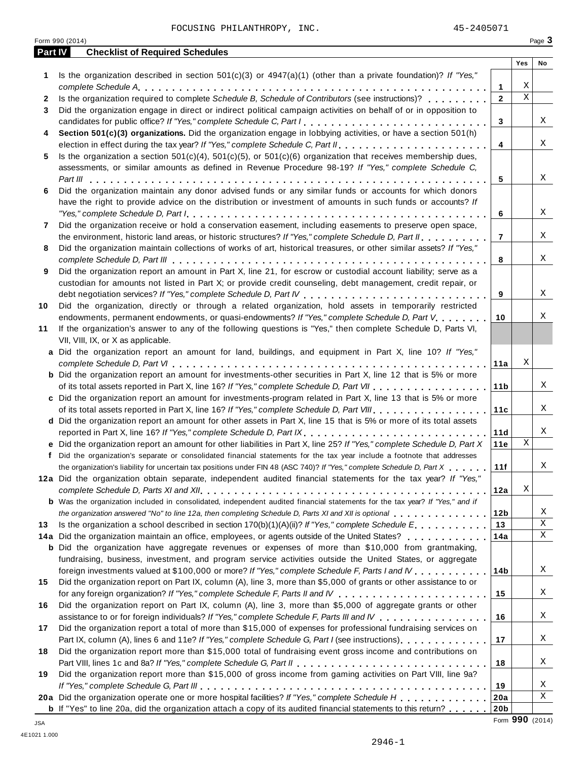|    | FOCUSING PHILANTHROPY, INC.<br>Form 990 (2014)                                                                                      | 45-2405071      |             | Page 3          |
|----|-------------------------------------------------------------------------------------------------------------------------------------|-----------------|-------------|-----------------|
|    | <b>Checklist of Required Schedules</b><br>Part IV                                                                                   |                 |             |                 |
|    |                                                                                                                                     |                 | Yes         | No              |
| 1  | Is the organization described in section $501(c)(3)$ or $4947(a)(1)$ (other than a private foundation)? If "Yes,"                   |                 |             |                 |
| 2  |                                                                                                                                     | 1               | Χ           |                 |
|    | Is the organization required to complete Schedule B, Schedule of Contributors (see instructions)?                                   | $\mathbf{2}$    | $\mathbf X$ |                 |
|    | Did the organization engage in direct or indirect political campaign activities on behalf of or in opposition to                    |                 |             |                 |
|    | candidates for public office? If "Yes," complete Schedule C, Part I.                                                                | 3               |             | Χ               |
| 4  | Section 501(c)(3) organizations. Did the organization engage in lobbying activities, or have a section 501(h)                       |                 |             |                 |
| 5  |                                                                                                                                     | 4               |             | Χ               |
|    | Is the organization a section $501(c)(4)$ , $501(c)(5)$ , or $501(c)(6)$ organization that receives membership dues,                |                 |             |                 |
|    | assessments, or similar amounts as defined in Revenue Procedure 98-19? If "Yes," complete Schedule C,                               |                 |             |                 |
|    |                                                                                                                                     | 5               |             | Χ               |
|    | Did the organization maintain any donor advised funds or any similar funds or accounts for which donors                             |                 |             |                 |
|    | have the right to provide advice on the distribution or investment of amounts in such funds or accounts? If                         |                 |             |                 |
|    |                                                                                                                                     | 6               |             | Χ               |
| 7  | Did the organization receive or hold a conservation easement, including easements to preserve open space,                           |                 |             |                 |
|    | the environment, historic land areas, or historic structures? If "Yes," complete Schedule D, Part II                                | $\overline{7}$  |             | Χ               |
| 8  | Did the organization maintain collections of works of art, historical treasures, or other similar assets? If "Yes,"                 |                 |             |                 |
|    |                                                                                                                                     | 8               |             | Χ               |
|    | Did the organization report an amount in Part X, line 21, for escrow or custodial account liability; serve as a                     |                 |             |                 |
|    | custodian for amounts not listed in Part X; or provide credit counseling, debt management, credit repair, or                        |                 |             |                 |
|    |                                                                                                                                     | 9               |             | Χ               |
| 10 | Did the organization, directly or through a related organization, hold assets in temporarily restricted                             |                 |             |                 |
|    | endowments, permanent endowments, or quasi-endowments? If "Yes," complete Schedule D, Part V. ,                                     | 10              |             | Χ               |
|    | If the organization's answer to any of the following questions is "Yes," then complete Schedule D, Parts VI,                        |                 |             |                 |
|    | VII, VIII, IX, or X as applicable.                                                                                                  |                 |             |                 |
|    | a Did the organization report an amount for land, buildings, and equipment in Part X, line 10? If "Yes,"                            |                 |             |                 |
|    |                                                                                                                                     | 11a             | Χ           |                 |
|    | <b>b</b> Did the organization report an amount for investments-other securities in Part X, line 12 that is 5% or more               |                 |             |                 |
|    |                                                                                                                                     | 11 <sub>b</sub> |             | Χ               |
|    | c Did the organization report an amount for investments-program related in Part X, line 13 that is 5% or more                       |                 |             |                 |
|    |                                                                                                                                     | 11c             |             | Χ               |
|    | d Did the organization report an amount for other assets in Part X, line 15 that is 5% or more of its total assets                  |                 |             |                 |
|    | reported in Part X, line 16? If "Yes," complete Schedule D, Part IX.                                                                | 11d             |             | Χ               |
|    | e Did the organization report an amount for other liabilities in Part X, line 25? If "Yes," complete Schedule D, Part X             | 11e             | X           |                 |
|    | f Did the organization's separate or consolidated financial statements for the tax year include a footnote that addresses           |                 |             |                 |
|    | the organization's liability for uncertain tax positions under FIN 48 (ASC 740)? If "Yes," complete Schedule D, Part X              | 11f             |             | Χ               |
|    | 12a Did the organization obtain separate, independent audited financial statements for the tax year? If "Yes,"                      |                 |             |                 |
|    |                                                                                                                                     | 12a             | X           |                 |
|    | <b>b</b> Was the organization included in consolidated, independent audited financial statements for the tax year? If "Yes," and if |                 |             |                 |
|    | the organization answered "No" to line 12a, then completing Schedule D, Parts XI and XII is optional entertainment of the original  | 12b             |             | Χ               |
|    | Is the organization a school described in section $170(b)(1)(A)(ii)?$ If "Yes," complete Schedule E.                                | 13              |             | Χ               |
|    | 14a Did the organization maintain an office, employees, or agents outside of the United States?                                     | 14a             |             | Χ               |
|    | <b>b</b> Did the organization have aggregate revenues or expenses of more than \$10,000 from grantmaking,                           |                 |             |                 |
|    | fundraising, business, investment, and program service activities outside the United States, or aggregate                           |                 |             |                 |
|    | foreign investments valued at \$100,000 or more? If "Yes," complete Schedule F, Parts I and IV                                      | 14b             |             | Χ               |
|    | Did the organization report on Part IX, column (A), line 3, more than \$5,000 of grants or other assistance to or                   |                 |             |                 |
|    |                                                                                                                                     | 15              |             | Χ               |
|    | Did the organization report on Part IX, column (A), line 3, more than \$5,000 of aggregate grants or other                          |                 |             |                 |
|    | assistance to or for foreign individuals? If "Yes," complete Schedule F, Parts III and IV                                           | 16              |             | Χ               |
|    | Did the organization report a total of more than \$15,000 of expenses for professional fundraising services on                      |                 |             |                 |
|    | Part IX, column (A), lines 6 and 11e? If "Yes," complete Schedule G, Part I (see instructions)                                      | 17              |             | Χ               |
|    | Did the organization report more than \$15,000 total of fundraising event gross income and contributions on                         |                 |             |                 |
|    |                                                                                                                                     | 18              |             | Χ               |
|    | Did the organization report more than \$15,000 of gross income from gaming activities on Part VIII, line 9a?                        |                 |             |                 |
|    |                                                                                                                                     |                 |             | Χ               |
|    |                                                                                                                                     | 19              |             | Χ               |
|    | 20a Did the organization operate one or more hospital facilities? If "Yes," complete Schedule H                                     | 20a             |             |                 |
|    | <b>b</b> If "Yes" to line 20a, did the organization attach a copy of its audited financial statements to this return?               | 20 <sub>b</sub> |             | Form 990 (2014) |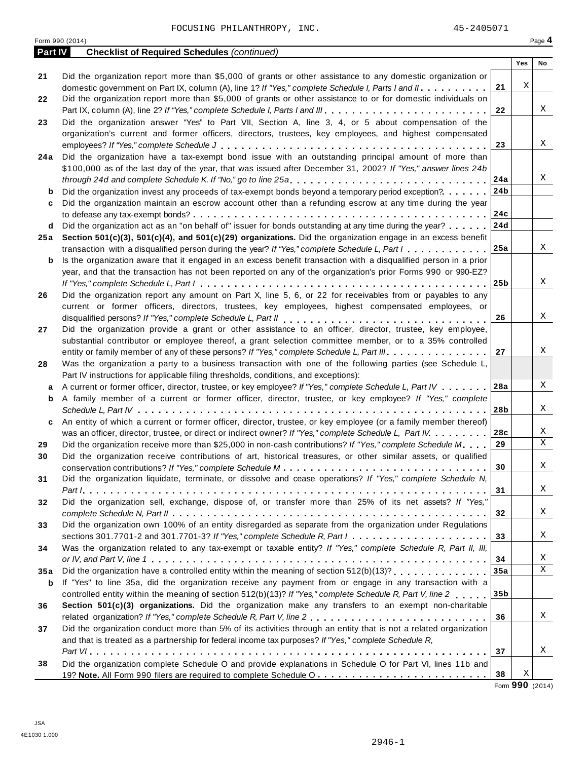|                | 45-2405071<br>FOCUSING PHILANTHROPY, INC.                                                                        |                 |     |                 |
|----------------|------------------------------------------------------------------------------------------------------------------|-----------------|-----|-----------------|
| <b>Part IV</b> | Form 990 (2014)<br><b>Checklist of Required Schedules (continued)</b>                                            |                 |     | Page 4          |
|                |                                                                                                                  |                 | Yes | No              |
| 21             | Did the organization report more than \$5,000 of grants or other assistance to any domestic organization or      |                 |     |                 |
|                | domestic government on Part IX, column (A), line 1? If "Yes," complete Schedule I, Parts I and II.               | 21              | Χ   |                 |
| 22             | Did the organization report more than \$5,000 of grants or other assistance to or for domestic individuals on    |                 |     |                 |
|                |                                                                                                                  | 22              |     | Χ               |
| 23             | Did the organization answer "Yes" to Part VII, Section A, line 3, 4, or 5 about compensation of the              |                 |     |                 |
|                | organization's current and former officers, directors, trustees, key employees, and highest compensated          |                 |     |                 |
|                |                                                                                                                  | 23              |     | Χ               |
| 24 a           | Did the organization have a tax-exempt bond issue with an outstanding principal amount of more than              |                 |     |                 |
|                | \$100,000 as of the last day of the year, that was issued after December 31, 2002? If "Yes," answer lines 24b    |                 |     |                 |
|                | through 24d and complete Schedule K. If "No," go to line 25a                                                     | 24a             |     | Χ               |
| b              | Did the organization invest any proceeds of tax-exempt bonds beyond a temporary period exception?                | 24 <sub>b</sub> |     |                 |
| c              | Did the organization maintain an escrow account other than a refunding escrow at any time during the year        |                 |     |                 |
|                |                                                                                                                  | 24c             |     |                 |
| d              | Did the organization act as an "on behalf of" issuer for bonds outstanding at any time during the year?          | 24d             |     |                 |
|                |                                                                                                                  |                 |     |                 |
| 25 a           | Section 501(c)(3), 501(c)(4), and 501(c)(29) organizations. Did the organization engage in an excess benefit     | 25a             |     | Χ               |
|                | transaction with a disqualified person during the year? If "Yes," complete Schedule L, Part I                    |                 |     |                 |
| b              | Is the organization aware that it engaged in an excess benefit transaction with a disqualified person in a prior |                 |     |                 |
|                | year, and that the transaction has not been reported on any of the organization's prior Forms 990 or 990-EZ?     |                 |     | Χ               |
|                |                                                                                                                  | 25 <sub>b</sub> |     |                 |
| 26             | Did the organization report any amount on Part X, line 5, 6, or 22 for receivables from or payables to any       |                 |     |                 |
|                | current or former officers, directors, trustees, key employees, highest compensated employees, or                |                 |     | Χ               |
|                |                                                                                                                  | 26              |     |                 |
| 27             | Did the organization provide a grant or other assistance to an officer, director, trustee, key employee,         |                 |     |                 |
|                | substantial contributor or employee thereof, a grant selection committee member, or to a 35% controlled          |                 |     |                 |
|                | entity or family member of any of these persons? If "Yes," complete Schedule L, Part III.                        | 27              |     | Χ               |
| 28             | Was the organization a party to a business transaction with one of the following parties (see Schedule L,        |                 |     |                 |
|                | Part IV instructions for applicable filing thresholds, conditions, and exceptions):                              |                 |     |                 |
| a              | A current or former officer, director, trustee, or key employee? If "Yes," complete Schedule L, Part IV          | 28a             |     | X               |
| b              | A family member of a current or former officer, director, trustee, or key employee? If "Yes," complete           |                 |     |                 |
|                |                                                                                                                  | 28b             |     | Χ               |
| c              | An entity of which a current or former officer, director, trustee, or key employee (or a family member thereof)  |                 |     |                 |
|                | was an officer, director, trustee, or direct or indirect owner? If "Yes," complete Schedule L, Part IV           | 28c             |     | Χ               |
| 29             | Did the organization receive more than \$25,000 in non-cash contributions? If "Yes," complete Schedule M.        | 29              |     | Χ               |
| 30             | Did the organization receive contributions of art, historical treasures, or other similar assets, or qualified   |                 |     |                 |
|                |                                                                                                                  | 30              |     | X               |
| 31             | Did the organization liquidate, terminate, or dissolve and cease operations? If "Yes," complete Schedule N,      |                 |     |                 |
|                |                                                                                                                  | 31              |     | Χ               |
| 32             | Did the organization sell, exchange, dispose of, or transfer more than 25% of its net assets? If "Yes,"          |                 |     |                 |
|                |                                                                                                                  | 32              |     | Χ               |
| 33             | Did the organization own 100% of an entity disregarded as separate from the organization under Regulations       |                 |     |                 |
|                | sections 301.7701-2 and 301.7701-3? If "Yes," complete Schedule R, Part                                          | 33              |     | Χ               |
| 34             | Was the organization related to any tax-exempt or taxable entity? If "Yes," complete Schedule R, Part II, III,   |                 |     |                 |
|                |                                                                                                                  | 34              |     | Χ               |
| 35a            | Did the organization have a controlled entity within the meaning of section 512(b)(13)?                          | 35a             |     | X               |
| b              | If "Yes" to line 35a, did the organization receive any payment from or engage in any transaction with a          |                 |     |                 |
|                | controlled entity within the meaning of section 512(b)(13)? If "Yes," complete Schedule R, Part V, line 2        | 35b             |     |                 |
| 36             | Section 501(c)(3) organizations. Did the organization make any transfers to an exempt non-charitable             |                 |     |                 |
|                |                                                                                                                  | 36              |     | X               |
| 37             | Did the organization conduct more than 5% of its activities through an entity that is not a related organization |                 |     |                 |
|                | and that is treated as a partnership for federal income tax purposes? If "Yes," complete Schedule R,             |                 |     |                 |
|                |                                                                                                                  | 37              |     | Χ               |
|                |                                                                                                                  |                 |     |                 |
| 38             | Did the organization complete Schedule O and provide explanations in Schedule O for Part VI, lines 11b and       | 38              | X   |                 |
|                |                                                                                                                  |                 |     | Form 990 (2014) |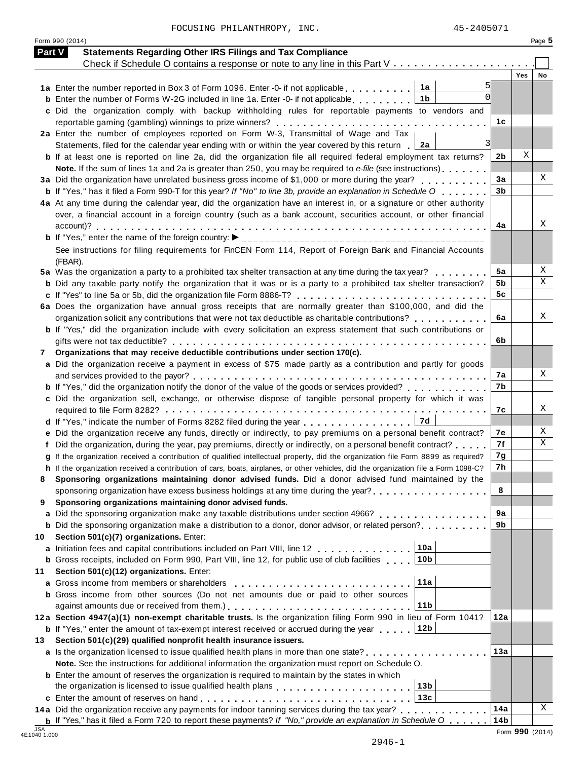|               | Form 990 (2014)                                                                                                                                                                           | 45-2405071     |     | Page 5 |
|---------------|-------------------------------------------------------------------------------------------------------------------------------------------------------------------------------------------|----------------|-----|--------|
| <b>Part V</b> | <b>Statements Regarding Other IRS Filings and Tax Compliance</b>                                                                                                                          |                |     |        |
|               |                                                                                                                                                                                           |                |     |        |
|               |                                                                                                                                                                                           |                | Yes | No     |
|               | 1a<br>1a Enter the number reported in Box 3 of Form 1096. Enter -0- if not applicable                                                                                                     |                |     |        |
|               | <b>b</b> Enter the number of Forms W-2G included in line 1a. Enter -0- if not applicable<br>1b                                                                                            |                |     |        |
|               | c Did the organization comply with backup withholding rules for reportable payments to vendors and                                                                                        | 1с             |     |        |
|               | 2a Enter the number of employees reported on Form W-3, Transmittal of Wage and Tax                                                                                                        |                |     |        |
|               | Statements, filed for the calendar year ending with or within the year covered by this return 2a                                                                                          |                |     |        |
|               | <b>b</b> If at least one is reported on line 2a, did the organization file all required federal employment tax returns?                                                                   | 2b             | Χ   |        |
|               | Note. If the sum of lines 1a and 2a is greater than 250, you may be required to e-file (see instructions)                                                                                 |                |     |        |
|               | 3a Did the organization have unrelated business gross income of \$1,000 or more during the year?                                                                                          | 3a             |     | X      |
|               | <b>b</b> If "Yes," has it filed a Form 990-T for this year? If "No" to line 3b, provide an explanation in Schedule O                                                                      | 3 <sub>b</sub> |     |        |
|               | 4a At any time during the calendar year, did the organization have an interest in, or a signature or other authority                                                                      |                |     |        |
|               | over, a financial account in a foreign country (such as a bank account, securities account, or other financial                                                                            |                |     |        |
|               |                                                                                                                                                                                           | 4a             |     | X      |
|               | <b>b</b> If "Yes," enter the name of the foreign country:                                                                                                                                 |                |     |        |
|               | See instructions for filing requirements for FinCEN Form 114, Report of Foreign Bank and Financial Accounts                                                                               |                |     |        |
|               | (FBAR).<br>5a Was the organization a party to a prohibited tax shelter transaction at any time during the tax year?                                                                       | 5a             |     | Χ      |
|               | <b>b</b> Did any taxable party notify the organization that it was or is a party to a prohibited tax shelter transaction?                                                                 | 5b             |     | X      |
|               |                                                                                                                                                                                           | 5c             |     |        |
|               | 6a Does the organization have annual gross receipts that are normally greater than \$100,000, and did the                                                                                 |                |     |        |
|               |                                                                                                                                                                                           | 6a             |     | Χ      |
|               | b If "Yes," did the organization include with every solicitation an express statement that such contributions or                                                                          |                |     |        |
|               |                                                                                                                                                                                           | 6b             |     |        |
| 7             | Organizations that may receive deductible contributions under section 170(c).                                                                                                             |                |     |        |
|               | a Did the organization receive a payment in excess of \$75 made partly as a contribution and partly for goods                                                                             |                |     | Χ      |
|               |                                                                                                                                                                                           | 7а             |     |        |
|               | <b>b</b> If "Yes," did the organization notify the donor of the value of the goods or services provided?                                                                                  | 7b             |     |        |
|               | c Did the organization sell, exchange, or otherwise dispose of tangible personal property for which it was                                                                                | 7с             |     | Χ      |
|               | 7d<br>d If "Yes," indicate the number of Forms 8282 filed during the year                                                                                                                 |                |     |        |
|               | e Did the organization receive any funds, directly or indirectly, to pay premiums on a personal benefit contract?                                                                         | 7e             |     | Χ      |
|               | Did the organization, during the year, pay premiums, directly or indirectly, on a personal benefit contract?                                                                              | 7f             |     | X      |
|               | g If the organization received a contribution of qualified intellectual property, did the organization file Form 8899 as required?                                                        | 7g             |     |        |
|               | h If the organization received a contribution of cars, boats, airplanes, or other vehicles, did the organization file a Form 1098-C?                                                      | 7h             |     |        |
| 8             | Sponsoring organizations maintaining donor advised funds. Did a donor advised fund maintained by the                                                                                      |                |     |        |
|               | sponsoring organization have excess business holdings at any time during the year?                                                                                                        | 8              |     |        |
| 9             | Sponsoring organizations maintaining donor advised funds.                                                                                                                                 |                |     |        |
| a             | Did the sponsoring organization make any taxable distributions under section 4966?                                                                                                        | 9a             |     |        |
|               | <b>b</b> Did the sponsoring organization make a distribution to a donor, donor advisor, or related person?                                                                                | 9b             |     |        |
| 10            | Section 501(c)(7) organizations. Enter:<br>10a                                                                                                                                            |                |     |        |
|               | a Initiation fees and capital contributions included on Part VIII, line 12<br>10b<br><b>b</b> Gross receipts, included on Form 990, Part VIII, line 12, for public use of club facilities |                |     |        |
| 11            | Section 501(c)(12) organizations. Enter:                                                                                                                                                  |                |     |        |
| a             | 11a<br>Gross income from members or shareholders                                                                                                                                          |                |     |        |
|               | <b>b</b> Gross income from other sources (Do not net amounts due or paid to other sources                                                                                                 |                |     |        |
|               | 11b                                                                                                                                                                                       |                |     |        |
|               | 12a Section 4947(a)(1) non-exempt charitable trusts. Is the organization filing Form 990 in lieu of Form 1041?                                                                            | 12a            |     |        |
|               | <b>b</b> If "Yes," enter the amount of tax-exempt interest received or accrued during the year 12b                                                                                        |                |     |        |
| 13            | Section 501(c)(29) qualified nonprofit health insurance issuers.                                                                                                                          |                |     |        |
|               | a Is the organization licensed to issue qualified health plans in more than one state?                                                                                                    | 13a            |     |        |
|               | Note. See the instructions for additional information the organization must report on Schedule O.                                                                                         |                |     |        |
|               | <b>b</b> Enter the amount of reserves the organization is required to maintain by the states in which                                                                                     |                |     |        |
|               | 13 <sub>b</sub><br>13c                                                                                                                                                                    |                |     |        |
|               |                                                                                                                                                                                           |                |     | Χ      |
|               | 14a Did the organization receive any payments for indoor tanning services during the tax year?                                                                                            | 14a            |     |        |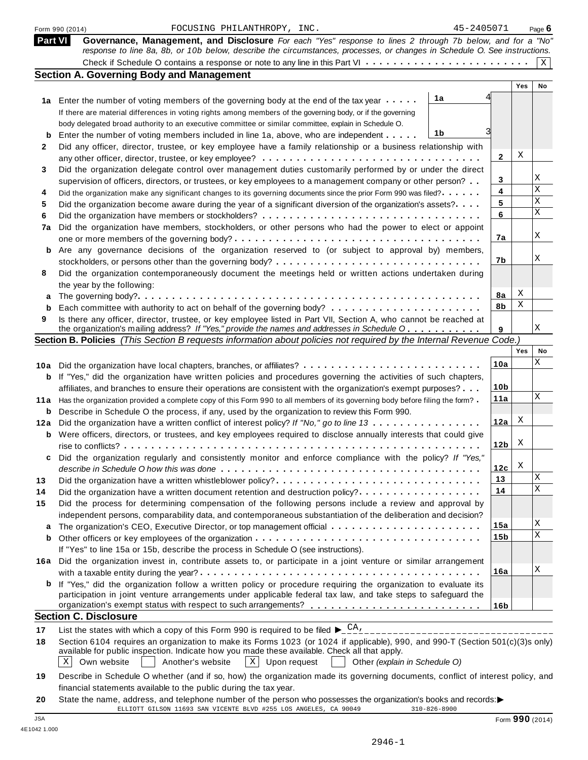|                | 45-2405071<br>FOCUSING PHILANTHROPY, INC.<br>Form 990 (2014)                                                                                                                                                                            |                 |     | Page $6$    |
|----------------|-----------------------------------------------------------------------------------------------------------------------------------------------------------------------------------------------------------------------------------------|-----------------|-----|-------------|
| <b>Part VI</b> | Governance, Management, and Disclosure For each "Yes" response to lines 2 through 7b below, and for a "No"<br>response to line 8a, 8b, or 10b below, describe the circumstances, processes, or changes in Schedule O. See instructions. |                 |     |             |
|                |                                                                                                                                                                                                                                         |                 |     | $\mathbf X$ |
|                |                                                                                                                                                                                                                                         |                 |     |             |
|                | <b>Section A. Governing Body and Management</b>                                                                                                                                                                                         |                 | Yes | No          |
|                | 1a                                                                                                                                                                                                                                      |                 |     |             |
|                | 1a Enter the number of voting members of the governing body at the end of the tax year                                                                                                                                                  |                 |     |             |
|                | If there are material differences in voting rights among members of the governing body, or if the governing                                                                                                                             |                 |     |             |
|                | body delegated broad authority to an executive committee or similar committee, explain in Schedule O.                                                                                                                                   |                 |     |             |
| b              | 1b<br>Enter the number of voting members included in line 1a, above, who are independent                                                                                                                                                |                 |     |             |
| 2              | Did any officer, director, trustee, or key employee have a family relationship or a business relationship with                                                                                                                          |                 |     |             |
|                |                                                                                                                                                                                                                                         | 2               | Χ   |             |
| 3              | Did the organization delegate control over management duties customarily performed by or under the direct                                                                                                                               |                 |     |             |
|                | supervision of officers, directors, or trustees, or key employees to a management company or other person?                                                                                                                              | 3               |     | Χ<br>X      |
| 4              | Did the organization make any significant changes to its governing documents since the prior Form 990 was filed?                                                                                                                        | 4               |     |             |
| 5              | Did the organization become aware during the year of a significant diversion of the organization's assets?                                                                                                                              | 5               |     | X           |
| 6              |                                                                                                                                                                                                                                         | 6               |     | X           |
| 7a             | Did the organization have members, stockholders, or other persons who had the power to elect or appoint                                                                                                                                 |                 |     |             |
|                |                                                                                                                                                                                                                                         | 7а              |     | Χ           |
|                | <b>b</b> Are any governance decisions of the organization reserved to (or subject to approval by) members,                                                                                                                              |                 |     |             |
|                |                                                                                                                                                                                                                                         | 7b              |     | Χ           |
| 8              | Did the organization contemporaneously document the meetings held or written actions undertaken during                                                                                                                                  |                 |     |             |
|                | the year by the following:                                                                                                                                                                                                              |                 |     |             |
| a              |                                                                                                                                                                                                                                         | 8a              | X   |             |
| b              |                                                                                                                                                                                                                                         | 8b              | Χ   |             |
| 9              | Is there any officer, director, trustee, or key employee listed in Part VII, Section A, who cannot be reached at<br>the organization's mailing address? If "Yes," provide the names and addresses in Schedule O                         | 9               |     | X           |
|                | Section B. Policies (This Section B requests information about policies not required by the Internal Revenue Code.)                                                                                                                     |                 |     |             |
|                |                                                                                                                                                                                                                                         |                 | Yes | No          |
|                |                                                                                                                                                                                                                                         | 10a             |     | Χ           |
|                | <b>b</b> If "Yes," did the organization have written policies and procedures governing the activities of such chapters,                                                                                                                 |                 |     |             |
|                | affiliates, and branches to ensure their operations are consistent with the organization's exempt purposes?                                                                                                                             | 10 <sub>b</sub> |     |             |
|                | 11a Has the organization provided a complete copy of this Form 990 to all members of its governing body before filing the form?                                                                                                         | 11a             |     | X           |
|                | <b>b</b> Describe in Schedule O the process, if any, used by the organization to review this Form 990.                                                                                                                                  |                 |     |             |
|                | 12a Did the organization have a written conflict of interest policy? If "No," go to line 13                                                                                                                                             | 12a             | X   |             |
|                | <b>b</b> Were officers, directors, or trustees, and key employees required to disclose annually interests that could give                                                                                                               |                 |     |             |
|                |                                                                                                                                                                                                                                         | 12 <sub>b</sub> | X   |             |
| c              | Did the organization regularly and consistently monitor and enforce compliance with the policy? If "Yes,"                                                                                                                               |                 |     |             |
|                |                                                                                                                                                                                                                                         | 12c             | Χ   |             |
| 13             | Did the organization have a written whistleblower policy?                                                                                                                                                                               | 13              |     | Χ           |
| 14             | Did the organization have a written document retention and destruction policy?                                                                                                                                                          | 14              |     | X           |
| 15             | Did the process for determining compensation of the following persons include a review and approval by                                                                                                                                  |                 |     |             |
|                | independent persons, comparability data, and contemporaneous substantiation of the deliberation and decision?                                                                                                                           |                 |     |             |
| a              |                                                                                                                                                                                                                                         | 15a             |     | Χ           |
| b              |                                                                                                                                                                                                                                         | 15b             |     | X           |
|                | If "Yes" to line 15a or 15b, describe the process in Schedule O (see instructions).                                                                                                                                                     |                 |     |             |
|                | 16a Did the organization invest in, contribute assets to, or participate in a joint venture or similar arrangement                                                                                                                      |                 |     |             |
|                |                                                                                                                                                                                                                                         | 16a             |     | Χ           |
| b              | If "Yes," did the organization follow a written policy or procedure requiring the organization to evaluate its                                                                                                                          |                 |     |             |
|                | participation in joint venture arrangements under applicable federal tax law, and take steps to safeguard the                                                                                                                           | 16 <sub>b</sub> |     |             |
|                | <b>Section C. Disclosure</b>                                                                                                                                                                                                            |                 |     |             |
|                | List the states with which a copy of this Form 990 is required to be filed $\blacktriangleright$ $_{---}^{CA}$ .                                                                                                                        |                 |     |             |
| 17<br>18       | Section 6104 requires an organization to make its Forms 1023 (or 1024 if applicable), 990, and 990-T (Section 501(c)(3)s only)                                                                                                          |                 |     |             |
|                | available for public inspection. Indicate how you made these available. Check all that apply.                                                                                                                                           |                 |     |             |
|                | Own website<br>Another's website<br>$ X $ Upon request<br>ΧI<br>Other (explain in Schedule O)<br>$\mathbf{1}$                                                                                                                           |                 |     |             |
| 19             | Describe in Schedule O whether (and if so, how) the organization made its governing documents, conflict of interest policy, and                                                                                                         |                 |     |             |
|                | financial statements available to the public during the tax year.                                                                                                                                                                       |                 |     |             |

**20** State the name, address, and telephone number of the person who possesses the organization's books and records: $\blacktriangleright$ <br>ELLIOTT GILSON 11693 SAN VICENTE BLVD #255 LOS ANGELES, CA 90049 310-826-8900 JSA Form **990** (2014) ELLIOTT GILSON 11693 SAN VICENTE BLVD #255 LOS ANGELES, CA 90049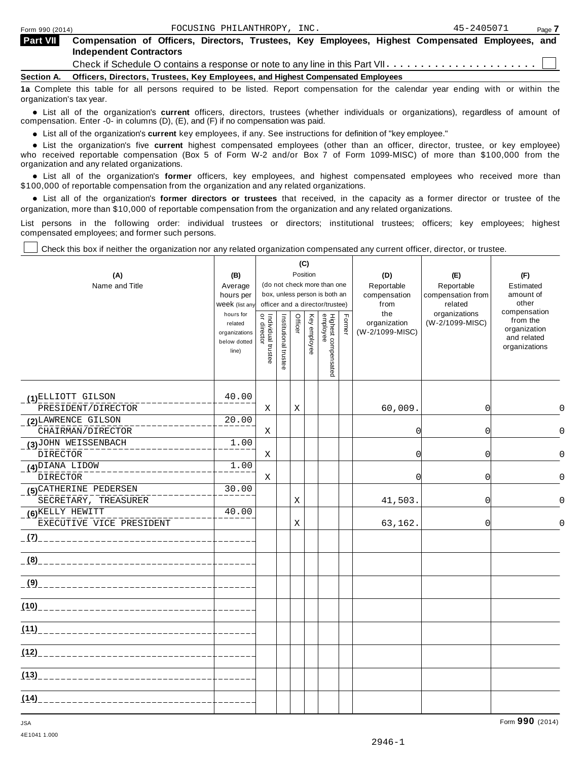organization's tax year.

| Form 990 (2014) |                                                                                                                                    | FOCUSING PHILANTHROPY, INC. |  |  | 45-2405071 | Page 7 |
|-----------------|------------------------------------------------------------------------------------------------------------------------------------|-----------------------------|--|--|------------|--------|
| <b>Part VII</b> | Compensation of Officers, Directors, Trustees, Key Employees, Highest Compensated Employees, and<br><b>Independent Contractors</b> |                             |  |  |            |        |
|                 |                                                                                                                                    |                             |  |  |            |        |
| Section A.      | Officers, Directors, Trustees, Key Employees, and Highest Compensated Employees                                                    |                             |  |  |            |        |
|                 | 1a Complete this table for all persons required to be listed. Report compensation for the calendar year ending with or within the  |                             |  |  |            |        |

anization's lax year.<br>● List all of the organization's **current** officers, directors, trustees (whether individuals or organizations), regardless of amount of<br>nnensation Enter -0- in columns (D) (E) and (E) if no compensa compensation. Enter -0- in columns (D), (E), and (F) if no compensation was paid.

**■** List all of the organization's **current** key employees, if any. See instructions for definition of "key employee."<br>■ List the experimentals five expect highest expressed explores (other than an efficer director t

• List all of the organization's **current** key employees, if any. See instructions for definition of key employee.<br>• List the organization's five **current** highest compensated employees (other than an officer, director, tr who received reportable compensation (Box 5 of Form W-2 and/or Box 7 of Form 1099-MISC) of more than \$100,000 from the

organization and any related organizations.<br>• List all of the organization's **former** officers, key employees, and highest compensated employees who received more than<br>\$1.00.000 of reportable componention from the erganiza \$100,000 of reportable compensation from the organization and any related organizations.

% List all of the organization's **former directors or trustees** that received, in the capacity as a former director or trustee of the organization, more than \$10,000 of reportable compensation from the organization and any related organizations.

List persons in the following order: individual trustees or directors; institutional trustees; officers; key employees; highest compensated employees; and former such persons.

Check this box if neither the organization nor any related organization compensated any current officer, director, or trustee.

| (A)<br>Name and Title                        | (B)<br>Average<br>hours per<br>Week (list any<br>hours for<br>related<br>organizations<br>below dotted<br>line) | Individual trustee<br>or director | Institutional trustee | Position<br>Officer | (C)<br>Key employee | (do not check more than one<br>box, unless person is both an<br>officer and a director/trustee)<br>Highest compensated<br>employee | Former | (D)<br>Reportable<br>compensation<br>from<br>the<br>organization<br>(W-2/1099-MISC) | (E)<br>Reportable<br>compensation from<br>related<br>organizations<br>(W-2/1099-MISC) | (F)<br>Estimated<br>amount of<br>other<br>compensation<br>from the<br>organization<br>and related<br>organizations |             |
|----------------------------------------------|-----------------------------------------------------------------------------------------------------------------|-----------------------------------|-----------------------|---------------------|---------------------|------------------------------------------------------------------------------------------------------------------------------------|--------|-------------------------------------------------------------------------------------|---------------------------------------------------------------------------------------|--------------------------------------------------------------------------------------------------------------------|-------------|
|                                              |                                                                                                                 |                                   |                       |                     |                     |                                                                                                                                    |        |                                                                                     |                                                                                       |                                                                                                                    |             |
| (1) ELLIOTT GILSON<br>PRESIDENT/DIRECTOR     | 40.00                                                                                                           | X                                 |                       | X                   |                     |                                                                                                                                    |        | 60,009.                                                                             | $\Omega$                                                                              |                                                                                                                    | $\mathbf 0$ |
| (2) LAWRENCE GILSON                          | 20.00                                                                                                           |                                   |                       |                     |                     |                                                                                                                                    |        |                                                                                     |                                                                                       |                                                                                                                    |             |
| CHAIRMAN/DIRECTOR                            |                                                                                                                 | X                                 |                       |                     |                     |                                                                                                                                    |        | $\Omega$                                                                            | $\Omega$                                                                              |                                                                                                                    | $\Omega$    |
| (3) JOHN WEISSENBACH                         | 1.00                                                                                                            |                                   |                       |                     |                     |                                                                                                                                    |        |                                                                                     |                                                                                       |                                                                                                                    |             |
| <b>DIRECTOR</b>                              |                                                                                                                 | X                                 |                       |                     |                     |                                                                                                                                    |        | $\Omega$                                                                            | $\Omega$                                                                              |                                                                                                                    | $\Omega$    |
| (4) DIANA LIDOW                              | 1.00                                                                                                            |                                   |                       |                     |                     |                                                                                                                                    |        |                                                                                     |                                                                                       |                                                                                                                    |             |
| <b>DIRECTOR</b>                              |                                                                                                                 | Χ                                 |                       |                     |                     |                                                                                                                                    |        | $\overline{0}$                                                                      | 0                                                                                     |                                                                                                                    | $\Omega$    |
| (5) CATHERINE PEDERSEN                       | 30.00                                                                                                           |                                   |                       |                     |                     |                                                                                                                                    |        |                                                                                     |                                                                                       |                                                                                                                    |             |
| SECRETARY, TREASURER                         |                                                                                                                 |                                   |                       | X                   |                     |                                                                                                                                    |        | 41,503.                                                                             | $\mathbf 0$                                                                           |                                                                                                                    | $\mathbf 0$ |
| (6) KELLY HEWITT<br>EXECUTIVE VICE PRESIDENT | 40.00                                                                                                           |                                   |                       | $\rm X$             |                     |                                                                                                                                    |        | 63,162.                                                                             | $\Omega$                                                                              |                                                                                                                    | $\Omega$    |
| (7)                                          |                                                                                                                 |                                   |                       |                     |                     |                                                                                                                                    |        |                                                                                     |                                                                                       |                                                                                                                    |             |
| _(8)______________________________           |                                                                                                                 |                                   |                       |                     |                     |                                                                                                                                    |        |                                                                                     |                                                                                       |                                                                                                                    |             |
| __(9)____________________________            |                                                                                                                 |                                   |                       |                     |                     |                                                                                                                                    |        |                                                                                     |                                                                                       |                                                                                                                    |             |
| (10)                                         |                                                                                                                 |                                   |                       |                     |                     |                                                                                                                                    |        |                                                                                     |                                                                                       |                                                                                                                    |             |
| (11)                                         |                                                                                                                 |                                   |                       |                     |                     |                                                                                                                                    |        |                                                                                     |                                                                                       |                                                                                                                    |             |
| (12)                                         |                                                                                                                 |                                   |                       |                     |                     |                                                                                                                                    |        |                                                                                     |                                                                                       |                                                                                                                    |             |
| (13)                                         |                                                                                                                 |                                   |                       |                     |                     |                                                                                                                                    |        |                                                                                     |                                                                                       |                                                                                                                    |             |
| (14)                                         |                                                                                                                 |                                   |                       |                     |                     |                                                                                                                                    |        |                                                                                     |                                                                                       |                                                                                                                    |             |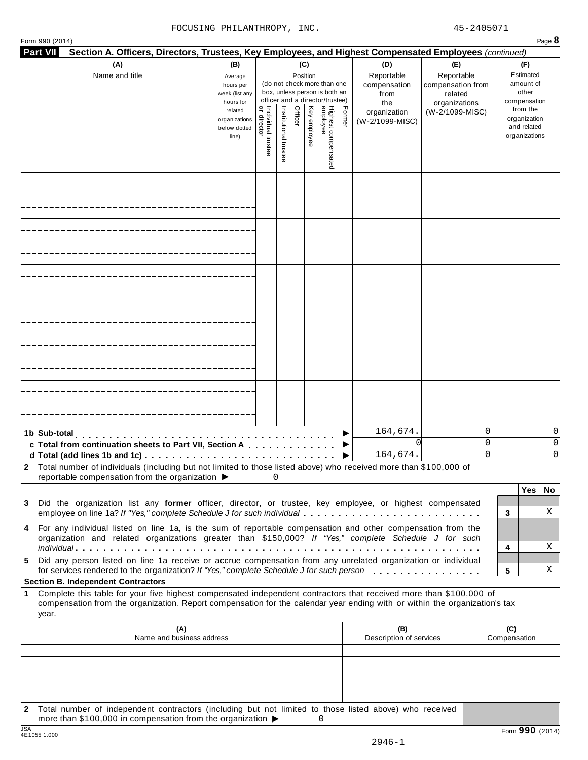|       | Section A. Officers, Directors, Trustees, Key Employees, and Highest Compensated Employees (continued)                                                                                                    |                               |                                   |                       |          |              |                                 |        |                         |                   |              |                          |          |
|-------|-----------------------------------------------------------------------------------------------------------------------------------------------------------------------------------------------------------|-------------------------------|-----------------------------------|-----------------------|----------|--------------|---------------------------------|--------|-------------------------|-------------------|--------------|--------------------------|----------|
|       | (A)                                                                                                                                                                                                       | (B)                           |                                   |                       | (C)      |              |                                 |        | (D)                     | (E)               |              | (F)                      |          |
|       | Name and title                                                                                                                                                                                            | Average                       |                                   |                       | Position |              |                                 |        | Reportable              | Reportable        |              | Estimated                |          |
|       |                                                                                                                                                                                                           | hours per                     |                                   |                       |          |              | (do not check more than one     |        | compensation            | compensation from |              | amount of                |          |
|       |                                                                                                                                                                                                           | week (list any                |                                   |                       |          |              | box, unless person is both an   |        | from                    | related           |              | other                    |          |
|       |                                                                                                                                                                                                           | hours for                     |                                   |                       |          |              | officer and a director/trustee) |        | the                     | organizations     |              | compensation             |          |
|       |                                                                                                                                                                                                           | related                       |                                   |                       | Officer  |              |                                 | Former | organization            | (W-2/1099-MISC)   |              | from the<br>organization |          |
|       |                                                                                                                                                                                                           | organizations<br>below dotted |                                   |                       |          |              |                                 |        | (W-2/1099-MISC)         |                   |              | and related              |          |
|       |                                                                                                                                                                                                           | line)                         |                                   |                       |          | Key employee |                                 |        |                         |                   |              | organizations            |          |
|       |                                                                                                                                                                                                           |                               | Individual trustee<br>or director |                       |          |              |                                 |        |                         |                   |              |                          |          |
|       |                                                                                                                                                                                                           |                               |                                   | Institutional trustee |          |              | Highest compensated<br>employee |        |                         |                   |              |                          |          |
|       |                                                                                                                                                                                                           |                               |                                   |                       |          |              |                                 |        |                         |                   |              |                          |          |
|       |                                                                                                                                                                                                           |                               |                                   |                       |          |              |                                 |        |                         |                   |              |                          |          |
|       |                                                                                                                                                                                                           |                               |                                   |                       |          |              |                                 |        |                         |                   |              |                          |          |
|       |                                                                                                                                                                                                           |                               |                                   |                       |          |              |                                 |        |                         |                   |              |                          |          |
|       |                                                                                                                                                                                                           |                               |                                   |                       |          |              |                                 |        |                         |                   |              |                          |          |
|       |                                                                                                                                                                                                           |                               |                                   |                       |          |              |                                 |        |                         |                   |              |                          |          |
|       |                                                                                                                                                                                                           |                               |                                   |                       |          |              |                                 |        |                         |                   |              |                          |          |
|       |                                                                                                                                                                                                           |                               |                                   |                       |          |              |                                 |        |                         |                   |              |                          |          |
|       |                                                                                                                                                                                                           |                               |                                   |                       |          |              |                                 |        |                         |                   |              |                          |          |
|       |                                                                                                                                                                                                           |                               |                                   |                       |          |              |                                 |        |                         |                   |              |                          |          |
|       |                                                                                                                                                                                                           |                               |                                   |                       |          |              |                                 |        |                         |                   |              |                          |          |
|       |                                                                                                                                                                                                           |                               |                                   |                       |          |              |                                 |        |                         |                   |              |                          |          |
|       |                                                                                                                                                                                                           |                               |                                   |                       |          |              |                                 |        |                         |                   |              |                          |          |
|       |                                                                                                                                                                                                           |                               |                                   |                       |          |              |                                 |        |                         |                   |              |                          |          |
|       |                                                                                                                                                                                                           |                               |                                   |                       |          |              |                                 |        |                         |                   |              |                          |          |
|       |                                                                                                                                                                                                           |                               |                                   |                       |          |              |                                 |        |                         |                   |              |                          |          |
|       |                                                                                                                                                                                                           |                               |                                   |                       |          |              |                                 |        |                         |                   |              |                          |          |
|       |                                                                                                                                                                                                           |                               |                                   |                       |          |              |                                 |        |                         |                   |              |                          |          |
|       |                                                                                                                                                                                                           |                               |                                   |                       |          |              |                                 |        |                         |                   |              |                          |          |
|       | 1b Sub-total                                                                                                                                                                                              |                               |                                   |                       |          |              |                                 |        | 164,674.                | 0                 |              |                          | 0        |
|       | c Total from continuation sheets to Part VII, Section A                                                                                                                                                   |                               |                                   |                       |          |              |                                 |        | $\Omega$                | 0                 |              |                          | 0        |
|       | d Total (add lines 1b and 1c) $\ldots \ldots \ldots \ldots \ldots \ldots \ldots \ldots \ldots \ldots \ldots$                                                                                              |                               |                                   |                       |          |              |                                 | ▶      | 164,674.                | 0                 |              |                          | $\Omega$ |
|       | 2 Total number of individuals (including but not limited to those listed above) who received more than \$100,000 of                                                                                       |                               |                                   |                       |          |              |                                 |        |                         |                   |              |                          |          |
|       | reportable compensation from the organization ▶                                                                                                                                                           |                               | $\Omega$                          |                       |          |              |                                 |        |                         |                   |              |                          |          |
|       |                                                                                                                                                                                                           |                               |                                   |                       |          |              |                                 |        |                         |                   |              | Yes                      | No.      |
| 3.    | Did the organization list any former officer, director, or trustee, key employee, or highest compensated<br>employee on line 1a? If "Yes," complete Schedule J for such individual                        |                               |                                   |                       |          |              |                                 |        |                         |                   | 3            |                          | Χ        |
|       |                                                                                                                                                                                                           |                               |                                   |                       |          |              |                                 |        |                         |                   |              |                          |          |
| 4     | For any individual listed on line 1a, is the sum of reportable compensation and other compensation from the                                                                                               |                               |                                   |                       |          |              |                                 |        |                         |                   |              |                          |          |
|       | organization and related organizations greater than \$150,000? If "Yes," complete Schedule J for such                                                                                                     |                               |                                   |                       |          |              |                                 |        |                         |                   |              |                          | Χ        |
|       |                                                                                                                                                                                                           |                               |                                   |                       |          |              |                                 |        |                         |                   | 4            |                          |          |
| 5.    | Did any person listed on line 1a receive or accrue compensation from any unrelated organization or individual<br>for services rendered to the organization? If "Yes," complete Schedule J for such person |                               |                                   |                       |          |              |                                 |        |                         |                   | 5            |                          | Χ        |
|       | <b>Section B. Independent Contractors</b>                                                                                                                                                                 |                               |                                   |                       |          |              |                                 |        |                         |                   |              |                          |          |
|       | Complete this table for your five highest compensated independent contractors that received more than \$100,000 of                                                                                        |                               |                                   |                       |          |              |                                 |        |                         |                   |              |                          |          |
|       | compensation from the organization. Report compensation for the calendar year ending with or within the organization's tax                                                                                |                               |                                   |                       |          |              |                                 |        |                         |                   |              |                          |          |
| year. |                                                                                                                                                                                                           |                               |                                   |                       |          |              |                                 |        | (B)                     |                   | (C)          |                          |          |
|       | (A)                                                                                                                                                                                                       |                               |                                   |                       |          |              |                                 |        |                         |                   |              |                          |          |
|       | Name and business address                                                                                                                                                                                 |                               |                                   |                       |          |              |                                 |        | Description of services |                   | Compensation |                          |          |
| 1     |                                                                                                                                                                                                           |                               |                                   |                       |          |              |                                 |        |                         |                   |              |                          |          |
|       |                                                                                                                                                                                                           |                               |                                   |                       |          |              |                                 |        |                         |                   |              |                          |          |
|       |                                                                                                                                                                                                           |                               |                                   |                       |          |              |                                 |        |                         |                   |              |                          |          |

more than \$100,000 in compensation from the organization  $\triangleright$ <br>4E1055 1.000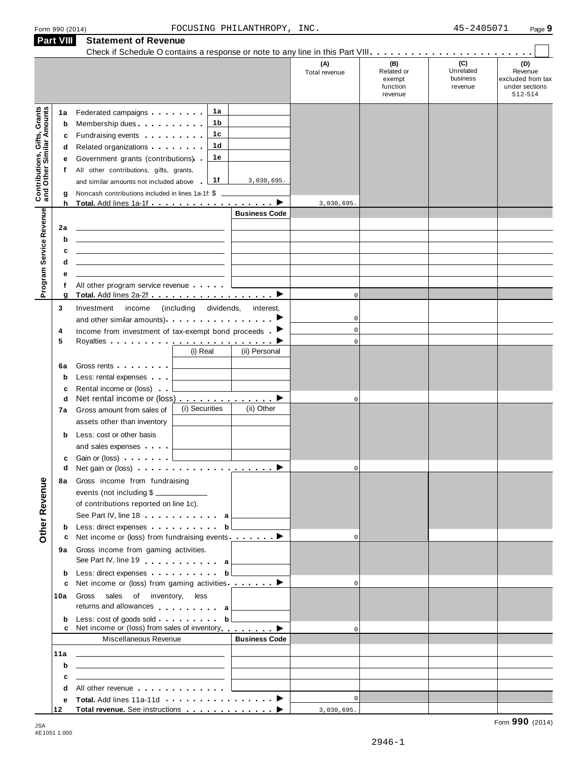|  | Form 990 (2014) |
|--|-----------------|
|  |                 |

|                                                                  | Form 990 (2014)  |                                                                                                                                                                                                                                      |                | FOCUSING PHILANTHROPY, INC. |                      |                    | 45-2405071          | Page 9                              |
|------------------------------------------------------------------|------------------|--------------------------------------------------------------------------------------------------------------------------------------------------------------------------------------------------------------------------------------|----------------|-----------------------------|----------------------|--------------------|---------------------|-------------------------------------|
|                                                                  | <b>Part VIII</b> | <b>Statement of Revenue</b>                                                                                                                                                                                                          |                |                             |                      |                    |                     |                                     |
|                                                                  |                  |                                                                                                                                                                                                                                      |                |                             |                      |                    |                     |                                     |
|                                                                  |                  |                                                                                                                                                                                                                                      |                |                             | (A)<br>Total revenue | (B)<br>Related or  | (C)<br>Unrelated    | (D)<br>Revenue                      |
|                                                                  |                  |                                                                                                                                                                                                                                      |                |                             |                      | exempt<br>function | business<br>revenue | excluded from tax<br>under sections |
|                                                                  |                  |                                                                                                                                                                                                                                      |                |                             |                      | revenue            |                     | 512-514                             |
|                                                                  |                  | Federated campaigns <b>Federated</b>                                                                                                                                                                                                 | 1a             |                             |                      |                    |                     |                                     |
| <b>Contributions, Gifts, Grants</b><br>and Other Similar Amounts | 1а<br>b          | Membership dues <b>All Accords</b> Membership dues                                                                                                                                                                                   | 1b             |                             |                      |                    |                     |                                     |
|                                                                  | c                | Fundraising events <b>Example 2</b> is a set of the set of the set of the set of the set of the set of the set of the set of the set of the set of the set of the set of the set of the set of the set of the set of the set of the  | 1c             |                             |                      |                    |                     |                                     |
|                                                                  | d                | Related organizations <b>and the set of the set of the set of the set of the set of the set of the set of the set of the set of the set of the set of the set of the set of the set of the set of the set of the set of the set </b> | 1d             |                             |                      |                    |                     |                                     |
|                                                                  | е                | Government grants (contributions).                                                                                                                                                                                                   | 1е             |                             |                      |                    |                     |                                     |
|                                                                  | f                | All other contributions, gifts, grants,                                                                                                                                                                                              |                |                             |                      |                    |                     |                                     |
|                                                                  |                  | and similar amounts not included above                                                                                                                                                                                               | 1f             | 3,030,695.                  |                      |                    |                     |                                     |
|                                                                  | g                | Noncash contributions included in lines 1a-1f: \$                                                                                                                                                                                    |                |                             |                      |                    |                     |                                     |
|                                                                  | h                |                                                                                                                                                                                                                                      |                |                             | 3,030,695.           |                    |                     |                                     |
|                                                                  |                  |                                                                                                                                                                                                                                      |                | <b>Business Code</b>        |                      |                    |                     |                                     |
|                                                                  | 2a               |                                                                                                                                                                                                                                      |                |                             |                      |                    |                     |                                     |
|                                                                  | b                |                                                                                                                                                                                                                                      |                |                             |                      |                    |                     |                                     |
|                                                                  | c                |                                                                                                                                                                                                                                      |                |                             |                      |                    |                     |                                     |
| Program Service Revenue                                          | d                |                                                                                                                                                                                                                                      |                |                             |                      |                    |                     |                                     |
|                                                                  | е                |                                                                                                                                                                                                                                      |                |                             |                      |                    |                     |                                     |
|                                                                  | f<br>g           | All other program service revenue                                                                                                                                                                                                    |                |                             | $\mathbf 0$          |                    |                     |                                     |
|                                                                  | 3                | Investment                                                                                                                                                                                                                           |                |                             |                      |                    |                     |                                     |
|                                                                  |                  | income (including dividends, interest,                                                                                                                                                                                               |                |                             | $\mathbf 0$          |                    |                     |                                     |
|                                                                  | 4                | Income from investment of tax-exempt bond proceeds $\blacksquare$                                                                                                                                                                    |                |                             | $\mathbf 0$          |                    |                     |                                     |
|                                                                  | 5                |                                                                                                                                                                                                                                      |                |                             | $\mathbf 0$          |                    |                     |                                     |
|                                                                  |                  |                                                                                                                                                                                                                                      | (i) Real       | (ii) Personal               |                      |                    |                     |                                     |
|                                                                  | 6a               | Gross rents <b>contains a container</b>                                                                                                                                                                                              |                |                             |                      |                    |                     |                                     |
|                                                                  | b                | Less: rental expenses                                                                                                                                                                                                                |                |                             |                      |                    |                     |                                     |
|                                                                  | c                | Rental income or (loss)                                                                                                                                                                                                              |                |                             |                      |                    |                     |                                     |
|                                                                  | d                | Net rental income or (loss) ▶                                                                                                                                                                                                        |                |                             | $\mathbf 0$          |                    |                     |                                     |
|                                                                  | 7a               | Gross amount from sales of                                                                                                                                                                                                           | (i) Securities | (ii) Other                  |                      |                    |                     |                                     |
|                                                                  |                  | assets other than inventory                                                                                                                                                                                                          |                |                             |                      |                    |                     |                                     |
|                                                                  | b                | Less: cost or other basis                                                                                                                                                                                                            |                |                             |                      |                    |                     |                                     |
|                                                                  |                  | and sales expenses                                                                                                                                                                                                                   |                |                             |                      |                    |                     |                                     |
|                                                                  | c                | Gain or (loss) example a contract to the contract of the contract of the contract of the contract of the contract of the contract of the contract of the contract of the contract of the contract of the contract of the contr       |                |                             |                      |                    |                     |                                     |
|                                                                  | d                | Net gain or (loss) <b>.</b> ▶                                                                                                                                                                                                        |                |                             | $\Omega$             |                    |                     |                                     |
|                                                                  | 8a               | Gross income from fundraising                                                                                                                                                                                                        |                |                             |                      |                    |                     |                                     |
| Revenue                                                          |                  | events (not including \$                                                                                                                                                                                                             |                |                             |                      |                    |                     |                                     |
|                                                                  |                  | of contributions reported on line 1c).                                                                                                                                                                                               |                |                             |                      |                    |                     |                                     |
|                                                                  |                  | See Part IV, line 18 a<br>Less: direct expenses b                                                                                                                                                                                    |                |                             |                      |                    |                     |                                     |
| Other                                                            | b<br>c           | Net income or (loss) from fundraising events _________                                                                                                                                                                               |                |                             | $\Omega$             |                    |                     |                                     |
|                                                                  | 9а               | Gross income from gaming activities.                                                                                                                                                                                                 |                |                             |                      |                    |                     |                                     |
|                                                                  |                  | See Part IV, line 19 and the Lines of Allen and Allen and Allen and Allen and Allen and Allen and Allen and Al                                                                                                                       |                |                             |                      |                    |                     |                                     |
|                                                                  | b                |                                                                                                                                                                                                                                      |                |                             |                      |                    |                     |                                     |
|                                                                  | c                | Net income or (loss) from gaming activities ________ ▶                                                                                                                                                                               |                |                             | $\Omega$             |                    |                     |                                     |
|                                                                  | 10a              | sales of inventory, less<br>Gross                                                                                                                                                                                                    |                |                             |                      |                    |                     |                                     |
|                                                                  |                  |                                                                                                                                                                                                                                      |                |                             |                      |                    |                     |                                     |
|                                                                  | b                | Less: $cost$ of goods sold $\ldots \ldots \ldots b$                                                                                                                                                                                  |                |                             |                      |                    |                     |                                     |
|                                                                  |                  | Net income or (loss) from sales of inventory <b>EXECUC</b><br>Miscellaneous Revenue                                                                                                                                                  |                | <b>Business Code</b>        | $\Omega$             |                    |                     |                                     |
|                                                                  |                  |                                                                                                                                                                                                                                      |                |                             |                      |                    |                     |                                     |
|                                                                  | 11a              | the control of the control of the control of the control of the control of the control of                                                                                                                                            |                |                             |                      |                    |                     |                                     |
|                                                                  | b                | the control of the control of the control of the control of the control of the control of                                                                                                                                            |                |                             |                      |                    |                     |                                     |
|                                                                  | с                | the control of the control of the control of the control of the control of                                                                                                                                                           |                |                             |                      |                    |                     |                                     |
|                                                                  | d                | All other revenue<br>Total. Add lines 11a-11d ▶                                                                                                                                                                                      |                |                             | $\mathbf 0$          |                    |                     |                                     |
|                                                                  | е<br>12          | Total revenue. See instructions ▶                                                                                                                                                                                                    |                |                             | 3,030,695.           |                    |                     |                                     |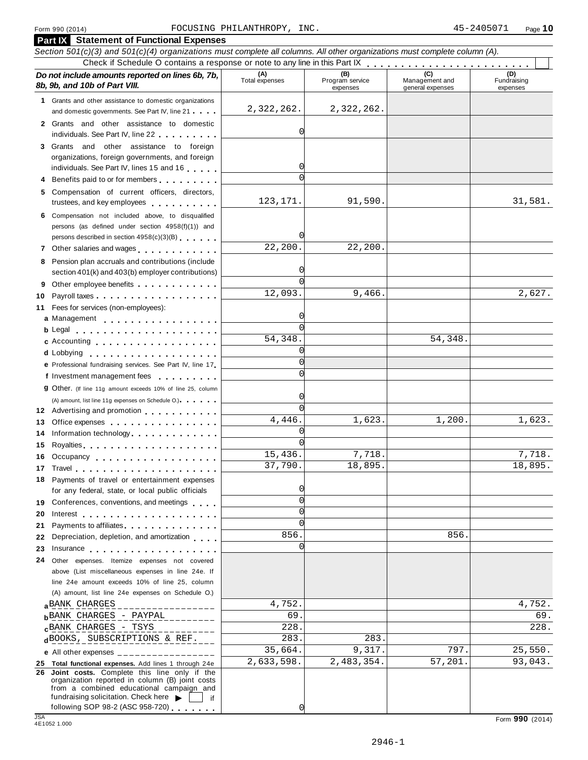#### Form 990 (2014) Page **10** FOCUSING PHILANTHROPY, INC. 45-2405071

| Form 990 (2014)                                                                                                                                                                                                                                                                                  | FOCUSING PHILANTHROPY, INC. |                                    |                                           | 45-2405071<br>Page $10$        |
|--------------------------------------------------------------------------------------------------------------------------------------------------------------------------------------------------------------------------------------------------------------------------------------------------|-----------------------------|------------------------------------|-------------------------------------------|--------------------------------|
| <b>Part IX</b> Statement of Functional Expenses<br>Section 501(c)(3) and 501(c)(4) organizations must complete all columns. All other organizations must complete column (A).                                                                                                                    |                             |                                    |                                           |                                |
|                                                                                                                                                                                                                                                                                                  |                             |                                    |                                           |                                |
| Do not include amounts reported on lines 6b, 7b,<br>8b, 9b, and 10b of Part VIII.                                                                                                                                                                                                                | (A)<br>Total expenses       | (B)<br>Program service<br>expenses | (C)<br>Management and<br>general expenses | (D)<br>Fundraising<br>expenses |
| 1 Grants and other assistance to domestic organizations                                                                                                                                                                                                                                          |                             |                                    |                                           |                                |
| and domestic governments. See Part IV, line 21                                                                                                                                                                                                                                                   | 2,322,262.                  | 2,322,262.                         |                                           |                                |
| 2 Grants and other assistance to domestic                                                                                                                                                                                                                                                        |                             |                                    |                                           |                                |
| individuals. See Part IV, line 22                                                                                                                                                                                                                                                                | 0l                          |                                    |                                           |                                |
| 3 Grants and other assistance to foreign                                                                                                                                                                                                                                                         |                             |                                    |                                           |                                |
| organizations, foreign governments, and foreign<br>individuals. See Part IV, lines 15 and 16                                                                                                                                                                                                     | 0l                          |                                    |                                           |                                |
| Benefits paid to or for members                                                                                                                                                                                                                                                                  |                             |                                    |                                           |                                |
| 5 Compensation of current officers, directors,                                                                                                                                                                                                                                                   |                             |                                    |                                           |                                |
| trustees, and key employees                                                                                                                                                                                                                                                                      | 123, 171.                   | 91,590.                            |                                           | 31,581.                        |
| 6 Compensation not included above, to disqualified                                                                                                                                                                                                                                               |                             |                                    |                                           |                                |
| persons (as defined under section 4958(f)(1)) and                                                                                                                                                                                                                                                |                             |                                    |                                           |                                |
| persons described in section 4958(c)(3)(B)                                                                                                                                                                                                                                                       |                             |                                    |                                           |                                |
| 7 Other salaries and wages                                                                                                                                                                                                                                                                       | 22, 200.                    | 22,200.                            |                                           |                                |
| 8 Pension plan accruals and contributions (include                                                                                                                                                                                                                                               | 0                           |                                    |                                           |                                |
| section 401(k) and 403(b) employer contributions)                                                                                                                                                                                                                                                |                             |                                    |                                           |                                |
| 9 Other employee benefits                                                                                                                                                                                                                                                                        | 12,093.                     | 9,466.                             |                                           | 2,627.                         |
| 10<br>11 Fees for services (non-employees):                                                                                                                                                                                                                                                      |                             |                                    |                                           |                                |
| a Management                                                                                                                                                                                                                                                                                     | 0                           |                                    |                                           |                                |
|                                                                                                                                                                                                                                                                                                  |                             |                                    |                                           |                                |
| c Accounting entering the set of the set of the set of the set of the set of the set of the set of the set of the set of the set of the set of the set of the set of the set of the set of the set of the set of the set of th                                                                   | 54,348.                     |                                    | 54,348.                                   |                                |
|                                                                                                                                                                                                                                                                                                  | 0                           |                                    |                                           |                                |
| e Professional fundraising services. See Part IV, line 17                                                                                                                                                                                                                                        | $\Omega$                    |                                    |                                           |                                |
| f Investment management fees                                                                                                                                                                                                                                                                     | $\Omega$                    |                                    |                                           |                                |
| <b>g</b> Other. (If line 11g amount exceeds 10% of line 25, column                                                                                                                                                                                                                               | 0                           |                                    |                                           |                                |
| (A) amount, list line 11g expenses on Schedule O.)                                                                                                                                                                                                                                               |                             |                                    |                                           |                                |
| 12 Advertising and promotion                                                                                                                                                                                                                                                                     | 4,446.                      | 1,623.                             | 1,200.                                    | 1,623.                         |
| 13 Office expenses<br>14 Information technology                                                                                                                                                                                                                                                  | O                           |                                    |                                           |                                |
| Royalties<br>15                                                                                                                                                                                                                                                                                  |                             |                                    |                                           |                                |
| Occupancy<br>16                                                                                                                                                                                                                                                                                  | 15,436.                     | 7,718.                             |                                           | 7,718.                         |
| Travel<br>17                                                                                                                                                                                                                                                                                     | 37,790.                     | 18,895.                            |                                           | 18,895.                        |
| Payments of travel or entertainment expenses<br>18                                                                                                                                                                                                                                               |                             |                                    |                                           |                                |
| for any federal, state, or local public officials                                                                                                                                                                                                                                                | 0                           |                                    |                                           |                                |
| Conferences, conventions, and meetings<br>19                                                                                                                                                                                                                                                     | $\Omega$                    |                                    |                                           |                                |
| 20<br>Interest $\ldots$ , $\ldots$ , $\ldots$ , $\ldots$ , $\ldots$ , $\ldots$ , $\ldots$                                                                                                                                                                                                        | $\Omega$<br>$\Omega$        |                                    |                                           |                                |
| Payments to affiliates expansion of the set of the set of the set of the set of the set of the set of the set o<br>21                                                                                                                                                                            | 856.                        |                                    | 856.                                      |                                |
| Depreciation, depletion, and amortization<br>22                                                                                                                                                                                                                                                  | $\Omega$                    |                                    |                                           |                                |
| 23<br>Insurance <b>All Property Contract Contract Contract Contract Contract Contract Contract Contract Contract Contract Contract Contract Contract Contract Contract Contract Contract Contract Contract Contract Contract Contract </b><br>24<br>Other expenses. Itemize expenses not covered |                             |                                    |                                           |                                |
| above (List miscellaneous expenses in line 24e. If                                                                                                                                                                                                                                               |                             |                                    |                                           |                                |
| line 24e amount exceeds 10% of line 25, column                                                                                                                                                                                                                                                   |                             |                                    |                                           |                                |
| (A) amount, list line 24e expenses on Schedule O.)                                                                                                                                                                                                                                               |                             |                                    |                                           |                                |
| BANK CHARGES                                                                                                                                                                                                                                                                                     | 4,752.                      |                                    |                                           | 4,752.                         |
| <b>b</b> BANK CHARGES - PAYPAL                                                                                                                                                                                                                                                                   | 69.                         |                                    |                                           | 69.                            |
| <b>CBANK CHARGES - TSYS</b>                                                                                                                                                                                                                                                                      | 228.                        |                                    |                                           | 228.                           |
| dBOOKS, SUBSCRIPTIONS & REF.                                                                                                                                                                                                                                                                     | 283.<br>35,664.             | 283.<br>9,317.                     | 797.                                      | 25,550.                        |
| e All other expenses $\frac{1}{1}$                                                                                                                                                                                                                                                               | 2,633,598.                  | 2,483,354.                         | 57,201.                                   | 93,043.                        |
| 25 Total functional expenses. Add lines 1 through 24e<br>26 Joint costs. Complete this line only if the<br>organization reported in column (B) joint costs<br>from a combined educational campaign and                                                                                           |                             |                                    |                                           |                                |
| fundraising solicitation. Check here $\blacktriangleright$<br>if<br>following SOP 98-2 (ASC 958-720)                                                                                                                                                                                             | 0                           |                                    |                                           |                                |
| <b>JSA</b>                                                                                                                                                                                                                                                                                       |                             |                                    |                                           | Form 990 (2014)                |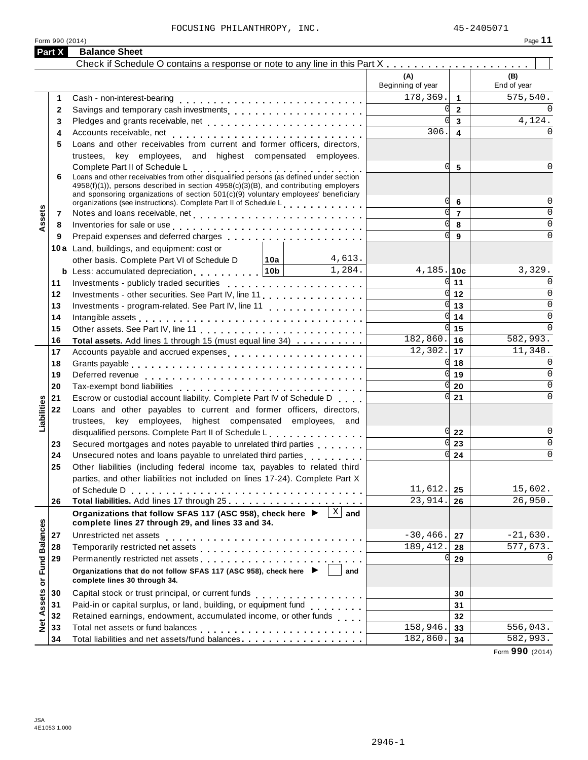|                              | FOCUSING PHILANTHROPY, INC.                                                                                                                                                                                                          |                          |                | 45-2405071         |
|------------------------------|--------------------------------------------------------------------------------------------------------------------------------------------------------------------------------------------------------------------------------------|--------------------------|----------------|--------------------|
| Form 990 (2014)              |                                                                                                                                                                                                                                      |                          |                | Page 11            |
| Part X                       | <b>Balance Sheet</b>                                                                                                                                                                                                                 |                          |                |                    |
|                              |                                                                                                                                                                                                                                      |                          |                |                    |
|                              |                                                                                                                                                                                                                                      | (A)<br>Beginning of year |                | (B)<br>End of year |
| 1                            | Cash - non-interest-bearing                                                                                                                                                                                                          | 178,369.                 | $\overline{1}$ | 575, 540.          |
| $\mathbf{2}$                 | Savings and temporary cash investments                                                                                                                                                                                               |                          | $\overline{2}$ |                    |
| 3                            |                                                                                                                                                                                                                                      |                          | $\overline{3}$ | 4,124.             |
| 4                            |                                                                                                                                                                                                                                      | 306.                     | $\overline{4}$ |                    |
| 5                            | Loans and other receivables from current and former officers, directors,                                                                                                                                                             |                          |                |                    |
|                              | trustees, key employees, and highest compensated employees.                                                                                                                                                                          |                          |                |                    |
|                              | Complete Part II of Schedule L                                                                                                                                                                                                       |                          | 5              |                    |
| 6                            | Complete Part if or Scriedule L<br>Loans and other receivables from other disqualified persons (as defined under section                                                                                                             |                          |                |                    |
|                              | $4958(f)(1)$ , persons described in section $4958(c)(3)(B)$ , and contributing employers                                                                                                                                             |                          |                |                    |
|                              | and sponsoring organizations of section $501(c)(9)$ voluntary employees beneficiary<br>organizations (see instructions). Complete Part II of Schedule Learning and Learning                                                          |                          | 6              |                    |
| 7                            |                                                                                                                                                                                                                                      |                          | $\overline{7}$ |                    |
| Assets<br>8                  | Inventories for sale or use enterpreteration of the contract of the sale or use of the same of the same of the                                                                                                                       |                          | 8              |                    |
| 9                            | Prepaid expenses and deferred charges experiences and the set of the set of the set of the set of the set of the set of the set of the set of the set of the set of the set of the set of the set of the set of the set of the       |                          | 9              |                    |
|                              | 10a Land, buildings, and equipment: cost or                                                                                                                                                                                          |                          |                |                    |
|                              | 4,613.<br>other basis. Complete Part VI of Schedule D<br>∣10a I                                                                                                                                                                      |                          |                |                    |
|                              | $\overline{1,284}$ .<br><b>b</b> Less: accumulated depreciation 10b                                                                                                                                                                  | $4,185.$ 10c             |                | 3,329.             |
| 11                           | Investments - publicly traded securities                                                                                                                                                                                             |                          | 11             |                    |
| 12                           |                                                                                                                                                                                                                                      |                          | 12             |                    |
| 13                           |                                                                                                                                                                                                                                      |                          | 13             |                    |
| 14                           | Intangible assets $\ldots \ldots \ldots \ldots \ldots \ldots \ldots \ldots \ldots \ldots$                                                                                                                                            |                          | 14             |                    |
| 15                           |                                                                                                                                                                                                                                      |                          | 15             |                    |
| 16                           | Total assets. Add lines 1 through 15 (must equal line 34)                                                                                                                                                                            | 182,860.                 | 16             | 582,993.           |
| 17                           | Accounts payable and accrued expenses                                                                                                                                                                                                | 12,302.                  | 17             | 11,348.            |
| 18                           |                                                                                                                                                                                                                                      |                          | 18             |                    |
| 19                           | Deferred revenue $\ldots \ldots \ldots \ldots \ldots \ldots \ldots \ldots$                                                                                                                                                           |                          | 19             |                    |
| 20                           |                                                                                                                                                                                                                                      |                          | 20             |                    |
| 21                           | Escrow or custodial account liability. Complete Part IV of Schedule D.                                                                                                                                                               |                          | 21             |                    |
| abilities<br>22              | Loans and other payables to current and former officers, directors,                                                                                                                                                                  |                          |                |                    |
|                              | trustees, key employees, highest compensated employees, and                                                                                                                                                                          |                          |                |                    |
| ⊐                            | disqualified persons. Complete Part II of Schedule L.                                                                                                                                                                                | ი                        | 22             |                    |
| 23                           | Secured mortgages and notes payable to unrelated third parties                                                                                                                                                                       |                          | 23             |                    |
| 24                           | Unsecured notes and loans payable to unrelated third parties <b>witch the state of the state of the state of the state of the state of the state of the state of the state of the state of the state of the state of the state o</b> |                          | 24             |                    |
| 25                           | Other liabilities (including federal income tax, payables to related third                                                                                                                                                           |                          |                |                    |
|                              | parties, and other liabilities not included on lines 17-24). Complete Part X                                                                                                                                                         |                          |                |                    |
|                              |                                                                                                                                                                                                                                      | 11,612.<br>23,914.       | 25             | 15,602.<br>26,950. |
| 26                           |                                                                                                                                                                                                                                      |                          | 26             |                    |
|                              | X<br>Organizations that follow SFAS 117 (ASC 958), check here ▶<br>and<br>complete lines 27 through 29, and lines 33 and 34.                                                                                                         |                          |                |                    |
|                              | Unrestricted net assets                                                                                                                                                                                                              | $-30, 466.$              |                | $-21,630.$         |
| 27<br>28                     |                                                                                                                                                                                                                                      | 189, 412.                | 27             | 577,673.           |
| 29                           |                                                                                                                                                                                                                                      |                          | 28<br>29       |                    |
| <b>Fund Balances</b>         |                                                                                                                                                                                                                                      |                          |                |                    |
| $\overleftarrow{\mathtt{o}}$ | Organizations that do not follow SFAS 117 (ASC 958), check here ▶<br>and<br>complete lines 30 through 34.                                                                                                                            |                          |                |                    |
| 30                           | Capital stock or trust principal, or current funds                                                                                                                                                                                   |                          | 30             |                    |
| Assets<br>31                 | Paid-in or capital surplus, or land, building, or equipment fund                                                                                                                                                                     |                          | 31             |                    |
| 32                           | Retained earnings, endowment, accumulated income, or other funds                                                                                                                                                                     |                          | 32             |                    |
| <b>b</b><br>2<br>33          |                                                                                                                                                                                                                                      | 158,946.                 | 33             | 556,043.           |
| 34                           | Total liabilities and net assets/fund balances                                                                                                                                                                                       | 182,860.                 | 34             | 582,993.           |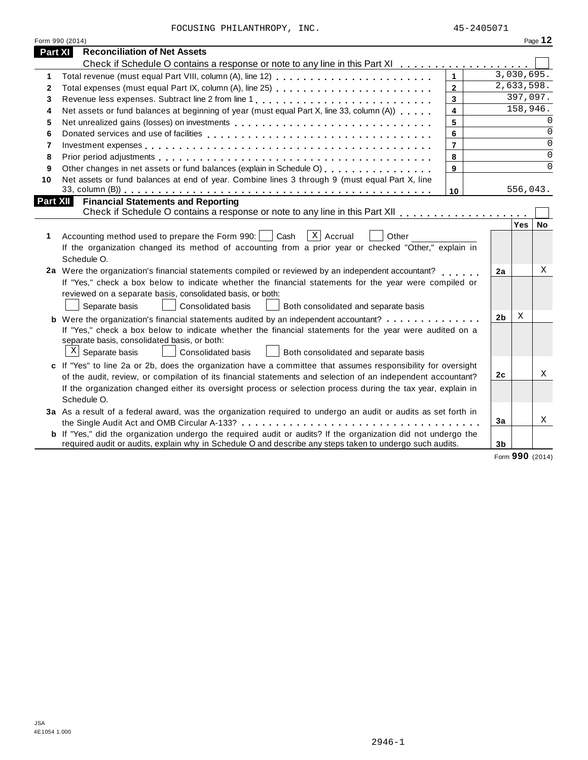|          | FOCUSING PHILANTHROPY, INC.                                                                                                                                                                                                                          | 45-2405071              |                |                  |             |
|----------|------------------------------------------------------------------------------------------------------------------------------------------------------------------------------------------------------------------------------------------------------|-------------------------|----------------|------------------|-------------|
|          | Form 990 (2014)                                                                                                                                                                                                                                      |                         |                |                  | Page 12     |
| Part XI  | <b>Reconciliation of Net Assets</b>                                                                                                                                                                                                                  |                         |                |                  |             |
|          | Check if Schedule O contains a response or note to any line in this Part XI                                                                                                                                                                          |                         |                |                  |             |
| 1        |                                                                                                                                                                                                                                                      | $\mathbf{1}$            |                | 3,030,695.       |             |
| 2        |                                                                                                                                                                                                                                                      | $\overline{2}$          |                | 2,633,598.       |             |
| 3        |                                                                                                                                                                                                                                                      | $\overline{\mathbf{3}}$ |                | 397,097.         |             |
| 4        | Net assets or fund balances at beginning of year (must equal Part X, line 33, column (A))                                                                                                                                                            | $\overline{\mathbf{4}}$ |                | 158,946.         |             |
| 5        |                                                                                                                                                                                                                                                      | 5                       |                |                  | $\Omega$    |
| 6        | Donated services and use of facilities enterpreteral resources and the services and use of facilities enterpreteral resources and the services and use of facilities                                                                                 | 6                       |                |                  | $\Omega$    |
| 7        |                                                                                                                                                                                                                                                      | $\overline{7}$          |                |                  | $\mathbf 0$ |
| 8        |                                                                                                                                                                                                                                                      | 8                       |                |                  | $\Omega$    |
| 9        | Other changes in net assets or fund balances (explain in Schedule O) [1, production of the changes in net assets or fund balances (explain in Schedule O)                                                                                            | 9                       |                |                  | $\Omega$    |
| 10       | Net assets or fund balances at end of year. Combine lines 3 through 9 (must equal Part X, line                                                                                                                                                       | 10                      |                | 556,043.         |             |
| Part XII | <b>Financial Statements and Reporting</b>                                                                                                                                                                                                            |                         |                | Yes <sup>1</sup> | No          |
| 1        | $\overline{X}$ Accrual<br>Accounting method used to prepare the Form 990:     Cash<br>Other<br>If the organization changed its method of accounting from a prior year or checked "Other," explain in<br>Schedule O.                                  |                         |                |                  |             |
|          | 2a Were the organization's financial statements compiled or reviewed by an independent accountant?                                                                                                                                                   |                         | 2a             |                  | Χ           |
|          | If "Yes," check a box below to indicate whether the financial statements for the year were compiled or<br>reviewed on a separate basis, consolidated basis, or both:                                                                                 |                         |                |                  |             |
|          | Separate basis<br>Consolidated basis<br>Both consolidated and separate basis                                                                                                                                                                         |                         |                |                  |             |
|          | <b>b</b> Were the organization's financial statements audited by an independent accountant?                                                                                                                                                          |                         | 2 <sub>b</sub> | X                |             |
|          | If "Yes," check a box below to indicate whether the financial statements for the year were audited on a<br>separate basis, consolidated basis, or both:<br>$\mathbb{X}$ Separate basis<br>Consolidated basis<br>Both consolidated and separate basis |                         |                |                  |             |
|          | c If "Yes" to line 2a or 2b, does the organization have a committee that assumes responsibility for oversight                                                                                                                                        |                         |                |                  |             |
|          | of the audit, review, or compilation of its financial statements and selection of an independent accountant?                                                                                                                                         |                         | 2 <sub>c</sub> |                  | X           |
|          | If the organization changed either its oversight process or selection process during the tax year, explain in<br>Schedule O.                                                                                                                         |                         |                |                  |             |
|          | 3a As a result of a federal award, was the organization required to undergo an audit or audits as set forth in                                                                                                                                       |                         |                |                  |             |
|          |                                                                                                                                                                                                                                                      |                         | 3a             |                  | Χ           |
|          | <b>b</b> If "Yes," did the organization undergo the required audit or audits? If the organization did not undergo the<br>required audit or audits, explain why in Schedule O and describe any steps taken to undergo such audits.                    |                         | 3b             |                  |             |

Form **990** (2014)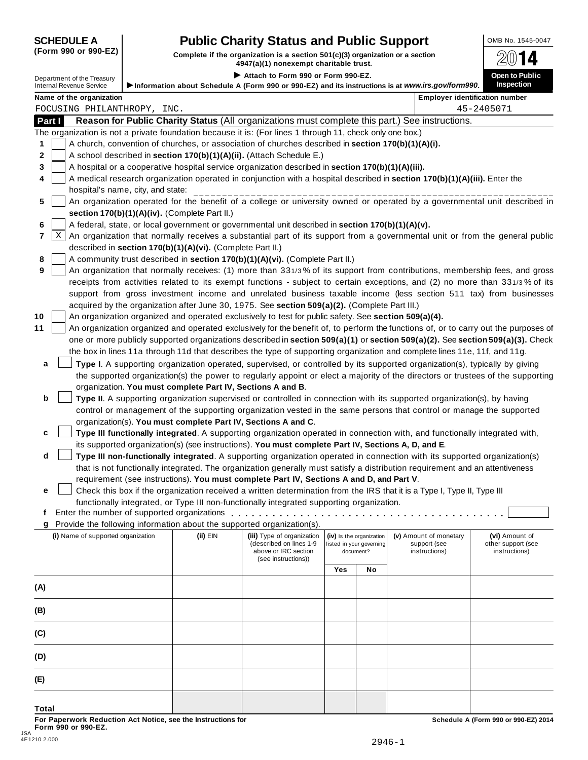|  |  |  | (Form 990 or 990-EZ) |
|--|--|--|----------------------|
|--|--|--|----------------------|

## **SCHEDULE A Public Charity Status and Public Support** OMB No. 1545-0047

(Form 990 or 990-EZ) **Complete if the organization is a section** 501(c)(3) organization or a section  $\frac{2011}{4}$ 

|                                                        |                                               |                                                            | 4947 (a) 11 Honexempt charitable trust.                                                                                                                                                                         |     |                                                      |                                                                                                                                     |                                                                                                                              |
|--------------------------------------------------------|-----------------------------------------------|------------------------------------------------------------|-----------------------------------------------------------------------------------------------------------------------------------------------------------------------------------------------------------------|-----|------------------------------------------------------|-------------------------------------------------------------------------------------------------------------------------------------|------------------------------------------------------------------------------------------------------------------------------|
| Department of the Treasury<br>Internal Revenue Service |                                               |                                                            | Attach to Form 990 or Form 990-EZ.                                                                                                                                                                              |     |                                                      |                                                                                                                                     | Open to Public<br><b>Inspection</b>                                                                                          |
|                                                        |                                               |                                                            |                                                                                                                                                                                                                 |     |                                                      | Information about Schedule A (Form 990 or 990-EZ) and its instructions is at www.irs.gov/form990.                                   |                                                                                                                              |
| Name of the organization                               |                                               |                                                            |                                                                                                                                                                                                                 |     |                                                      |                                                                                                                                     | <b>Employer identification number</b><br>45-2405071                                                                          |
|                                                        | FOCUSING PHILANTHROPY, INC.                   |                                                            |                                                                                                                                                                                                                 |     |                                                      |                                                                                                                                     |                                                                                                                              |
| Part I                                                 |                                               |                                                            |                                                                                                                                                                                                                 |     |                                                      | Reason for Public Charity Status (All organizations must complete this part.) See instructions.                                     |                                                                                                                              |
| 1                                                      |                                               |                                                            | The organization is not a private foundation because it is: (For lines 1 through 11, check only one box.)<br>A church, convention of churches, or association of churches described in section 170(b)(1)(A)(i). |     |                                                      |                                                                                                                                     |                                                                                                                              |
|                                                        |                                               |                                                            |                                                                                                                                                                                                                 |     |                                                      |                                                                                                                                     |                                                                                                                              |
| 2                                                      |                                               |                                                            | A school described in section 170(b)(1)(A)(ii). (Attach Schedule E.)                                                                                                                                            |     |                                                      |                                                                                                                                     |                                                                                                                              |
| 3                                                      |                                               |                                                            | A hospital or a cooperative hospital service organization described in section 170(b)(1)(A)(iii).                                                                                                               |     |                                                      |                                                                                                                                     |                                                                                                                              |
| 4                                                      | hospital's name, city, and state:             |                                                            |                                                                                                                                                                                                                 |     |                                                      | A medical research organization operated in conjunction with a hospital described in section 170(b)(1)(A)(iii). Enter the           |                                                                                                                              |
| 5                                                      |                                               |                                                            |                                                                                                                                                                                                                 |     |                                                      |                                                                                                                                     | An organization operated for the benefit of a college or university owned or operated by a governmental unit described in    |
|                                                        | section 170(b)(1)(A)(iv). (Complete Part II.) |                                                            |                                                                                                                                                                                                                 |     |                                                      |                                                                                                                                     |                                                                                                                              |
| 6                                                      |                                               |                                                            | A federal, state, or local government or governmental unit described in section 170(b)(1)(A)(v).                                                                                                                |     |                                                      |                                                                                                                                     |                                                                                                                              |
| 7<br>Χ                                                 |                                               |                                                            |                                                                                                                                                                                                                 |     |                                                      |                                                                                                                                     | An organization that normally receives a substantial part of its support from a governmental unit or from the general public |
|                                                        |                                               | described in section 170(b)(1)(A)(vi). (Complete Part II.) |                                                                                                                                                                                                                 |     |                                                      |                                                                                                                                     |                                                                                                                              |
| 8                                                      |                                               |                                                            | A community trust described in section 170(b)(1)(A)(vi). (Complete Part II.)                                                                                                                                    |     |                                                      |                                                                                                                                     |                                                                                                                              |
| 9                                                      |                                               |                                                            |                                                                                                                                                                                                                 |     |                                                      |                                                                                                                                     | An organization that normally receives: (1) more than 331/3% of its support from contributions, membership fees, and gross   |
|                                                        |                                               |                                                            |                                                                                                                                                                                                                 |     |                                                      |                                                                                                                                     | receipts from activities related to its exempt functions - subject to certain exceptions, and (2) no more than 331/3% of its |
|                                                        |                                               |                                                            |                                                                                                                                                                                                                 |     |                                                      |                                                                                                                                     | support from gross investment income and unrelated business taxable income (less section 511 tax) from businesses            |
|                                                        |                                               |                                                            | acquired by the organization after June 30, 1975. See section 509(a)(2). (Complete Part III.)                                                                                                                   |     |                                                      |                                                                                                                                     |                                                                                                                              |
| 10                                                     |                                               |                                                            | An organization organized and operated exclusively to test for public safety. See section 509(a)(4).                                                                                                            |     |                                                      |                                                                                                                                     |                                                                                                                              |
| 11                                                     |                                               |                                                            |                                                                                                                                                                                                                 |     |                                                      | An organization organized and operated exclusively for the benefit of, to perform the functions of, or to carry out the purposes of |                                                                                                                              |
|                                                        |                                               |                                                            |                                                                                                                                                                                                                 |     |                                                      | one or more publicly supported organizations described in section 509(a)(1) or section 509(a)(2). See section 509(a)(3). Check      |                                                                                                                              |
|                                                        |                                               |                                                            |                                                                                                                                                                                                                 |     |                                                      | the box in lines 11a through 11d that describes the type of supporting organization and complete lines 11e, 11f, and 11g.           |                                                                                                                              |
| a                                                      |                                               |                                                            |                                                                                                                                                                                                                 |     |                                                      | Type I. A supporting organization operated, supervised, or controlled by its supported organization(s), typically by giving         |                                                                                                                              |
|                                                        |                                               |                                                            |                                                                                                                                                                                                                 |     |                                                      | the supported organization(s) the power to regularly appoint or elect a majority of the directors or trustees of the supporting     |                                                                                                                              |
|                                                        |                                               | organization. You must complete Part IV, Sections A and B. |                                                                                                                                                                                                                 |     |                                                      |                                                                                                                                     |                                                                                                                              |
| b                                                      |                                               |                                                            |                                                                                                                                                                                                                 |     |                                                      | Type II. A supporting organization supervised or controlled in connection with its supported organization(s), by having             |                                                                                                                              |
|                                                        |                                               |                                                            |                                                                                                                                                                                                                 |     |                                                      | control or management of the supporting organization vested in the same persons that control or manage the supported                |                                                                                                                              |
|                                                        |                                               |                                                            | organization(s). You must complete Part IV, Sections A and C.                                                                                                                                                   |     |                                                      |                                                                                                                                     |                                                                                                                              |
| c                                                      |                                               |                                                            |                                                                                                                                                                                                                 |     |                                                      | Type III functionally integrated. A supporting organization operated in connection with, and functionally integrated with,          |                                                                                                                              |
|                                                        |                                               |                                                            | its supported organization(s) (see instructions). You must complete Part IV, Sections A, D, and E.                                                                                                              |     |                                                      |                                                                                                                                     |                                                                                                                              |
| d                                                      |                                               |                                                            |                                                                                                                                                                                                                 |     |                                                      | Type III non-functionally integrated. A supporting organization operated in connection with its supported organization(s)           |                                                                                                                              |
|                                                        |                                               |                                                            |                                                                                                                                                                                                                 |     |                                                      | that is not functionally integrated. The organization generally must satisfy a distribution requirement and an attentiveness        |                                                                                                                              |
|                                                        |                                               |                                                            | requirement (see instructions). You must complete Part IV, Sections A and D, and Part V.                                                                                                                        |     |                                                      |                                                                                                                                     |                                                                                                                              |
| е                                                      |                                               |                                                            |                                                                                                                                                                                                                 |     |                                                      | Check this box if the organization received a written determination from the IRS that it is a Type I, Type II, Type III             |                                                                                                                              |
|                                                        |                                               |                                                            | functionally integrated, or Type III non-functionally integrated supporting organization.                                                                                                                       |     |                                                      |                                                                                                                                     |                                                                                                                              |
| Ť.                                                     |                                               |                                                            |                                                                                                                                                                                                                 |     |                                                      |                                                                                                                                     |                                                                                                                              |
| g                                                      |                                               |                                                            | Provide the following information about the supported organization(s).                                                                                                                                          |     |                                                      |                                                                                                                                     |                                                                                                                              |
|                                                        | (i) Name of supported organization            | $(ii)$ EIN                                                 | (iii) Type of organization<br>(described on lines 1-9                                                                                                                                                           |     | (iv) Is the organization<br>listed in your governing | (v) Amount of monetary<br>support (see                                                                                              | (vi) Amount of<br>other support (see                                                                                         |
|                                                        |                                               |                                                            | above or IRC section                                                                                                                                                                                            |     | document?                                            | instructions)                                                                                                                       | instructions)                                                                                                                |
|                                                        |                                               |                                                            | (see instructions))                                                                                                                                                                                             | Yes | No                                                   |                                                                                                                                     |                                                                                                                              |
|                                                        |                                               |                                                            |                                                                                                                                                                                                                 |     |                                                      |                                                                                                                                     |                                                                                                                              |
| (A)                                                    |                                               |                                                            |                                                                                                                                                                                                                 |     |                                                      |                                                                                                                                     |                                                                                                                              |
|                                                        |                                               |                                                            |                                                                                                                                                                                                                 |     |                                                      |                                                                                                                                     |                                                                                                                              |
| (B)                                                    |                                               |                                                            |                                                                                                                                                                                                                 |     |                                                      |                                                                                                                                     |                                                                                                                              |
|                                                        |                                               |                                                            |                                                                                                                                                                                                                 |     |                                                      |                                                                                                                                     |                                                                                                                              |
| (C)                                                    |                                               |                                                            |                                                                                                                                                                                                                 |     |                                                      |                                                                                                                                     |                                                                                                                              |
|                                                        |                                               |                                                            |                                                                                                                                                                                                                 |     |                                                      |                                                                                                                                     |                                                                                                                              |
| (D)                                                    |                                               |                                                            |                                                                                                                                                                                                                 |     |                                                      |                                                                                                                                     |                                                                                                                              |
|                                                        |                                               |                                                            |                                                                                                                                                                                                                 |     |                                                      |                                                                                                                                     |                                                                                                                              |
| (E)                                                    |                                               |                                                            |                                                                                                                                                                                                                 |     |                                                      |                                                                                                                                     |                                                                                                                              |
|                                                        |                                               |                                                            |                                                                                                                                                                                                                 |     |                                                      |                                                                                                                                     |                                                                                                                              |
| <b>Total</b>                                           |                                               |                                                            |                                                                                                                                                                                                                 |     |                                                      |                                                                                                                                     |                                                                                                                              |

2946-1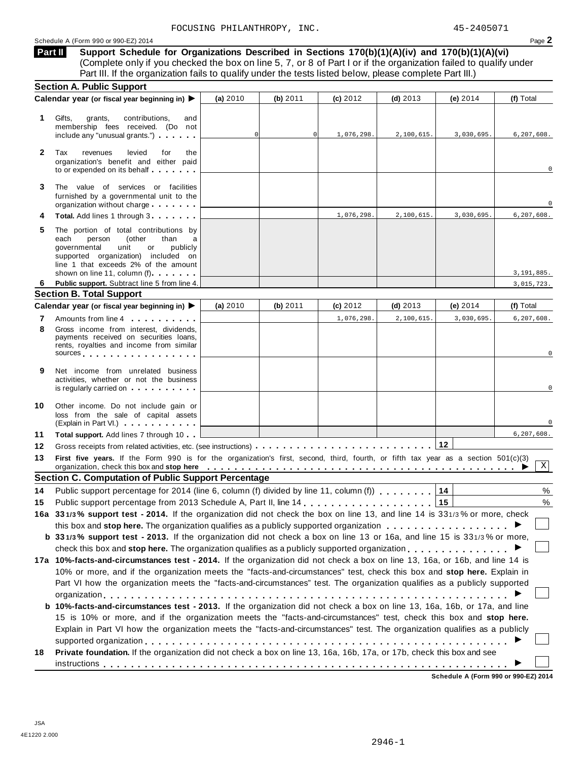**Support Schedule for Organizations Described in Sections 170(b)(1)(A)(iv) and 170(b)(1)(A)(vi)** (Complete only if you checked the box on line 5, 7, or 8 of Part I or if the organization failed to qualify under **Part II** 

|              | <b>Section A. Public Support</b>                                                                                                                                                                                              |          |          |            |            |            |              |
|--------------|-------------------------------------------------------------------------------------------------------------------------------------------------------------------------------------------------------------------------------|----------|----------|------------|------------|------------|--------------|
|              | Calendar year (or fiscal year beginning in) $\blacktriangleright$                                                                                                                                                             | (a) 2010 | (b) 2011 | (c) 2012   | $(d)$ 2013 | (e) $2014$ | (f) Total    |
| 1.           | Gifts,<br>grants,<br>contributions,<br>and                                                                                                                                                                                    |          |          |            |            |            |              |
|              | membership fees received. (Do not                                                                                                                                                                                             |          |          |            |            |            |              |
|              | include any "unusual grants.")                                                                                                                                                                                                |          |          | 1,076,298. | 2,100,615. | 3,030,695. | 6,207,608.   |
| $\mathbf{2}$ | Tax<br>revenues<br>levied<br>for<br>the                                                                                                                                                                                       |          |          |            |            |            |              |
|              | organization's benefit and either paid                                                                                                                                                                                        |          |          |            |            |            |              |
|              |                                                                                                                                                                                                                               |          |          |            |            |            |              |
| 3            | The value of services or facilities                                                                                                                                                                                           |          |          |            |            |            |              |
|              | furnished by a governmental unit to the<br>organization without charge                                                                                                                                                        |          |          |            |            |            | 0            |
| 4            | Total. Add lines 1 through 3.                                                                                                                                                                                                 |          |          | 1,076,298. | 2,100,615. | 3,030,695. | 6, 207, 608. |
| 5            | The portion of total contributions by                                                                                                                                                                                         |          |          |            |            |            |              |
|              | (other<br>each<br>person<br>than<br>a                                                                                                                                                                                         |          |          |            |            |            |              |
|              | governmental<br>unit<br>publicly<br>or                                                                                                                                                                                        |          |          |            |            |            |              |
|              | supported organization) included on<br>line 1 that exceeds 2% of the amount                                                                                                                                                   |          |          |            |            |            |              |
|              | shown on line 11, column (f)                                                                                                                                                                                                  |          |          |            |            |            | 3,191,885.   |
| 6            | Public support. Subtract line 5 from line 4.                                                                                                                                                                                  |          |          |            |            |            | 3,015,723.   |
|              | <b>Section B. Total Support</b>                                                                                                                                                                                               |          |          |            |            |            |              |
|              | Calendar year (or fiscal year beginning in) $\blacktriangleright$                                                                                                                                                             | (a) 2010 | (b) 2011 | (c) 2012   | $(d)$ 2013 | (e) $2014$ | (f) Total    |
| 7<br>8       | Amounts from line 4<br>Gross income from interest, dividends,                                                                                                                                                                 |          |          | 1,076,298. | 2,100,615. | 3,030,695. | 6, 207, 608. |
|              | payments received on securities loans,                                                                                                                                                                                        |          |          |            |            |            |              |
|              | rents, royalties and income from similar<br>sources sources                                                                                                                                                                   |          |          |            |            |            |              |
|              |                                                                                                                                                                                                                               |          |          |            |            |            |              |
| 9            | Net income from unrelated business                                                                                                                                                                                            |          |          |            |            |            |              |
|              | activities, whether or not the business<br>is regularly carried on the contract of the set of the set of the set of the set of the set of the set of the                                                                      |          |          |            |            |            |              |
|              |                                                                                                                                                                                                                               |          |          |            |            |            |              |
| 10           | Other income. Do not include gain or<br>loss from the sale of capital assets                                                                                                                                                  |          |          |            |            |            |              |
|              | (Explain in Part VI.)                                                                                                                                                                                                         |          |          |            |            |            |              |
| 11           | <b>Total support.</b> Add lines 7 through 10                                                                                                                                                                                  |          |          |            |            |            | 6, 207, 608. |
| 12           |                                                                                                                                                                                                                               |          |          |            |            | 12         |              |
| 13           | First five years. If the Form 990 is for the organization's first, second, third, fourth, or fifth tax year as a section 501(c)(3)                                                                                            |          |          |            |            |            |              |
|              | organization, check this box and stop here enterpretation of the content of the content of the set of the set of the set of the set of the set of the set of the set of the set of the set of the set of the set of the set o |          |          |            |            |            | $\mathbf{X}$ |
|              | <b>Section C. Computation of Public Support Percentage</b>                                                                                                                                                                    |          |          |            |            |            |              |
| 14           | Public support percentage for 2014 (line 6, column (f) divided by line 11, column (f) $\ldots$ ,,,,,                                                                                                                          |          |          |            |            | 14         | %<br>%       |
| 15           | 16a 331/3% support test - 2014. If the organization did not check the box on line 13, and line 14 is 331/3% or more, check                                                                                                    |          |          |            |            |            |              |
|              | this box and stop here. The organization qualifies as a publicly supported organization                                                                                                                                       |          |          |            |            |            |              |
|              | <b>b</b> 331/3% support test - 2013. If the organization did not check a box on line 13 or 16a, and line 15 is 331/3% or more,                                                                                                |          |          |            |            |            |              |
|              | check this box and stop here. The organization qualifies as a publicly supported organization                                                                                                                                 |          |          |            |            |            |              |
|              | 17a 10%-facts-and-circumstances test - 2014. If the organization did not check a box on line 13, 16a, or 16b, and line 14 is                                                                                                  |          |          |            |            |            |              |
|              | 10% or more, and if the organization meets the "facts-and-circumstances" test, check this box and stop here. Explain in                                                                                                       |          |          |            |            |            |              |
|              | Part VI how the organization meets the "facts-and-circumstances" test. The organization qualifies as a publicly supported                                                                                                     |          |          |            |            |            |              |
|              |                                                                                                                                                                                                                               |          |          |            |            |            |              |
|              | b 10%-facts-and-circumstances test - 2013. If the organization did not check a box on line 13, 16a, 16b, or 17a, and line                                                                                                     |          |          |            |            |            |              |
|              | 15 is 10% or more, and if the organization meets the "facts-and-circumstances" test, check this box and stop here.                                                                                                            |          |          |            |            |            |              |
|              | Explain in Part VI how the organization meets the "facts-and-circumstances" test. The organization qualifies as a publicly                                                                                                    |          |          |            |            |            |              |
|              |                                                                                                                                                                                                                               |          |          |            |            |            |              |
|              |                                                                                                                                                                                                                               |          |          |            |            |            |              |
| 18           | Private foundation. If the organization did not check a box on line 13, 16a, 16b, 17a, or 17b, check this box and see                                                                                                         |          |          |            |            |            |              |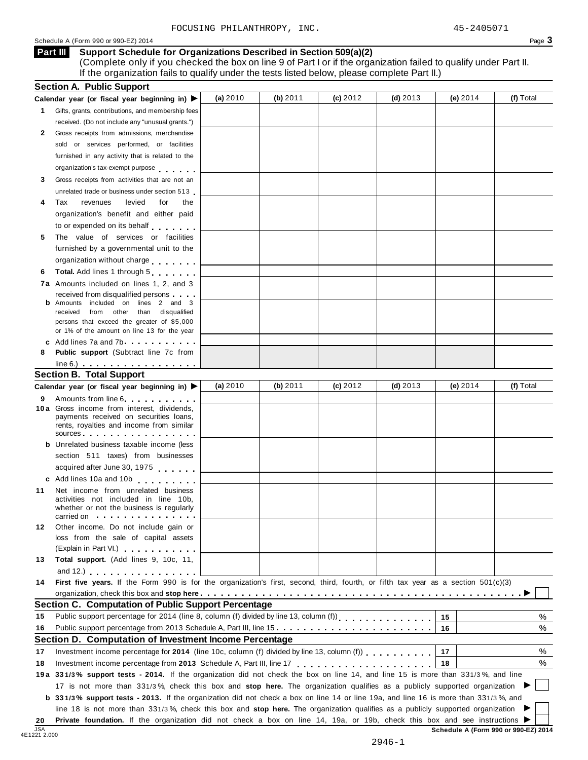#### Schedule A (Form 990 or 990-EZ) 2014 Page 3

#### **Support Schedule for Organizations Described in Section 509(a)(2) Part III**

(Complete only if you checked the box on line 9 of Part I or if the organization failed to qualify under Part II. If the organization fails to qualify under the tests listed below, please complete Part II.)

|            | <b>Section A. Public Support</b>                                                                                                                                                                                                                                                                                                                    |            |            |            |            |          |                                      |
|------------|-----------------------------------------------------------------------------------------------------------------------------------------------------------------------------------------------------------------------------------------------------------------------------------------------------------------------------------------------------|------------|------------|------------|------------|----------|--------------------------------------|
|            | Calendar year (or fiscal year beginning in) ▶                                                                                                                                                                                                                                                                                                       | (a) $2010$ | (b) $2011$ | (c) 2012   | (d) $2013$ | (e) 2014 | (f) Total                            |
| 1.         | Gifts, grants, contributions, and membership fees                                                                                                                                                                                                                                                                                                   |            |            |            |            |          |                                      |
|            | received. (Do not include any "unusual grants.")                                                                                                                                                                                                                                                                                                    |            |            |            |            |          |                                      |
| 2          | Gross receipts from admissions, merchandise                                                                                                                                                                                                                                                                                                         |            |            |            |            |          |                                      |
|            | sold or services performed, or facilities                                                                                                                                                                                                                                                                                                           |            |            |            |            |          |                                      |
|            | furnished in any activity that is related to the                                                                                                                                                                                                                                                                                                    |            |            |            |            |          |                                      |
|            | organization's tax-exempt purpose                                                                                                                                                                                                                                                                                                                   |            |            |            |            |          |                                      |
| 3          | Gross receipts from activities that are not an                                                                                                                                                                                                                                                                                                      |            |            |            |            |          |                                      |
|            | unrelated trade or business under section 513                                                                                                                                                                                                                                                                                                       |            |            |            |            |          |                                      |
| 4          | levied<br>Tax<br>revenues<br>for<br>the                                                                                                                                                                                                                                                                                                             |            |            |            |            |          |                                      |
|            | organization's benefit and either paid                                                                                                                                                                                                                                                                                                              |            |            |            |            |          |                                      |
|            | to or expended on its behalf                                                                                                                                                                                                                                                                                                                        |            |            |            |            |          |                                      |
| 5          | The value of services or facilities                                                                                                                                                                                                                                                                                                                 |            |            |            |            |          |                                      |
|            | furnished by a governmental unit to the                                                                                                                                                                                                                                                                                                             |            |            |            |            |          |                                      |
|            | organization without charge                                                                                                                                                                                                                                                                                                                         |            |            |            |            |          |                                      |
| 6          | Total. Add lines 1 through 5                                                                                                                                                                                                                                                                                                                        |            |            |            |            |          |                                      |
|            | 7a Amounts included on lines 1, 2, and 3                                                                                                                                                                                                                                                                                                            |            |            |            |            |          |                                      |
|            | received from disqualified persons                                                                                                                                                                                                                                                                                                                  |            |            |            |            |          |                                      |
|            | <b>b</b> Amounts included on lines 2 and 3                                                                                                                                                                                                                                                                                                          |            |            |            |            |          |                                      |
|            | from other than disqualified<br>received<br>persons that exceed the greater of \$5,000                                                                                                                                                                                                                                                              |            |            |            |            |          |                                      |
|            | or 1% of the amount on line 13 for the year                                                                                                                                                                                                                                                                                                         |            |            |            |            |          |                                      |
|            | c Add lines 7a and 7b.                                                                                                                                                                                                                                                                                                                              |            |            |            |            |          |                                      |
| 8          | Public support (Subtract line 7c from                                                                                                                                                                                                                                                                                                               |            |            |            |            |          |                                      |
|            | $line 6.)$                                                                                                                                                                                                                                                                                                                                          |            |            |            |            |          |                                      |
|            | <b>Section B. Total Support</b>                                                                                                                                                                                                                                                                                                                     |            |            |            |            |          |                                      |
|            | Calendar year (or fiscal year beginning in) ▶                                                                                                                                                                                                                                                                                                       | (a) $2010$ | (b) $2011$ | $(c)$ 2012 | (d) $2013$ | (e) 2014 | (f) Total                            |
| 9          | Amounts from line 6.                                                                                                                                                                                                                                                                                                                                |            |            |            |            |          |                                      |
|            | 10a Gross income from interest, dividends,<br>payments received on securities loans,                                                                                                                                                                                                                                                                |            |            |            |            |          |                                      |
|            | rents, royalties and income from similar                                                                                                                                                                                                                                                                                                            |            |            |            |            |          |                                      |
|            | sources                                                                                                                                                                                                                                                                                                                                             |            |            |            |            |          |                                      |
|            | <b>b</b> Unrelated business taxable income (less                                                                                                                                                                                                                                                                                                    |            |            |            |            |          |                                      |
|            | section 511 taxes) from businesses                                                                                                                                                                                                                                                                                                                  |            |            |            |            |          |                                      |
|            | acquired after June 30, 1975                                                                                                                                                                                                                                                                                                                        |            |            |            |            |          |                                      |
|            | c Add lines 10a and 10b                                                                                                                                                                                                                                                                                                                             |            |            |            |            |          |                                      |
| 11         | Net income from unrelated business                                                                                                                                                                                                                                                                                                                  |            |            |            |            |          |                                      |
|            | activities not included in line 10b,<br>whether or not the business is regularly                                                                                                                                                                                                                                                                    |            |            |            |            |          |                                      |
|            | carried on entering the state of the state of the state of the state of the state of the state of the state of                                                                                                                                                                                                                                      |            |            |            |            |          |                                      |
| 12         | Other income. Do not include gain or                                                                                                                                                                                                                                                                                                                |            |            |            |            |          |                                      |
|            | loss from the sale of capital assets                                                                                                                                                                                                                                                                                                                |            |            |            |            |          |                                      |
|            | (Explain in Part VI.) <b>All and Strategies</b>                                                                                                                                                                                                                                                                                                     |            |            |            |            |          |                                      |
| 13         | Total support. (Add lines 9, 10c, 11,                                                                                                                                                                                                                                                                                                               |            |            |            |            |          |                                      |
|            | and $12$ .) $\qquad \qquad \qquad$ $\qquad \qquad$ $\qquad \qquad$ $\qquad$ $\qquad \qquad$ $\qquad$ $\qquad$ $\qquad$ $\qquad$ $\qquad$ $\qquad$ $\qquad$ $\qquad$ $\qquad$ $\qquad$ $\qquad$ $\qquad$ $\qquad$ $\qquad$ $\qquad$ $\qquad$ $\qquad$ $\qquad$ $\qquad$ $\qquad$ $\qquad$ $\qquad$ $\qquad$ $\qquad$ $\qquad$ $\qquad$ $\qquad$ $\q$ |            |            |            |            |          |                                      |
| 14         | First five years. If the Form 990 is for the organization's first, second, third, fourth, or fifth tax year as a section 501(c)(3)                                                                                                                                                                                                                  |            |            |            |            |          |                                      |
|            |                                                                                                                                                                                                                                                                                                                                                     |            |            |            |            |          |                                      |
|            | Section C. Computation of Public Support Percentage                                                                                                                                                                                                                                                                                                 |            |            |            |            |          |                                      |
| 15         | Public support percentage for 2014 (line 8, column (f) divided by line 13, column (f))<br>[11]                                                                                                                                                                                                                                                      |            |            |            |            | 15       | ℅                                    |
| 16         | Public support percentage from 2013 Schedule A, Part III, line 15.                                                                                                                                                                                                                                                                                  |            |            |            |            | 16       | %                                    |
|            | Section D. Computation of Investment Income Percentage                                                                                                                                                                                                                                                                                              |            |            |            |            |          |                                      |
| 17         |                                                                                                                                                                                                                                                                                                                                                     |            |            |            |            | 17       | %                                    |
| 18         |                                                                                                                                                                                                                                                                                                                                                     |            |            |            |            | 18       | %                                    |
|            | 19a 331/3% support tests - 2014. If the organization did not check the box on line 14, and line 15 is more than 331/3%, and line                                                                                                                                                                                                                    |            |            |            |            |          |                                      |
|            | 17 is not more than 331/3%, check this box and stop here. The organization qualifies as a publicly supported organization                                                                                                                                                                                                                           |            |            |            |            |          |                                      |
|            | <b>b</b> 331/3% support tests - 2013. If the organization did not check a box on line 14 or line 19a, and line 16 is more than 331/3%, and                                                                                                                                                                                                          |            |            |            |            |          |                                      |
|            | line 18 is not more than 331/3%, check this box and stop here. The organization qualifies as a publicly supported organization                                                                                                                                                                                                                      |            |            |            |            |          |                                      |
| 20         | Private foundation. If the organization did not check a box on line 14, 19a, or 19b, check this box and see instructions ▶                                                                                                                                                                                                                          |            |            |            |            |          |                                      |
| <b>JSA</b> |                                                                                                                                                                                                                                                                                                                                                     |            |            |            |            |          | Schedule A (Form 990 or 990-EZ) 2014 |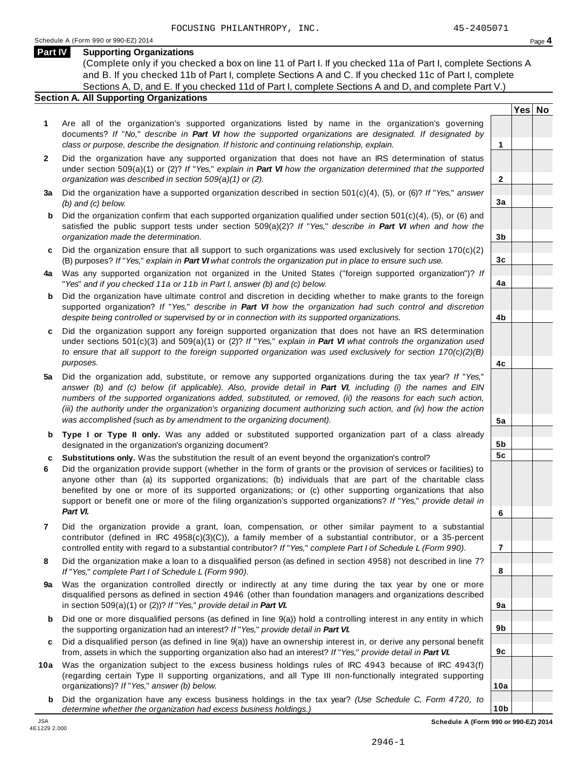#### **Part IV Supporting Organizations**

(Complete only if you checked a box on line 11 of Part I. If you checked 11a of Part I, complete Sections A and B. If you checked 11b of Part I, complete Sections A and C. If you checked 11c of Part I, complete Sections A, D, and E. If you checked 11d of Part I, complete Sections A and D, and complete Part V.)

#### **Section A. All Supporting Organizations**

- **1** Are all of the organization's supported organizations listed by name in the organization's governing documents? *If* "*No,*" *describe in Part VI how the supported organizations are designated. If designated by class or purpose, describe the designation. If historic and continuing relationship, explain.* **1**
- **2** Did the organization have any supported organization that does not have an IRS determination of status under section 509(a)(1) or (2)? *If* "*Yes,*" *explain in Part VI how the organization determined that the supported organization was described in section 509(a)(1) or (2).*
- **3 a** Did the organization have a supported organization described in section 501(c)(4), (5), or (6)? *If* "*Yes,*" *answer (b) and (c) below.*
- **b** Did the organization confirm that each supported organization qualified under section 501(c)(4), (5), or (6) and | satisfied the public support tests under section 509(a)(2)? *If* "*Yes,*" *describe in Part VI when and how the organization made the determination.*
- **c** Did the organization ensure that all support to such organizations was used exclusively for section 170(c)(2) (B) purposes? *If* "*Yes,*" *explain in Part VI what controls the organization put in place to ensure such use.*
- **4 a** Was any supported organization not organized in the United States ("foreign supported organization")? *If* "*Yes*" *and if you checked 11a or 11b in Part I, answer (b) and (c) below.*
- **b** Did the organization have ultimate control and discretion in deciding whether to make grants to the foreign | supported organization? *If* "*Yes,*" *describe in Part VI how the organization had such control and discretion despite being controlled or supervised by or in connection with its supported organizations.*
- **c** Did the organization support any foreign supported organization that does not have an IRS determination under sections 501(c)(3) and 509(a)(1) or (2)? *If* "*Yes,*" *explain in Part VI what controls the organization used to ensure that all support to the foreign supported organization was used exclusively for section 170(c)(2)(B) purposes.*
- **5 a** Did the organization add, substitute, or remove any supported organizations during the tax year? *If* "*Yes,*" *answer (b) and (c) below (if applicable). Also, provide detail in Part VI, including (i) the names and EIN numbers of the supported organizations added, substituted, or removed, (ii) the reasons for each such action, (iii) the authority under the organization's organizing document authorizing such action, and (iv) how the action was accomplished (such as by amendment to the organizing document).*
- **b** Type I or Type II only. Was any added or substituted supported organization part of a class already | designated in the organization's organizing document?
- **c Substitutions only.** Was the substitution the result of an event beyond the organization's control?
- **6** Did the organization provide support (whether in the form of grants or the provision of services or facilities) to anyone other than (a) its supported organizations; (b) individuals that are part of the charitable class benefited by one or more of its supported organizations; or (c) other supporting organizations that also support or benefit one or more of the filing organization's supported organizations? *If* "*Yes,*" *provide detail in Part VI.*
- **7** Did the organization provide a grant, loan, compensation, or other similar payment to a substantial contributor (defined in IRC 4958(c)(3)(C)), a family member of a substantial contributor, or a 35-percent controlled entity with regard to a substantial contributor? *If* "*Yes,*" *complete Part I of Schedule L (Form 990).*
- **8** Did the organization make a loan to a disqualified person (as defined in section 4958) not described in line 7? *If* "*Yes,*" *complete Part I of Schedule L (Form 990).*
- **9a** Was the organization controlled directly or indirectly at any time during the tax year by one or more | disqualified persons as defined in section 4946 (other than foundation managers and organizations described in section 509(a)(1) or (2))? *If* "*Yes,*" *provide detail in Part VI.*
- **b** Did one or more disqualified persons (as defined in line 9(a)) hold a controlling interest in any entity in which | the supporting organization had an interest? *If* "*Yes,*" *provide detail in Part VI.*
- **c** Did a disqualified person (as defined in line 9(a)) have an ownership interest in, or derive any personal benefit from, assets in which the supporting organization also had an interest? *If* "*Yes,*" *provide detail in Part VI.*
- **10a** Was the organization subject to the excess business holdings rules of IRC 4943 because of IRC 4943(f) | (regarding certain Type II supporting organizations, and all Type III non-functionally integrated supporting organizations)? *If* "*Yes,*" *answer (b) below.*
	- **b** Did the organization have any excess business holdings in the tax year? *(Use Schedule C, Form 4720, to* | *determine whether the organization had excess business holdings.)*

**Yes No**

**2**

**3a**

**3b**

**3c**

**4a**

**4b**

**4c**

**5a**

**5b 5c**

**6**

**7**

**8**

**9a**

**9b**

**9c**

**10a**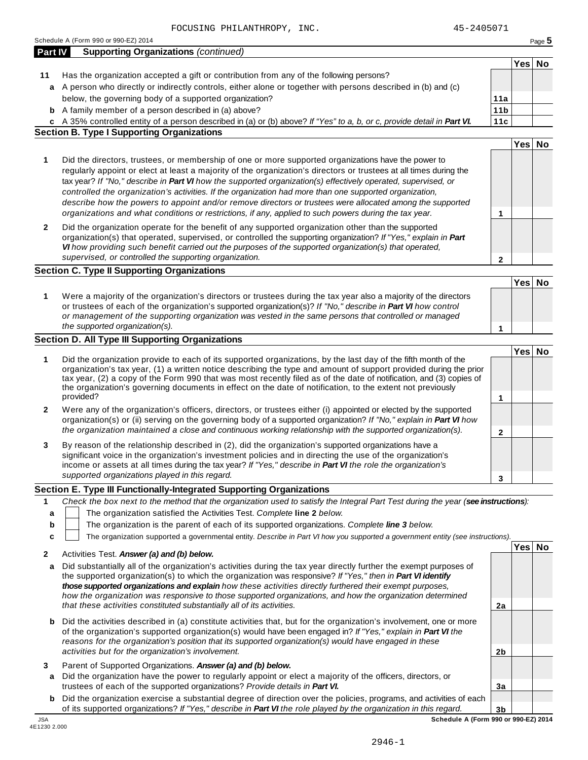|                  | Part IV<br><b>Supporting Organizations (continued)</b>                                                                                                                                                                                                                                                                                                                                                                                                                                                                                                             |                 |            |    |
|------------------|--------------------------------------------------------------------------------------------------------------------------------------------------------------------------------------------------------------------------------------------------------------------------------------------------------------------------------------------------------------------------------------------------------------------------------------------------------------------------------------------------------------------------------------------------------------------|-----------------|------------|----|
|                  |                                                                                                                                                                                                                                                                                                                                                                                                                                                                                                                                                                    |                 | Yes        | No |
| 11               | Has the organization accepted a gift or contribution from any of the following persons?                                                                                                                                                                                                                                                                                                                                                                                                                                                                            |                 |            |    |
|                  | a A person who directly or indirectly controls, either alone or together with persons described in (b) and (c)                                                                                                                                                                                                                                                                                                                                                                                                                                                     |                 |            |    |
|                  | below, the governing body of a supported organization?                                                                                                                                                                                                                                                                                                                                                                                                                                                                                                             | 11a             |            |    |
|                  | <b>b</b> A family member of a person described in (a) above?                                                                                                                                                                                                                                                                                                                                                                                                                                                                                                       | 11 <sub>b</sub> |            |    |
|                  | c A 35% controlled entity of a person described in (a) or (b) above? If "Yes" to a, b, or c, provide detail in Part VI.                                                                                                                                                                                                                                                                                                                                                                                                                                            | 11c             |            |    |
|                  | <b>Section B. Type I Supporting Organizations</b>                                                                                                                                                                                                                                                                                                                                                                                                                                                                                                                  |                 |            |    |
|                  |                                                                                                                                                                                                                                                                                                                                                                                                                                                                                                                                                                    |                 | <b>Yes</b> | No |
| 1                | Did the directors, trustees, or membership of one or more supported organizations have the power to<br>regularly appoint or elect at least a majority of the organization's directors or trustees at all times during the<br>tax year? If "No," describe in Part VI how the supported organization(s) effectively operated, supervised, or<br>controlled the organization's activities. If the organization had more than one supported organization,<br>describe how the powers to appoint and/or remove directors or trustees were allocated among the supported |                 |            |    |
|                  | organizations and what conditions or restrictions, if any, applied to such powers during the tax year.                                                                                                                                                                                                                                                                                                                                                                                                                                                             | 1               |            |    |
| $\mathbf{2}$     | Did the organization operate for the benefit of any supported organization other than the supported<br>organization(s) that operated, supervised, or controlled the supporting organization? If "Yes," explain in Part<br>VI how providing such benefit carried out the purposes of the supported organization(s) that operated,<br>supervised, or controlled the supporting organization.                                                                                                                                                                         | $\mathbf{2}$    |            |    |
|                  | <b>Section C. Type II Supporting Organizations</b>                                                                                                                                                                                                                                                                                                                                                                                                                                                                                                                 |                 |            |    |
|                  |                                                                                                                                                                                                                                                                                                                                                                                                                                                                                                                                                                    |                 | <b>Yes</b> | No |
| 1                | Were a majority of the organization's directors or trustees during the tax year also a majority of the directors<br>or trustees of each of the organization's supported organization(s)? If "No," describe in Part VI how control<br>or management of the supporting organization was vested in the same persons that controlled or managed<br>the supported organization(s).                                                                                                                                                                                      | 1               |            |    |
|                  | <b>Section D. All Type III Supporting Organizations</b>                                                                                                                                                                                                                                                                                                                                                                                                                                                                                                            |                 |            |    |
| 1                | Did the organization provide to each of its supported organizations, by the last day of the fifth month of the<br>organization's tax year, (1) a written notice describing the type and amount of support provided during the prior<br>tax year, (2) a copy of the Form 990 that was most recently filed as of the date of notification, and (3) copies of                                                                                                                                                                                                         |                 | Yes        | No |
|                  | the organization's governing documents in effect on the date of notification, to the extent not previously<br>provided?                                                                                                                                                                                                                                                                                                                                                                                                                                            | $\mathbf{1}$    |            |    |
| $\mathbf{2}$     | Were any of the organization's officers, directors, or trustees either (i) appointed or elected by the supported<br>organization(s) or (ii) serving on the governing body of a supported organization? If "No," explain in Part VI how<br>the organization maintained a close and continuous working relationship with the supported organization(s).                                                                                                                                                                                                              | $\mathbf{2}$    |            |    |
| 3                | By reason of the relationship described in (2), did the organization's supported organizations have a<br>significant voice in the organization's investment policies and in directing the use of the organization's<br>income or assets at all times during the tax year? If "Yes," describe in Part VI the role the organization's<br>supported organizations played in this regard.                                                                                                                                                                              | 3               |            |    |
|                  | Section E. Type III Functionally-Integrated Supporting Organizations                                                                                                                                                                                                                                                                                                                                                                                                                                                                                               |                 |            |    |
| 1<br>a<br>b<br>c | Check the box next to the method that the organization used to satisfy the Integral Part Test during the year (see instructions):<br>The organization satisfied the Activities Test. Complete line 2 below.<br>The organization is the parent of each of its supported organizations. Complete line 3 below.<br>The organization supported a governmental entity. Describe in Part VI how you supported a government entity (see instructions).                                                                                                                    |                 |            |    |
| 2                | Activities Test. Answer (a) and (b) below.                                                                                                                                                                                                                                                                                                                                                                                                                                                                                                                         |                 | <b>Yes</b> | No |
| a                | Did substantially all of the organization's activities during the tax year directly further the exempt purposes of<br>the supported organization(s) to which the organization was responsive? If "Yes," then in Part VI identify<br>those supported organizations and explain how these activities directly furthered their exempt purposes,<br>how the organization was responsive to those supported organizations, and how the organization determined                                                                                                          |                 |            |    |
|                  |                                                                                                                                                                                                                                                                                                                                                                                                                                                                                                                                                                    |                 |            |    |
|                  | that these activities constituted substantially all of its activities.                                                                                                                                                                                                                                                                                                                                                                                                                                                                                             | 2a              |            |    |
| b                | Did the activities described in (a) constitute activities that, but for the organization's involvement, one or more<br>of the organization's supported organization(s) would have been engaged in? If "Yes," explain in Part VI the<br>reasons for the organization's position that its supported organization(s) would have engaged in these                                                                                                                                                                                                                      |                 |            |    |
|                  | activities but for the organization's involvement.                                                                                                                                                                                                                                                                                                                                                                                                                                                                                                                 | 2b              |            |    |
| 3<br>a           | Parent of Supported Organizations. Answer (a) and (b) below.<br>Did the organization have the power to regularly appoint or elect a majority of the officers, directors, or                                                                                                                                                                                                                                                                                                                                                                                        |                 |            |    |
| b                | trustees of each of the supported organizations? Provide details in Part VI.<br>Did the organization exercise a substantial degree of direction over the policies, programs, and activities of each<br>of its supported organizations? If "Yes," describe in Part VI the role played by the organization in this regard.                                                                                                                                                                                                                                           | 3a              |            |    |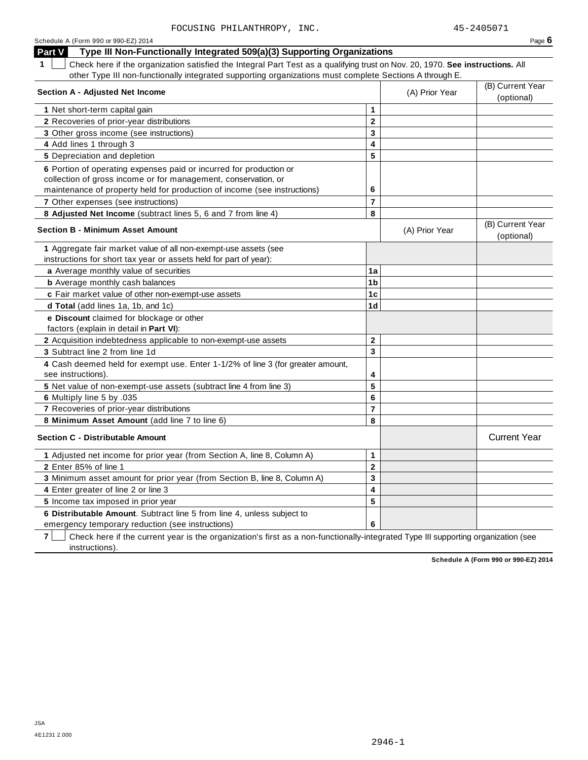| Schedule A (Form 990 or 990-EZ) 2014                                                                                               |                |                | Page $6$                       |
|------------------------------------------------------------------------------------------------------------------------------------|----------------|----------------|--------------------------------|
| Type III Non-Functionally Integrated 509(a)(3) Supporting Organizations<br>Part V                                                  |                |                |                                |
| Check here if the organization satisfied the Integral Part Test as a qualifying trust on Nov. 20, 1970. See instructions. All<br>1 |                |                |                                |
| other Type III non-functionally integrated supporting organizations must complete Sections A through E.                            |                |                |                                |
|                                                                                                                                    |                |                | (B) Current Year               |
| <b>Section A - Adjusted Net Income</b>                                                                                             |                | (A) Prior Year | (optional)                     |
| 1 Net short-term capital gain                                                                                                      | 1              |                |                                |
| 2 Recoveries of prior-year distributions                                                                                           | $\mathbf{2}$   |                |                                |
| 3 Other gross income (see instructions)                                                                                            | 3              |                |                                |
| 4 Add lines 1 through 3                                                                                                            | 4              |                |                                |
| 5 Depreciation and depletion                                                                                                       | 5              |                |                                |
| 6 Portion of operating expenses paid or incurred for production or                                                                 |                |                |                                |
| collection of gross income or for management, conservation, or                                                                     |                |                |                                |
| maintenance of property held for production of income (see instructions)                                                           | 6              |                |                                |
| 7 Other expenses (see instructions)                                                                                                | $\overline{7}$ |                |                                |
| 8 Adjusted Net Income (subtract lines 5, 6 and 7 from line 4)                                                                      | 8              |                |                                |
| <b>Section B - Minimum Asset Amount</b>                                                                                            |                | (A) Prior Year | (B) Current Year<br>(optional) |
| 1 Aggregate fair market value of all non-exempt-use assets (see                                                                    |                |                |                                |
| instructions for short tax year or assets held for part of year):                                                                  |                |                |                                |
| a Average monthly value of securities                                                                                              | 1a             |                |                                |
| <b>b</b> Average monthly cash balances                                                                                             | 1 <sub>b</sub> |                |                                |
| c Fair market value of other non-exempt-use assets                                                                                 | 1c             |                |                                |
| d Total (add lines 1a, 1b, and 1c)                                                                                                 | 1 <sub>d</sub> |                |                                |
| e Discount claimed for blockage or other                                                                                           |                |                |                                |
| factors (explain in detail in Part VI):                                                                                            |                |                |                                |
| 2 Acquisition indebtedness applicable to non-exempt-use assets                                                                     | $\mathbf{2}$   |                |                                |
| <b>3</b> Subtract line 2 from line 1d                                                                                              | 3              |                |                                |
| 4 Cash deemed held for exempt use. Enter 1-1/2% of line 3 (for greater amount,                                                     |                |                |                                |
| see instructions).                                                                                                                 | 4<br>5         |                |                                |
| 5 Net value of non-exempt-use assets (subtract line 4 from line 3)                                                                 | 6              |                |                                |
| 6 Multiply line 5 by .035<br>7 Recoveries of prior-year distributions                                                              | $\overline{7}$ |                |                                |
| 8 Minimum Asset Amount (add line 7 to line 6)                                                                                      | 8              |                |                                |
|                                                                                                                                    |                |                |                                |
| <b>Section C - Distributable Amount</b>                                                                                            |                |                | <b>Current Year</b>            |
| 1 Adjusted net income for prior year (from Section A, line 8, Column A)                                                            | 1              |                |                                |
| 2 Enter 85% of line 1                                                                                                              | $\mathbf{2}$   |                |                                |
| 3 Minimum asset amount for prior year (from Section B, line 8, Column A)                                                           | 3              |                |                                |
| 4 Enter greater of line 2 or line 3                                                                                                | 4              |                |                                |
| 5 Income tax imposed in prior year                                                                                                 | 5              |                |                                |
| 6 Distributable Amount. Subtract line 5 from line 4, unless subject to                                                             |                |                |                                |
| emergency temporary reduction (see instructions)                                                                                   | 6              |                |                                |

**7 Check here if the current year is the organization's first as a non-functionally-integrated Type III supporting organization (see** instructions).

**Schedule A (Form 990 or 990-EZ) 2014**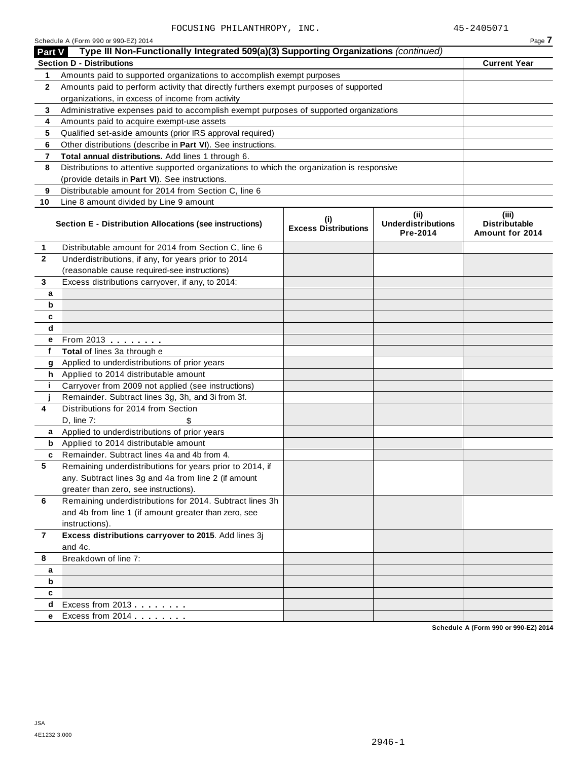|                | Schedule A (Form 990 or 990-EZ) 2014                                                       |                                    |                                               | Page 7                                           |
|----------------|--------------------------------------------------------------------------------------------|------------------------------------|-----------------------------------------------|--------------------------------------------------|
| <b>Part V</b>  | Type III Non-Functionally Integrated 509(a)(3) Supporting Organizations (continued)        |                                    |                                               |                                                  |
|                | <b>Section D - Distributions</b>                                                           |                                    |                                               | <b>Current Year</b>                              |
| 1              | Amounts paid to supported organizations to accomplish exempt purposes                      |                                    |                                               |                                                  |
| 2              | Amounts paid to perform activity that directly furthers exempt purposes of supported       |                                    |                                               |                                                  |
|                | organizations, in excess of income from activity                                           |                                    |                                               |                                                  |
| 3              | Administrative expenses paid to accomplish exempt purposes of supported organizations      |                                    |                                               |                                                  |
| 4              | Amounts paid to acquire exempt-use assets                                                  |                                    |                                               |                                                  |
| 5              | Qualified set-aside amounts (prior IRS approval required)                                  |                                    |                                               |                                                  |
| 6              | Other distributions (describe in Part VI). See instructions.                               |                                    |                                               |                                                  |
| 7              | Total annual distributions. Add lines 1 through 6.                                         |                                    |                                               |                                                  |
| 8              | Distributions to attentive supported organizations to which the organization is responsive |                                    |                                               |                                                  |
|                | (provide details in Part VI). See instructions.                                            |                                    |                                               |                                                  |
| 9              | Distributable amount for 2014 from Section C, line 6                                       |                                    |                                               |                                                  |
| 10             | Line 8 amount divided by Line 9 amount                                                     |                                    |                                               |                                                  |
|                | Section E - Distribution Allocations (see instructions)                                    | (i)<br><b>Excess Distributions</b> | (ii)<br><b>Underdistributions</b><br>Pre-2014 | (iii)<br><b>Distributable</b><br>Amount for 2014 |
| 1              | Distributable amount for 2014 from Section C, line 6                                       |                                    |                                               |                                                  |
| $\mathbf{2}$   | Underdistributions, if any, for years prior to 2014                                        |                                    |                                               |                                                  |
|                | (reasonable cause required-see instructions)                                               |                                    |                                               |                                                  |
| 3              | Excess distributions carryover, if any, to 2014:                                           |                                    |                                               |                                                  |
| а              |                                                                                            |                                    |                                               |                                                  |
| b              |                                                                                            |                                    |                                               |                                                  |
| c              |                                                                                            |                                    |                                               |                                                  |
| d              |                                                                                            |                                    |                                               |                                                  |
| е              |                                                                                            |                                    |                                               |                                                  |
| f              | Total of lines 3a through e                                                                |                                    |                                               |                                                  |
| g              | Applied to underdistributions of prior years                                               |                                    |                                               |                                                  |
| h              | Applied to 2014 distributable amount                                                       |                                    |                                               |                                                  |
| j.             | Carryover from 2009 not applied (see instructions)                                         |                                    |                                               |                                                  |
|                | Remainder. Subtract lines 3g, 3h, and 3i from 3f.                                          |                                    |                                               |                                                  |
| 4              | Distributions for 2014 from Section                                                        |                                    |                                               |                                                  |
|                | $D$ , line $7$ :<br>\$                                                                     |                                    |                                               |                                                  |
| a              | Applied to underdistributions of prior years                                               |                                    |                                               |                                                  |
| b              | Applied to 2014 distributable amount                                                       |                                    |                                               |                                                  |
| c              | Remainder. Subtract lines 4a and 4b from 4.                                                |                                    |                                               |                                                  |
| 5.             | Remaining underdistributions for years prior to 2014, if                                   |                                    |                                               |                                                  |
|                | any. Subtract lines 3g and 4a from line 2 (if amount                                       |                                    |                                               |                                                  |
|                | greater than zero, see instructions).                                                      |                                    |                                               |                                                  |
| 6              | Remaining underdistributions for 2014. Subtract lines 3h                                   |                                    |                                               |                                                  |
|                | and 4b from line 1 (if amount greater than zero, see                                       |                                    |                                               |                                                  |
|                | instructions).                                                                             |                                    |                                               |                                                  |
| $\overline{7}$ | Excess distributions carryover to 2015. Add lines 3j                                       |                                    |                                               |                                                  |
|                | and 4c.                                                                                    |                                    |                                               |                                                  |
| 8              | Breakdown of line 7:                                                                       |                                    |                                               |                                                  |
| а              |                                                                                            |                                    |                                               |                                                  |
| b              |                                                                                            |                                    |                                               |                                                  |
| c              |                                                                                            |                                    |                                               |                                                  |
| d              | Excess from 2013                                                                           |                                    |                                               |                                                  |
| е              | Excess from 2014                                                                           |                                    |                                               |                                                  |
|                |                                                                                            |                                    |                                               | Schedule A (Form 990 or 990-EZ) 2014             |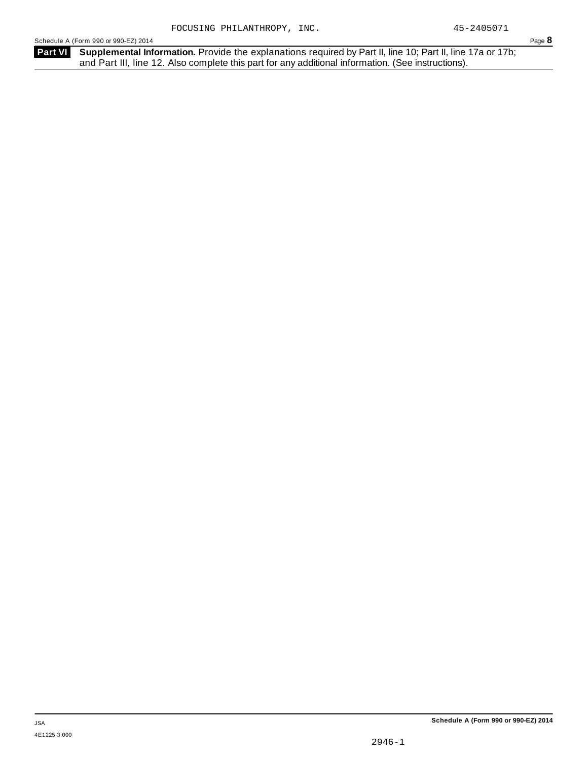**Supplemental Information.** Provide the explanations required by Part II, line 10; Part II, line 17a or 17b; **Part VI**  and Part III, line 12. Also complete this part for any additional information. (See instructions).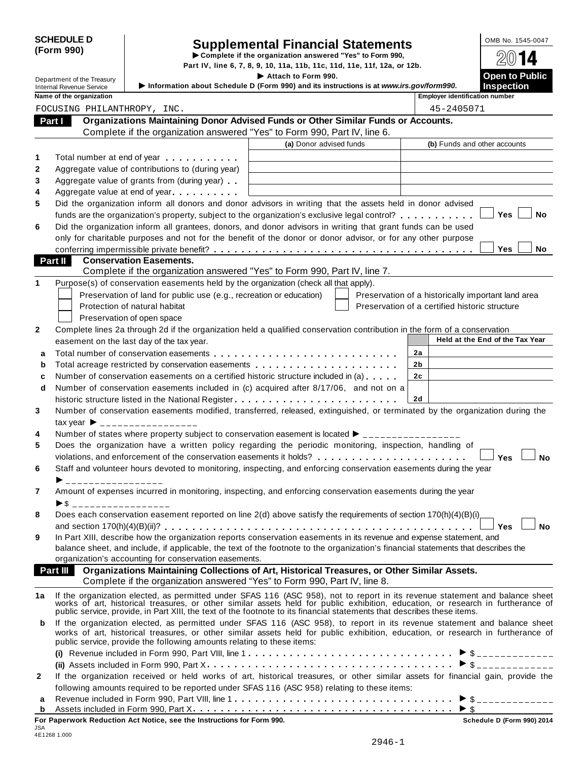| <b>SCHEDULE D</b> |  |
|-------------------|--|
| (Form 990)        |  |

# SCHEDULE D<br>
Supplemental Financial Statements<br>
Form 990) Part IV, line 6, 7, 8, 9, 10, 11a, 11b, 11c, 11d, 11e, 11f, 12a, or 12b.

Part IV, line 6, 7, 8, 9, 10, 11a, 11b, 11c, 11d, 11e, 11f, 12a, or 12b.<br>Department of the Treasury **Department of the Treasury Department of the Treasury Department of the Treasury Department of the Treasury Department of** 

| Department of the Treasury      |                                                                                                                                                                                                                                | Attach to Form 990.                                                                                                                                                                                                            |                                                                                                      | <b>Open to Public</b>                         |
|---------------------------------|--------------------------------------------------------------------------------------------------------------------------------------------------------------------------------------------------------------------------------|--------------------------------------------------------------------------------------------------------------------------------------------------------------------------------------------------------------------------------|------------------------------------------------------------------------------------------------------|-----------------------------------------------|
| <b>Internal Revenue Service</b> |                                                                                                                                                                                                                                | Information about Schedule D (Form 990) and its instructions is at www.irs.gov/form990.                                                                                                                                        |                                                                                                      | <b>Inspection</b>                             |
| Name of the organization        |                                                                                                                                                                                                                                |                                                                                                                                                                                                                                | <b>Employer identification number</b>                                                                |                                               |
| FOCUSING PHILANTHROPY, INC.     |                                                                                                                                                                                                                                |                                                                                                                                                                                                                                | 45-2405071                                                                                           |                                               |
| Part I                          |                                                                                                                                                                                                                                | Organizations Maintaining Donor Advised Funds or Other Similar Funds or Accounts.                                                                                                                                              |                                                                                                      |                                               |
|                                 |                                                                                                                                                                                                                                | Complete if the organization answered "Yes" to Form 990, Part IV, line 6.                                                                                                                                                      |                                                                                                      |                                               |
|                                 |                                                                                                                                                                                                                                | (a) Donor advised funds                                                                                                                                                                                                        |                                                                                                      | (b) Funds and other accounts                  |
| 1                               | Total number at end of year manufacturers and the Total and Total and Total and Total and Total and Total and Total and Total and Total and Total and Total and Total and Total and Total and Total and Total and Total and To |                                                                                                                                                                                                                                |                                                                                                      |                                               |
| $\mathbf{2}$<br>3               | Aggregate value of contributions to (during year)                                                                                                                                                                              |                                                                                                                                                                                                                                |                                                                                                      |                                               |
|                                 | Aggregate value of grants from (during year)                                                                                                                                                                                   |                                                                                                                                                                                                                                |                                                                                                      |                                               |
|                                 | Aggregate value at end of year                                                                                                                                                                                                 |                                                                                                                                                                                                                                |                                                                                                      |                                               |
|                                 |                                                                                                                                                                                                                                | Did the organization inform all donors and donor advisors in writing that the assets held in donor advised                                                                                                                     |                                                                                                      |                                               |
|                                 |                                                                                                                                                                                                                                | funds are the organization's property, subject to the organization's exclusive legal control?                                                                                                                                  |                                                                                                      | <b>Yes</b><br>No                              |
|                                 |                                                                                                                                                                                                                                | Did the organization inform all grantees, donors, and donor advisors in writing that grant funds can be used                                                                                                                   |                                                                                                      |                                               |
|                                 |                                                                                                                                                                                                                                | only for charitable purposes and not for the benefit of the donor or donor advisor, or for any other purpose                                                                                                                   |                                                                                                      |                                               |
|                                 |                                                                                                                                                                                                                                |                                                                                                                                                                                                                                |                                                                                                      | Yes<br>No                                     |
| Part II                         | <b>Conservation Easements.</b>                                                                                                                                                                                                 |                                                                                                                                                                                                                                |                                                                                                      |                                               |
|                                 |                                                                                                                                                                                                                                | Complete if the organization answered "Yes" to Form 990, Part IV, line 7.                                                                                                                                                      |                                                                                                      |                                               |
|                                 |                                                                                                                                                                                                                                | Purpose(s) of conservation easements held by the organization (check all that apply).                                                                                                                                          |                                                                                                      |                                               |
|                                 | Preservation of land for public use (e.g., recreation or education)                                                                                                                                                            |                                                                                                                                                                                                                                | Preservation of a historically important land area<br>Preservation of a certified historic structure |                                               |
|                                 | Protection of natural habitat                                                                                                                                                                                                  |                                                                                                                                                                                                                                |                                                                                                      |                                               |
|                                 | Preservation of open space                                                                                                                                                                                                     |                                                                                                                                                                                                                                |                                                                                                      |                                               |
|                                 | easement on the last day of the tax year.                                                                                                                                                                                      | Complete lines 2a through 2d if the organization held a qualified conservation contribution in the form of a conservation                                                                                                      |                                                                                                      | Held at the End of the Tax Year               |
|                                 |                                                                                                                                                                                                                                |                                                                                                                                                                                                                                |                                                                                                      |                                               |
| a                               |                                                                                                                                                                                                                                |                                                                                                                                                                                                                                | 2a<br>2 <sub>b</sub>                                                                                 |                                               |
| b                               |                                                                                                                                                                                                                                | Total acreage restricted by conservation easements<br>Number of conservation easements on a certified historic structure included in (a)                                                                                       | 2c                                                                                                   |                                               |
| c                               |                                                                                                                                                                                                                                | Number of conservation easements included in (c) acquired after 8/17/06, and not on a                                                                                                                                          |                                                                                                      |                                               |
| d                               |                                                                                                                                                                                                                                |                                                                                                                                                                                                                                | <b>2d</b>                                                                                            |                                               |
|                                 |                                                                                                                                                                                                                                | Number of conservation easements modified, transferred, released, extinguished, or terminated by the organization during the                                                                                                   |                                                                                                      |                                               |
|                                 | $\text{tax year}$ $\rightarrow$ _________________                                                                                                                                                                              |                                                                                                                                                                                                                                |                                                                                                      |                                               |
|                                 |                                                                                                                                                                                                                                | Number of states where property subject to conservation easement is located $\blacktriangleright$ ________________                                                                                                             |                                                                                                      |                                               |
|                                 |                                                                                                                                                                                                                                | Does the organization have a written policy regarding the periodic monitoring, inspection, handling of                                                                                                                         |                                                                                                      |                                               |
|                                 |                                                                                                                                                                                                                                |                                                                                                                                                                                                                                |                                                                                                      | Yes<br><b>No</b>                              |
|                                 |                                                                                                                                                                                                                                | Staff and volunteer hours devoted to monitoring, inspecting, and enforcing conservation easements during the year                                                                                                              |                                                                                                      |                                               |
|                                 |                                                                                                                                                                                                                                |                                                                                                                                                                                                                                |                                                                                                      |                                               |
|                                 |                                                                                                                                                                                                                                | Amount of expenses incurred in monitoring, inspecting, and enforcing conservation easements during the year                                                                                                                    |                                                                                                      |                                               |
| $\blacktriangleright$ \$        |                                                                                                                                                                                                                                |                                                                                                                                                                                                                                |                                                                                                      |                                               |
|                                 |                                                                                                                                                                                                                                | Does each conservation easement reported on line $2(d)$ above satisfy the requirements of section 170(h)(4)(B)(i)                                                                                                              |                                                                                                      |                                               |
|                                 |                                                                                                                                                                                                                                |                                                                                                                                                                                                                                |                                                                                                      | No<br>Yes l                                   |
|                                 |                                                                                                                                                                                                                                | In Part XIII, describe how the organization reports conservation easements in its revenue and expense statement, and                                                                                                           |                                                                                                      |                                               |
|                                 |                                                                                                                                                                                                                                | balance sheet, and include, if applicable, the text of the footnote to the organization's financial statements that describes the                                                                                              |                                                                                                      |                                               |
|                                 | organization's accounting for conservation easements.                                                                                                                                                                          |                                                                                                                                                                                                                                |                                                                                                      |                                               |
| <b>Part III</b>                 |                                                                                                                                                                                                                                | Organizations Maintaining Collections of Art, Historical Treasures, or Other Similar Assets.                                                                                                                                   |                                                                                                      |                                               |
|                                 |                                                                                                                                                                                                                                | Complete if the organization answered "Yes" to Form 990, Part IV, line 8.                                                                                                                                                      |                                                                                                      |                                               |
| 1a                              |                                                                                                                                                                                                                                |                                                                                                                                                                                                                                |                                                                                                      |                                               |
|                                 |                                                                                                                                                                                                                                | If the organization elected, as permitted under SFAS 116 (ASC 958), not to report in its revenue statement and balance sheet works of art, historical treasures, or other similar assets held for public exhibition, education |                                                                                                      |                                               |
|                                 |                                                                                                                                                                                                                                | public service, provide, in Part XIII, the text of the footnote to its financial statements that describes these items.                                                                                                        |                                                                                                      |                                               |
| b                               |                                                                                                                                                                                                                                | If the organization elected, as permitted under SFAS 116 (ASC 958), to report in its revenue statement and balance sheet                                                                                                       |                                                                                                      |                                               |
|                                 | public service, provide the following amounts relating to these items:                                                                                                                                                         | works of art, historical treasures, or other similar assets held for public exhibition, education, or research in furtherance of                                                                                               |                                                                                                      |                                               |
|                                 |                                                                                                                                                                                                                                |                                                                                                                                                                                                                                |                                                                                                      |                                               |
|                                 |                                                                                                                                                                                                                                |                                                                                                                                                                                                                                |                                                                                                      | $\triangleright$ \$ ______________            |
|                                 |                                                                                                                                                                                                                                | If the organization received or held works of art, historical treasures, or other similar assets for financial gain, provide the                                                                                               |                                                                                                      |                                               |
|                                 |                                                                                                                                                                                                                                |                                                                                                                                                                                                                                |                                                                                                      |                                               |
|                                 |                                                                                                                                                                                                                                |                                                                                                                                                                                                                                |                                                                                                      |                                               |
|                                 |                                                                                                                                                                                                                                | following amounts required to be reported under SFAS 116 (ASC 958) relating to these items:                                                                                                                                    |                                                                                                      |                                               |
| a<br>b                          |                                                                                                                                                                                                                                |                                                                                                                                                                                                                                | $\blacktriangleright$ \$                                                                             | $\triangleright$ \$ _ _ _ _ _ _ _ _ _ _ _ _ _ |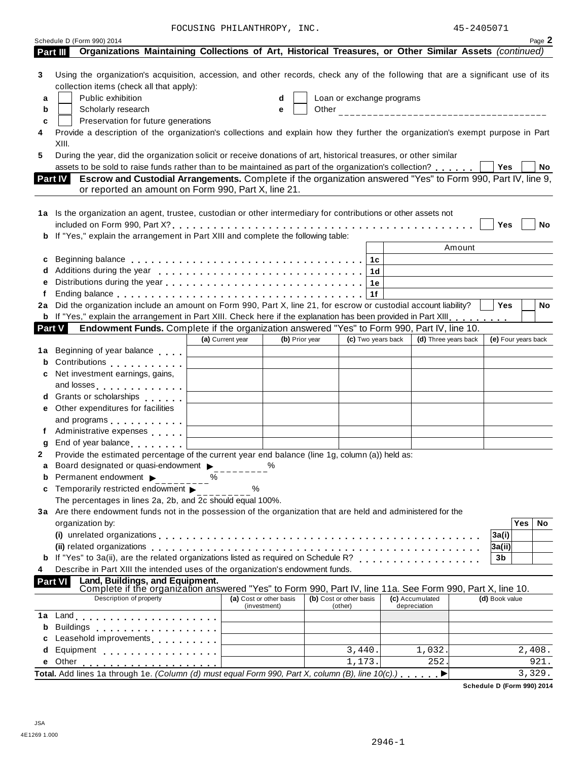|    | Schedule D (Form 990) 2014                                                                                                                                                                                                   |                         |                |                           |                      |                     | Page 2         |
|----|------------------------------------------------------------------------------------------------------------------------------------------------------------------------------------------------------------------------------|-------------------------|----------------|---------------------------|----------------------|---------------------|----------------|
|    | Organizations Maintaining Collections of Art, Historical Treasures, or Other Similar Assets (continued)<br>Part III                                                                                                          |                         |                |                           |                      |                     |                |
| 3  | Using the organization's acquisition, accession, and other records, check any of the following that are a significant use of its<br>collection items (check all that apply):                                                 |                         |                |                           |                      |                     |                |
| a  | Public exhibition                                                                                                                                                                                                            |                         | d              | Loan or exchange programs |                      |                     |                |
| b  | Scholarly research                                                                                                                                                                                                           |                         | е              |                           |                      |                     |                |
| c  | Preservation for future generations                                                                                                                                                                                          |                         |                |                           |                      |                     |                |
|    | Provide a description of the organization's collections and explain how they further the organization's exempt purpose in Part                                                                                               |                         |                |                           |                      |                     |                |
|    | XIII.                                                                                                                                                                                                                        |                         |                |                           |                      |                     |                |
|    |                                                                                                                                                                                                                              |                         |                |                           |                      |                     |                |
| 5  | During the year, did the organization solicit or receive donations of art, historical treasures, or other similar<br>assets to be sold to raise funds rather than to be maintained as part of the organization's collection? |                         |                |                           |                      | Yes                 | <b>No</b>      |
|    | Escrow and Custodial Arrangements. Complete if the organization answered "Yes" to Form 990, Part IV, line 9,<br>Part IV<br>or reported an amount on Form 990, Part X, line 21.                                               |                         |                |                           |                      |                     |                |
|    | 1a Is the organization an agent, trustee, custodian or other intermediary for contributions or other assets not                                                                                                              |                         |                |                           |                      |                     |                |
|    |                                                                                                                                                                                                                              |                         |                |                           |                      | <b>Yes</b>          | No             |
|    | b If "Yes," explain the arrangement in Part XIII and complete the following table:                                                                                                                                           |                         |                |                           |                      |                     |                |
|    |                                                                                                                                                                                                                              |                         |                |                           | Amount               |                     |                |
|    |                                                                                                                                                                                                                              |                         |                |                           |                      |                     |                |
| c  |                                                                                                                                                                                                                              |                         |                | 1c                        |                      |                     |                |
|    |                                                                                                                                                                                                                              |                         |                | 1d                        |                      |                     |                |
|    |                                                                                                                                                                                                                              |                         |                | 1е                        |                      |                     |                |
|    |                                                                                                                                                                                                                              |                         |                | 1f                        |                      |                     |                |
| 2a | Did the organization include an amount on Form 990, Part X, line 21, for escrow or custodial account liability?                                                                                                              |                         |                |                           |                      | Yes                 | No             |
|    | b If "Yes," explain the arrangement in Part XIII. Check here if the explanation has been provided in Part XIII.                                                                                                              |                         |                |                           |                      |                     |                |
|    | Endowment Funds. Complete if the organization answered "Yes" to Form 990, Part IV, line 10.<br><b>Part V</b>                                                                                                                 |                         |                |                           |                      |                     |                |
|    |                                                                                                                                                                                                                              | (a) Current year        | (b) Prior year | (c) Two years back        | (d) Three years back | (e) Four years back |                |
| 1a | Beginning of year balance                                                                                                                                                                                                    |                         |                |                           |                      |                     |                |
|    | <b>b</b> Contributions <b>b</b> Contributions                                                                                                                                                                                |                         |                |                           |                      |                     |                |
| c  | Net investment earnings, gains,                                                                                                                                                                                              |                         |                |                           |                      |                     |                |
|    | and losses                                                                                                                                                                                                                   |                         |                |                           |                      |                     |                |
|    | d Grants or scholarships entitled                                                                                                                                                                                            |                         |                |                           |                      |                     |                |
|    | e Other expenditures for facilities                                                                                                                                                                                          |                         |                |                           |                      |                     |                |
|    | and programs entertainment and programs                                                                                                                                                                                      |                         |                |                           |                      |                     |                |
| f  | Administrative expenses                                                                                                                                                                                                      |                         |                |                           |                      |                     |                |
| g  | End of year balance [1] [1]                                                                                                                                                                                                  |                         |                |                           |                      |                     |                |
| 2  | Provide the estimated percentage of the current year end balance (line 1g, column (a)) held as:                                                                                                                              |                         |                |                           |                      |                     |                |
|    | Board designated or quasi-endowment > %                                                                                                                                                                                      |                         |                |                           |                      |                     |                |
|    | <b>b</b> Permanent endowment $\blacktriangleright$                                                                                                                                                                           | ℅                       |                |                           |                      |                     |                |
| c  | Temporarily restricted endowment ▶                                                                                                                                                                                           | $\%$                    |                |                           |                      |                     |                |
|    | The percentages in lines 2a, 2b, and 2c should equal 100%.                                                                                                                                                                   |                         |                |                           |                      |                     |                |
|    | 3a Are there endowment funds not in the possession of the organization that are held and administered for the                                                                                                                |                         |                |                           |                      |                     |                |
|    | organization by:                                                                                                                                                                                                             |                         |                |                           |                      | Yes                 | No.            |
|    |                                                                                                                                                                                                                              |                         |                |                           |                      | 3a(i)               |                |
|    |                                                                                                                                                                                                                              |                         |                |                           |                      | 3a(ii)              |                |
|    | b If "Yes" to 3a(ii), are the related organizations listed as required on Schedule R? [11], [11], [11], [11]                                                                                                                 |                         |                |                           |                      | 3b                  |                |
| 4  | Describe in Part XIII the intended uses of the organization's endowment funds.                                                                                                                                               |                         |                |                           |                      |                     |                |
|    | Land, Buildings, and Equipment.<br>Complete if the organization answered "Yes" to Form 990, Part IV, line 11a. See Form 990, Part X, line 10.<br><b>Part VI</b>                                                              |                         |                |                           |                      |                     |                |
|    | Description of property                                                                                                                                                                                                      | (a) Cost or other basis |                | (b) Cost or other basis   | (c) Accumulated      | (d) Book value      |                |
| 1a |                                                                                                                                                                                                                              | (investment)            |                | (other)                   | depreciation         |                     |                |
| b  | <b>Buildings</b>                                                                                                                                                                                                             |                         |                |                           |                      |                     |                |
| c  | .<br>Leasehold improvements                                                                                                                                                                                                  |                         |                |                           |                      |                     |                |
|    | Equipment                                                                                                                                                                                                                    |                         |                | 3,440.                    | 1,032.               |                     | 2,408.         |
|    |                                                                                                                                                                                                                              |                         |                |                           |                      |                     |                |
| d  |                                                                                                                                                                                                                              |                         |                |                           |                      |                     |                |
| е  | Other<br>Total. Add lines 1a through 1e. (Column (d) must equal Form 990, Part X, column (B), line 10(c).)                                                                                                                   |                         |                | 1,173.                    | 252.                 |                     | 921.<br>3,329. |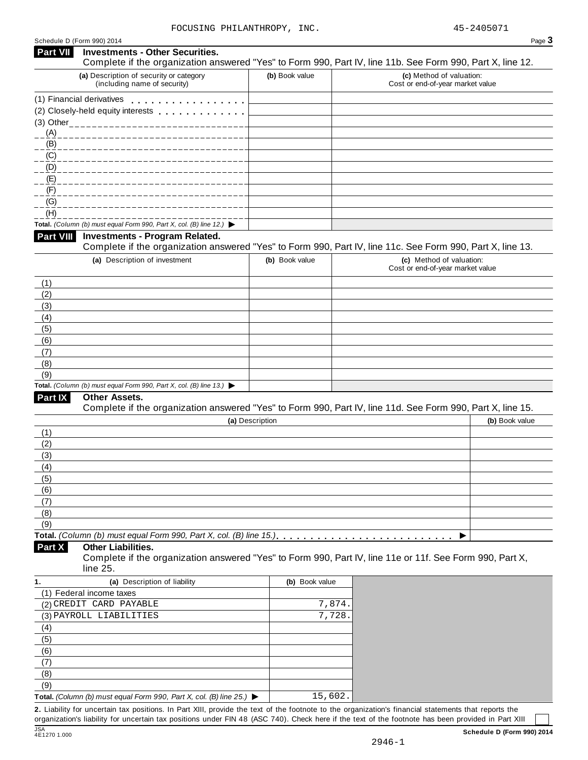| Schedule D (Form 990) 2014 |  |  |
|----------------------------|--|--|
|                            |  |  |

#### Schedule D (Form 990) 2014  $\qquad \qquad$ **Investments - Other Securities.** Complete if the organization answered "Yes" to Form 990, Part IV, line 11b. See Form 990, Part X, line 12. **Part VII (a)** Description of security or category (including name of security) **(b)** Book value **(c)** Method of valuation: Cost or end-of-year market value (1) Financial derivatives (2) Closely-held equity interests  $(3)$  Other<sub>\_\_</sub> S - Other Securities.<br>
The organization answered<br>
of security or category<br>
name of security)<br>
The metal of the metal of the metal of the metal of the metal of the metal of the metal of the metal of the metal<br>
The metal of m m m m m m m m m m m m m (A) (B) (C) (D) (E) (F) (G) (H) **Total.** *(Column (b) must equal Form 990, Part X, col. (B) line 12.)* I **Investments - Program Related.**  Complete if the organization answered "Yes" to Form 990, Part IV, line 11c. See Form 990, Part X, line 13. **Part VIII (a)** Description of investment **(b)** Book value **(c)** Method of valuation: Cost or end-of-year market value (1) (2) (3) (4) (5) (6) (7) (8) (9) **Total.** *(Column (b) must equal Form 990, Part X, col. (B) line 13.)* I **Other Assets.**  Complete if the organization answered "Yes" to Form 990, Part IV, line 11d. See Form 990, Part X, line 15. **Part IX (a)** Description **(b)** Book value (1) (2) (3) (4) (5) (6) (7) (8) (9) **Total. (Column (b) must equal Form 990, Part X, col. (B) line 15.)**<br> **Total. (Column (b) must equal Form 990, Part X, col. (B) line 15.)**<br> **Part X Other Liabilities.**<br> **Part X Other Liabilities. Other Liabilities.**  Complete if the organization answered "Yes" to Form 990, Part IV, line 11e or 11f. See Form 990, Part X, line 25. **Part X 1. (a)** Description of liability **(b)** Book value (1) Federal income taxes (2) CREDIT CARD PAYABLE  $\begin{array}{ccc} 7,874. \end{array}$ (3) PAYROLL LIABILITIES (3) PAYROLL  $\begin{array}{ccc} 1 & 7 & 728 \end{array}$ (4) (5) (6) (7) (8) (9) **Total.** *(Column (b) must equal Form 990, Part X, col. (B) line 25.)* I 15,602.

**2.** Liability for uncertain tax positions. In Part XIII, provide the text of the footnote to the organization's financial statements that reports the organization's liability for uncertain tax positions under FIN 48 (ASC 740). Check here if the text of the footnote has been provided in Part XIII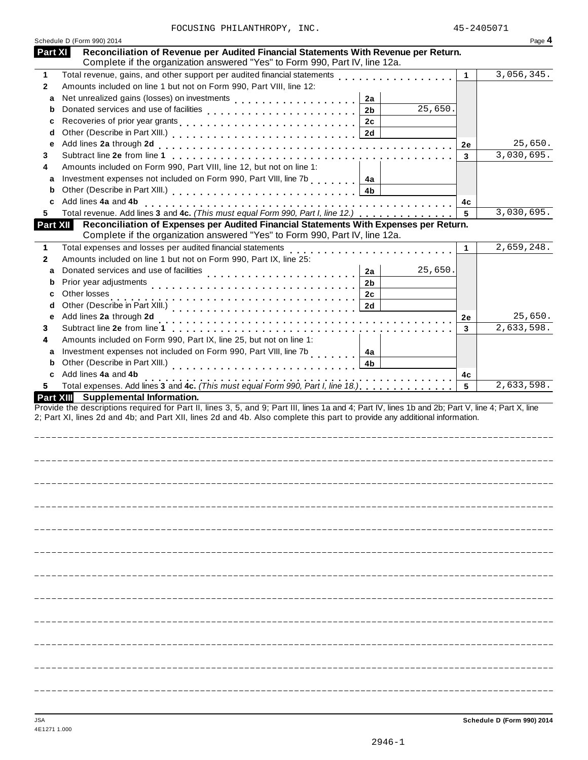|              | FOCUSING PHILANTHROPY, INC.                                                                                                                        | 45-2405071      |            |
|--------------|----------------------------------------------------------------------------------------------------------------------------------------------------|-----------------|------------|
|              | Schedule D (Form 990) 2014                                                                                                                         |                 | Page 4     |
| Part XI      | Reconciliation of Revenue per Audited Financial Statements With Revenue per Return.                                                                |                 |            |
|              | Complete if the organization answered "Yes" to Form 990, Part IV, line 12a.                                                                        |                 |            |
| 1            | Total revenue, gains, and other support per audited financial statements                                                                           | $\mathbf 1$     | 3,056,345. |
| $\mathbf{2}$ | Amounts included on line 1 but not on Form 990, Part VIII, line 12:                                                                                |                 |            |
| a            | Net unrealized gains (losses) on investments<br>2a                                                                                                 |                 |            |
| b            | 25,650.<br>Donated services and use of facilities<br>2 <sub>b</sub>                                                                                |                 |            |
| c            | 2 <sub>c</sub>                                                                                                                                     |                 |            |
| d            | 2d                                                                                                                                                 |                 | 25,650.    |
| е<br>3       |                                                                                                                                                    | 2e              | 3,030,695. |
|              | Amounts included on Form 990, Part VIII, line 12, but not on line 1:                                                                               | 3               |            |
| 4            | Investment expenses not included on Form 990, Part VIII, line 7b                                                                                   |                 |            |
| a            | 4a                                                                                                                                                 |                 |            |
| b<br>c       | 4b<br>Add lines 4a and 4b                                                                                                                          |                 |            |
| 5            | Total revenue. Add lines 3 and 4c. (This must equal Form 990, Part I, line 12.)                                                                    | 4c<br>5         | 3,030,695. |
|              | Part XII<br>Reconciliation of Expenses per Audited Financial Statements With Expenses per Return.                                                  |                 |            |
|              | Complete if the organization answered "Yes" to Form 990, Part IV, line 12a.                                                                        |                 |            |
| 1            | Total expenses and losses per audited financial statements                                                                                         | $\mathbf 1$     | 2,659,248. |
| $\mathbf{2}$ | Amounts included on line 1 but not on Form 990, Part IX, line 25:                                                                                  |                 |            |
| a            | Donated services and use of facilities<br>25,650.<br>2a<br>. <b>.</b> .                                                                            |                 |            |
| b            | Prior year adjustments<br>2 <sub>b</sub>                                                                                                           |                 |            |
| c            | Other losses<br>2c                                                                                                                                 |                 |            |
| d            | Other (Describe in Part XIII.)<br>2d                                                                                                               |                 |            |
| е            | Add lines 2a through 2d                                                                                                                            | 2e              | 25,650.    |
| 3            | Subtract line 2e from line 1<br>di di di di di di di di di di di l                                                                                 | 3               | 2,633,598. |
|              |                                                                                                                                                    |                 |            |
|              | Amounts included on Form 990, Part IX, line 25, but not on line 1:                                                                                 |                 |            |
| a            | Investment expenses not included on Form 990, Part VIII, line 7b<br>4a                                                                             |                 |            |
| b            | Other (Describe in Part XIII.)<br>4 <sub>b</sub>                                                                                                   |                 |            |
| C            | . <b>.</b> .<br>Add lines 4a and 4b                                                                                                                | 4c              |            |
|              | Total expenses. Add lines 3 and 4c. (This must equal Form 990, Part I, line 18.)                                                                   | $5\phantom{.0}$ |            |
|              | Part XIII Supplemental Information.                                                                                                                |                 |            |
|              | Provide the descriptions required for Part II, lines 3, 5, and 9; Part III, lines 1a and 4; Part IV, lines 1b and 2b; Part V, line 4; Part X, line |                 | 2,633,598. |
|              | 2; Part XI, lines 2d and 4b; and Part XII, lines 2d and 4b. Also complete this part to provide any additional information.                         |                 |            |
|              |                                                                                                                                                    |                 |            |
|              |                                                                                                                                                    |                 |            |
|              |                                                                                                                                                    |                 |            |
|              |                                                                                                                                                    |                 |            |
|              |                                                                                                                                                    |                 |            |
|              |                                                                                                                                                    |                 |            |
|              |                                                                                                                                                    |                 |            |
| 4<br>5       |                                                                                                                                                    |                 |            |
|              |                                                                                                                                                    |                 |            |
|              |                                                                                                                                                    |                 |            |
|              |                                                                                                                                                    |                 |            |
|              |                                                                                                                                                    |                 |            |
|              |                                                                                                                                                    |                 |            |
|              |                                                                                                                                                    |                 |            |
|              |                                                                                                                                                    |                 |            |
|              |                                                                                                                                                    |                 |            |
|              |                                                                                                                                                    |                 |            |
|              |                                                                                                                                                    |                 |            |
|              |                                                                                                                                                    |                 |            |
|              |                                                                                                                                                    |                 |            |
|              |                                                                                                                                                    |                 |            |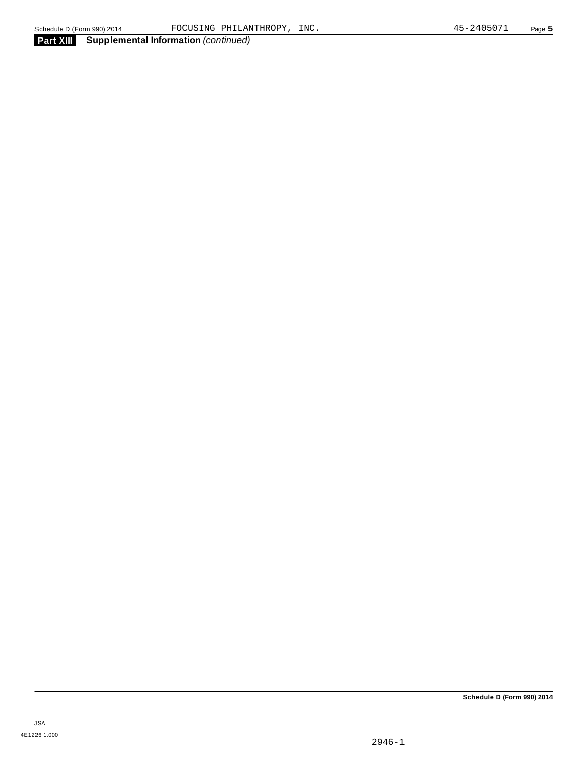### **Part XIII Supplemental Information** *(continued)*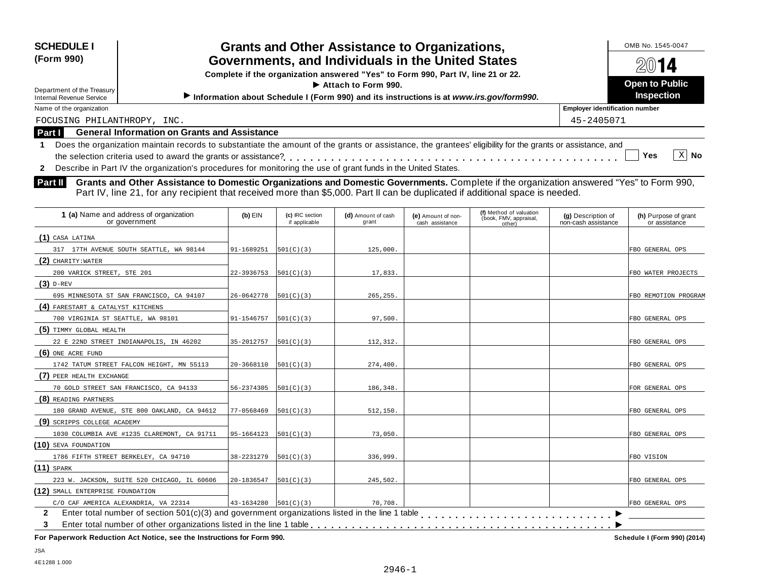| <b>SCHEDULE I</b><br>(Form 990)<br>Department of the Treasury<br><b>Internal Revenue Service</b> | <b>Grants and Other Assistance to Organizations,</b><br>Governments, and Individuals in the United States<br>Complete if the organization answered "Yes" to Form 990, Part IV, line 21 or 22.<br>Information about Schedule I (Form 990) and its instructions is at www.irs.gov/form990.                                                                                                   |            | OMB No. 1545-0047<br><b>Open to Public</b><br><b>Inspection</b> |                             |                                       |                                                             |                                           |                                       |
|--------------------------------------------------------------------------------------------------|--------------------------------------------------------------------------------------------------------------------------------------------------------------------------------------------------------------------------------------------------------------------------------------------------------------------------------------------------------------------------------------------|------------|-----------------------------------------------------------------|-----------------------------|---------------------------------------|-------------------------------------------------------------|-------------------------------------------|---------------------------------------|
| Name of the organization                                                                         |                                                                                                                                                                                                                                                                                                                                                                                            |            |                                                                 |                             |                                       |                                                             | <b>Employer identification number</b>     |                                       |
| FOCUSING PHILANTHROPY, INC.                                                                      |                                                                                                                                                                                                                                                                                                                                                                                            |            |                                                                 |                             |                                       |                                                             | 45-2405071                                |                                       |
| Part I                                                                                           | <b>General Information on Grants and Assistance</b>                                                                                                                                                                                                                                                                                                                                        |            |                                                                 |                             |                                       |                                                             |                                           |                                       |
| $\mathbf{2}$<br>Part II                                                                          | Describe in Part IV the organization's procedures for monitoring the use of grant funds in the United States.<br>Grants and Other Assistance to Domestic Organizations and Domestic Governments. Complete if the organization answered "Yes" to Form 990,<br>Part IV, line 21, for any recipient that received more than \$5,000. Part II can be duplicated if additional space is needed. |            |                                                                 |                             |                                       |                                                             |                                           | $\mathbf{X}$<br>No<br>Yes             |
|                                                                                                  | 1 (a) Name and address of organization<br>or government                                                                                                                                                                                                                                                                                                                                    | $(b)$ EIN  | (c) IRC section<br>if applicable                                | (d) Amount of cash<br>grant | (e) Amount of non-<br>cash assistance | (f) Method of valuation<br>(book, FMV, appraisal,<br>other) | (g) Description of<br>non-cash assistance | (h) Purpose of grant<br>or assistance |
| $(1)$ CASA LATINA                                                                                |                                                                                                                                                                                                                                                                                                                                                                                            |            |                                                                 |                             |                                       |                                                             |                                           |                                       |
|                                                                                                  | 317 17TH AVENUE SOUTH SEATTLE, WA 98144                                                                                                                                                                                                                                                                                                                                                    | 91-1689251 | 501(C)(3)                                                       | 125,000.                    |                                       |                                                             |                                           | FBO GENERAL OPS                       |
| $(2)$ CHARITY: WATER                                                                             |                                                                                                                                                                                                                                                                                                                                                                                            |            |                                                                 |                             |                                       |                                                             |                                           |                                       |
| 200 VARICK STREET, STE 201                                                                       |                                                                                                                                                                                                                                                                                                                                                                                            | 22-3936753 | 501(C)(3)                                                       | 17,833.                     |                                       |                                                             |                                           | FBO WATER PROJECTS                    |
| $(3)$ D-REV                                                                                      |                                                                                                                                                                                                                                                                                                                                                                                            |            |                                                                 |                             |                                       |                                                             |                                           |                                       |

| 200 VARICK STREET, STE 201                                             | 22-3936753 | 501(C)(3) | 17,833.   | FBO WATER PROJECTS           |
|------------------------------------------------------------------------|------------|-----------|-----------|------------------------------|
| $(3)$ D-REV                                                            |            |           |           |                              |
| 695 MINNESOTA ST SAN FRANCISCO, CA 94107                               | 26-0642778 | 501(C)(3) | 265, 255. | FBO REMOTION PROGRAM         |
| (4) FARESTART & CATALYST KITCHENS                                      |            |           |           |                              |
| 700 VIRGINIA ST SEATTLE, WA 98101                                      | 91-1546757 | 501(C)(3) | 97,500.   | FBO GENERAL OPS              |
| (5) TIMMY GLOBAL HEALTH                                                |            |           |           |                              |
| 22 E 22ND STREET INDIANAPOLIS, IN 46202                                | 35-2012757 | 501(C)(3) | 112,312.  | FBO GENERAL OPS              |
| (6) ONE ACRE FUND                                                      |            |           |           |                              |
| 1742 TATUM STREET FALCON HEIGHT, MN 55113                              | 20-3668110 | 501(C)(3) | 274,400.  | FBO GENERAL OPS              |
| (7) PEER HEALTH EXCHANGE                                               |            |           |           |                              |
| 70 GOLD STREET SAN FRANCISCO, CA 94133                                 | 56-2374305 | 501(C)(3) | 186,348.  | FOR GENERAL OPS              |
| (8) READING PARTNERS                                                   |            |           |           |                              |
| 180 GRAND AVENUE, STE 800 OAKLAND, CA 94612                            | 77-0568469 | 501(C)(3) | 512, 150. | FBO GENERAL OPS              |
| (9) SCRIPPS COLLEGE ACADEMY                                            |            |           |           |                              |
| 1030 COLUMBIA AVE #1235 CLAREMONT, CA 91711                            | 95-1664123 | 501(C)(3) | 73,050.   | FBO GENERAL OPS              |
| (10) SEVA FOUNDATION                                                   |            |           |           |                              |
| 1786 FIFTH STREET BERKELEY, CA 94710                                   | 38-2231279 | 501(C)(3) | 336,999.  | FBO VISION                   |
| $(11)$ SPARK                                                           |            |           |           |                              |
| 223 W. JACKSON, SUITE 520 CHICAGO, IL 60606                            | 20-1836547 | 501(C)(3) | 245,502.  | FBO GENERAL OPS              |
| (12) SMALL ENTERPRISE FOUNDATION                                       |            |           |           |                              |
| C/O CAF AMERICA ALEXANDRIA, VA 22314                                   | 43-1634280 | 501(C)(3) | 70,708.   | FBO GENERAL OPS              |
| $\mathbf{2}$                                                           |            |           |           |                              |
| 3                                                                      |            |           |           |                              |
| For Paperwork Reduction Act Notice, see the Instructions for Form 990. |            |           |           | Schedule I (Form 990) (2014) |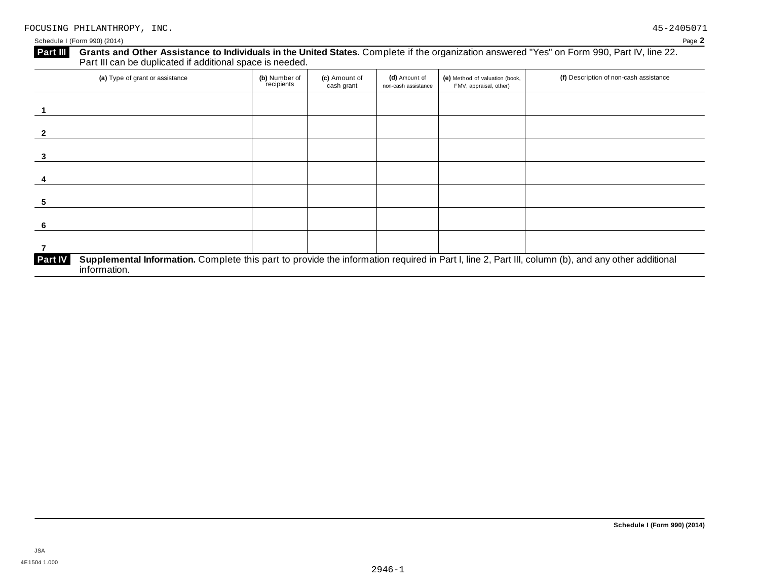#### **Grants and Other Assistance to Individuals in the United States.** Complete if the organization answered "Yes" on Form 990, Part IV, line 22. Part III can be duplicated if additional space is needed. **Part III**

| (a) Type of grant or assistance                                                                                                                                                      | (b) Number of<br>recipients | (c) Amount of<br>cash grant | (d) Amount of<br>non-cash assistance | (e) Method of valuation (book,<br>FMV, appraisal, other) | (f) Description of non-cash assistance |
|--------------------------------------------------------------------------------------------------------------------------------------------------------------------------------------|-----------------------------|-----------------------------|--------------------------------------|----------------------------------------------------------|----------------------------------------|
|                                                                                                                                                                                      |                             |                             |                                      |                                                          |                                        |
|                                                                                                                                                                                      |                             |                             |                                      |                                                          |                                        |
|                                                                                                                                                                                      |                             |                             |                                      |                                                          |                                        |
|                                                                                                                                                                                      |                             |                             |                                      |                                                          |                                        |
|                                                                                                                                                                                      |                             |                             |                                      |                                                          |                                        |
|                                                                                                                                                                                      |                             |                             |                                      |                                                          |                                        |
|                                                                                                                                                                                      |                             |                             |                                      |                                                          |                                        |
| Supplemental Information. Complete this part to provide the information required in Part I, line 2, Part III, column (b), and any other additional<br><b>Part IV</b><br>information. |                             |                             |                                      |                                                          |                                        |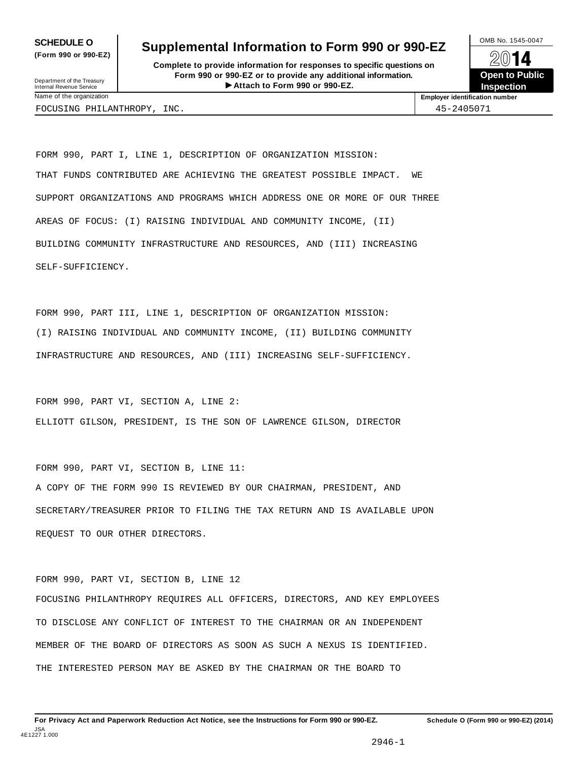**(Form 990 or 990-EZ)**

## **SCHEDULE O** Supplemental Information to Form 990 or 990-EZ <br> **SUPPLEMENT CONDUCT** (Form 990 or 990-EZ 20014

**Complete to provide information for responses to specific questions on Form 990 or 990-EZ or to provide any additional information.** Department of the Treasury<br> **Attach to Form 990 or 990-EZ. Inspection Inspection** 

<u>2014 \_</u> **Open to Public** 

Department of the Treasury<br>Internal Revenue Service<br>Name of the organization

FOCUSING PHILANTHROPY, INC. 45-2405071

**Employer identification number** 

FORM 990, PART I, LINE 1, DESCRIPTION OF ORGANIZATION MISSION: THAT FUNDS CONTRIBUTED ARE ACHIEVING THE GREATEST POSSIBLE IMPACT. WE SUPPORT ORGANIZATIONS AND PROGRAMS WHICH ADDRESS ONE OR MORE OF OUR THREE AREAS OF FOCUS: (I) RAISING INDIVIDUAL AND COMMUNITY INCOME, (II) BUILDING COMMUNITY INFRASTRUCTURE AND RESOURCES, AND (III) INCREASING SELF-SUFFICIENCY.

FORM 990, PART III, LINE 1, DESCRIPTION OF ORGANIZATION MISSION: (I) RAISING INDIVIDUAL AND COMMUNITY INCOME, (II) BUILDING COMMUNITY INFRASTRUCTURE AND RESOURCES, AND (III) INCREASING SELF-SUFFICIENCY.

FORM 990, PART VI, SECTION A, LINE 2: ELLIOTT GILSON, PRESIDENT, IS THE SON OF LAWRENCE GILSON, DIRECTOR

FORM 990, PART VI, SECTION B, LINE 11: A COPY OF THE FORM 990 IS REVIEWED BY OUR CHAIRMAN, PRESIDENT, AND SECRETARY/TREASURER PRIOR TO FILING THE TAX RETURN AND IS AVAILABLE UPON REQUEST TO OUR OTHER DIRECTORS.

FORM 990, PART VI, SECTION B, LINE 12 FOCUSING PHILANTHROPY REQUIRES ALL OFFICERS, DIRECTORS, AND KEY EMPLOYEES TO DISCLOSE ANY CONFLICT OF INTEREST TO THE CHAIRMAN OR AN INDEPENDENT MEMBER OF THE BOARD OF DIRECTORS AS SOON AS SUCH A NEXUS IS IDENTIFIED. THE INTERESTED PERSON MAY BE ASKED BY THE CHAIRMAN OR THE BOARD TO